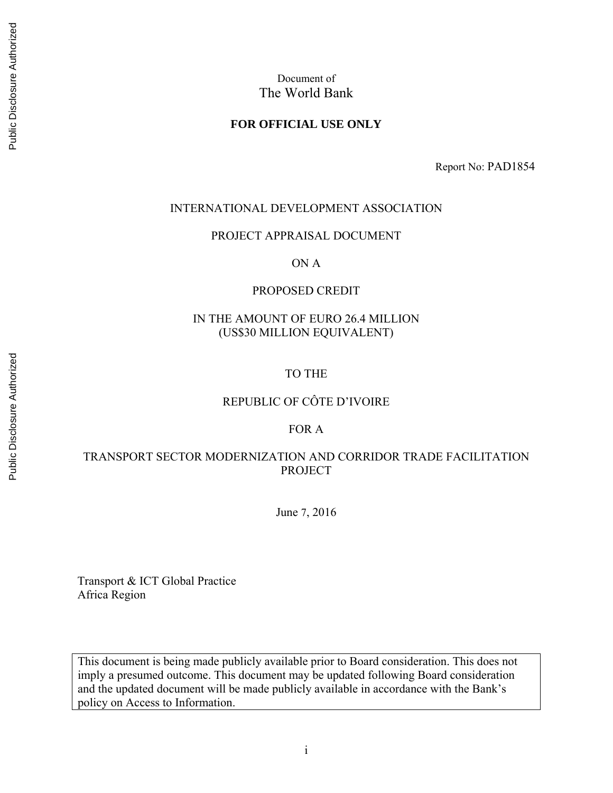### **FOR OFFICIAL USE ONLY**

Report No: PAD1854

#### INTERNATIONAL DEVELOPMENT ASSOCIATION

PROJECT APPRAISAL DOCUMENT

ON A

#### PROPOSED CREDIT

### IN THE AMOUNT OF EURO 26.4 MILLION (US\$30 MILLION EQUIVALENT)

#### TO THE

### REPUBLIC OF CÔTE D'IVOIRE

### FOR A

### TRANSPORT SECTOR MODERNIZATION AND CORRIDOR TRADE FACILITATION **PROJECT**

June 7, 2016

Transport & ICT Global Practice Africa Region

This document is being made publicly available prior to Board consideration. This does not imply a presumed outcome. This document may be updated following Board consideration and the updated document will be made publicly available in accordance with the Bank's policy on Access to Information.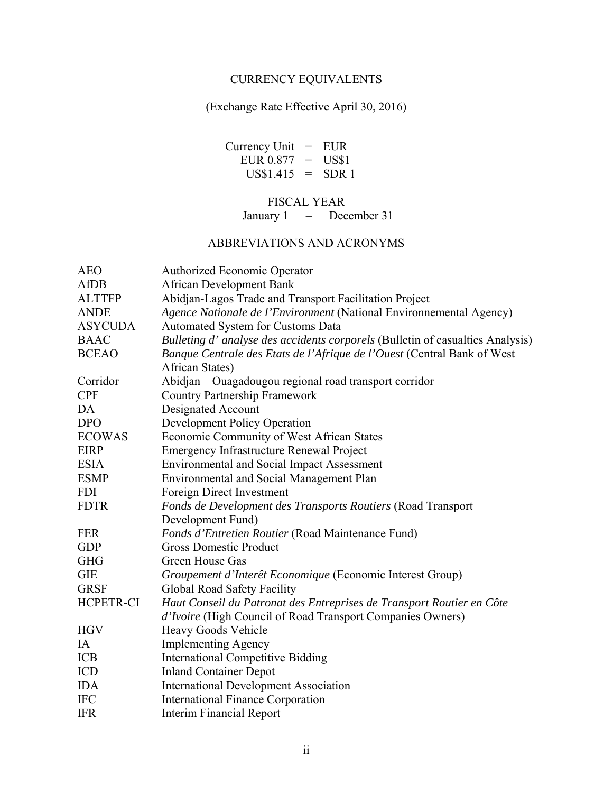### CURRENCY EQUIVALENTS

(Exchange Rate Effective April 30, 2016)

Currency Unit = EUR EUR  $0.877 = US$1$  $US$1.415 = SDR 1$ 

# FISCAL YEAR

January 1 – December 31

### ABBREVIATIONS AND ACRONYMS

| <b>AEO</b>     | <b>Authorized Economic Operator</b>                                            |
|----------------|--------------------------------------------------------------------------------|
| AfDB           | <b>African Development Bank</b>                                                |
| <b>ALTTFP</b>  | Abidjan-Lagos Trade and Transport Facilitation Project                         |
| <b>ANDE</b>    | Agence Nationale de l'Environment (National Environnemental Agency)            |
| <b>ASYCUDA</b> | Automated System for Customs Data                                              |
| <b>BAAC</b>    | Bulleting d' analyse des accidents corporels (Bulletin of casualties Analysis) |
| <b>BCEAO</b>   | Banque Centrale des Etats de l'Afrique de l'Ouest (Central Bank of West        |
|                | African States)                                                                |
| Corridor       | Abidjan - Ouagadougou regional road transport corridor                         |
| <b>CPF</b>     | <b>Country Partnership Framework</b>                                           |
| DA             | Designated Account                                                             |
| <b>DPO</b>     | <b>Development Policy Operation</b>                                            |
| <b>ECOWAS</b>  | Economic Community of West African States                                      |
| <b>EIRP</b>    | <b>Emergency Infrastructure Renewal Project</b>                                |
| <b>ESIA</b>    | <b>Environmental and Social Impact Assessment</b>                              |
| <b>ESMP</b>    | <b>Environmental and Social Management Plan</b>                                |
| <b>FDI</b>     | Foreign Direct Investment                                                      |
| <b>FDTR</b>    | Fonds de Development des Transports Routiers (Road Transport                   |
|                | Development Fund)                                                              |
| <b>FER</b>     | Fonds d'Entretien Routier (Road Maintenance Fund)                              |
| <b>GDP</b>     | <b>Gross Domestic Product</b>                                                  |
| <b>GHG</b>     | Green House Gas                                                                |
| <b>GIE</b>     | Groupement d'Interêt Economique (Economic Interest Group)                      |
| <b>GRSF</b>    | Global Road Safety Facility                                                    |
| HCPETR-CI      | Haut Conseil du Patronat des Entreprises de Transport Routier en Côte          |
|                | d'Ivoire (High Council of Road Transport Companies Owners)                     |
| <b>HGV</b>     | Heavy Goods Vehicle                                                            |
| IA             | <b>Implementing Agency</b>                                                     |
| <b>ICB</b>     | <b>International Competitive Bidding</b>                                       |
| <b>ICD</b>     | <b>Inland Container Depot</b>                                                  |
| <b>IDA</b>     | <b>International Development Association</b>                                   |
| <b>IFC</b>     | <b>International Finance Corporation</b>                                       |
| <b>IFR</b>     | <b>Interim Financial Report</b>                                                |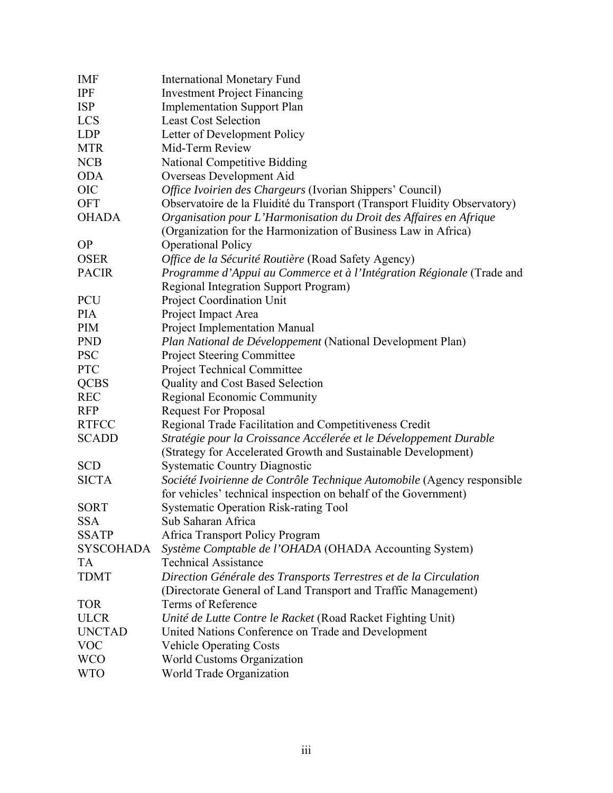| <b>IMF</b>       | <b>International Monetary Fund</b>                                        |
|------------------|---------------------------------------------------------------------------|
| <b>IPF</b>       | <b>Investment Project Financing</b>                                       |
| <b>ISP</b>       | <b>Implementation Support Plan</b>                                        |
| <b>LCS</b>       | <b>Least Cost Selection</b>                                               |
| <b>LDP</b>       | Letter of Development Policy                                              |
| <b>MTR</b>       | Mid-Term Review                                                           |
| <b>NCB</b>       | <b>National Competitive Bidding</b>                                       |
| <b>ODA</b>       | Overseas Development Aid                                                  |
| <b>OIC</b>       | Office Ivoirien des Chargeurs (Ivorian Shippers' Council)                 |
| <b>OFT</b>       | Observatoire de la Fluidité du Transport (Transport Fluidity Observatory) |
| <b>OHADA</b>     | Organisation pour L'Harmonisation du Droit des Affaires en Afrique        |
|                  | (Organization for the Harmonization of Business Law in Africa)            |
| <b>OP</b>        | <b>Operational Policy</b>                                                 |
| <b>OSER</b>      | Office de la Sécurité Routière (Road Safety Agency)                       |
| <b>PACIR</b>     | Programme d'Appui au Commerce et à l'Intégration Régionale (Trade and     |
|                  | Regional Integration Support Program)                                     |
| <b>PCU</b>       | <b>Project Coordination Unit</b>                                          |
| <b>PIA</b>       | Project Impact Area                                                       |
| <b>PIM</b>       | <b>Project Implementation Manual</b>                                      |
| <b>PND</b>       | Plan National de Développement (National Development Plan)                |
| <b>PSC</b>       | Project Steering Committee                                                |
| <b>PTC</b>       | <b>Project Technical Committee</b>                                        |
| <b>QCBS</b>      | <b>Quality and Cost Based Selection</b>                                   |
| <b>REC</b>       | Regional Economic Community                                               |
| <b>RFP</b>       | <b>Request For Proposal</b>                                               |
| <b>RTFCC</b>     | Regional Trade Facilitation and Competitiveness Credit                    |
| <b>SCADD</b>     | Stratégie pour la Croissance Accélerée et le Développement Durable        |
|                  | (Strategy for Accelerated Growth and Sustainable Development)             |
| <b>SCD</b>       | <b>Systematic Country Diagnostic</b>                                      |
| <b>SICTA</b>     | Société Ivoirienne de Contrôle Technique Automobile (Agency responsible   |
|                  | for vehicles' technical inspection on behalf of the Government)           |
| <b>SORT</b>      | <b>Systematic Operation Risk-rating Tool</b>                              |
| <b>SSA</b>       | Sub Saharan Africa                                                        |
| <b>SSATP</b>     | Africa Transport Policy Program                                           |
| <b>SYSCOHADA</b> | Système Comptable de l'OHADA (OHADA Accounting System)                    |
| TA               | <b>Technical Assistance</b>                                               |
| <b>TDMT</b>      | Direction Générale des Transports Terrestres et de la Circulation         |
|                  | (Directorate General of Land Transport and Traffic Management)            |
| <b>TOR</b>       | Terms of Reference                                                        |
| <b>ULCR</b>      | Unité de Lutte Contre le Racket (Road Racket Fighting Unit)               |
| <b>UNCTAD</b>    | United Nations Conference on Trade and Development                        |
| <b>VOC</b>       | <b>Vehicle Operating Costs</b>                                            |
| <b>WCO</b>       | World Customs Organization                                                |
| <b>WTO</b>       | World Trade Organization                                                  |
|                  |                                                                           |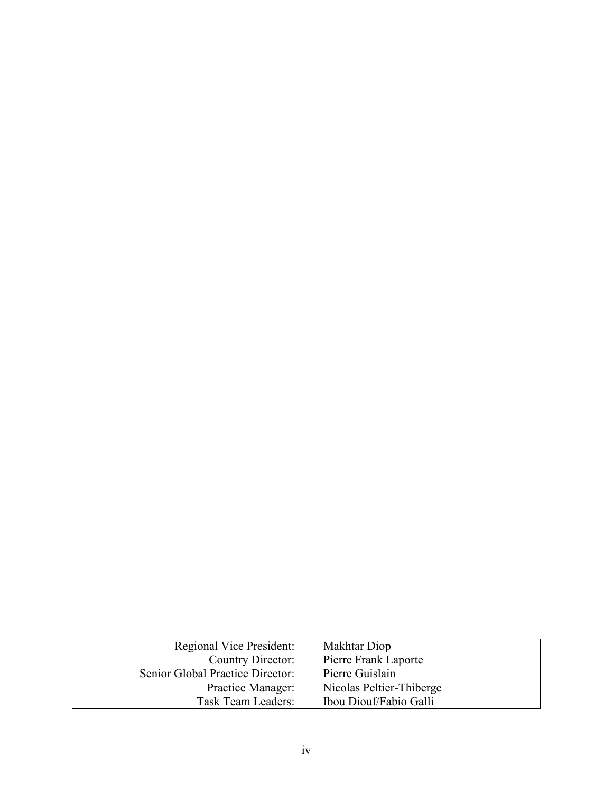| Regional Vice President:         | Makhtar Diop             |
|----------------------------------|--------------------------|
| Country Director:                | Pierre Frank Laporte     |
| Senior Global Practice Director: | Pierre Guislain          |
| Practice Manager:                | Nicolas Peltier-Thiberge |
| Task Team Leaders:               | Ibou Diouf/Fabio Galli   |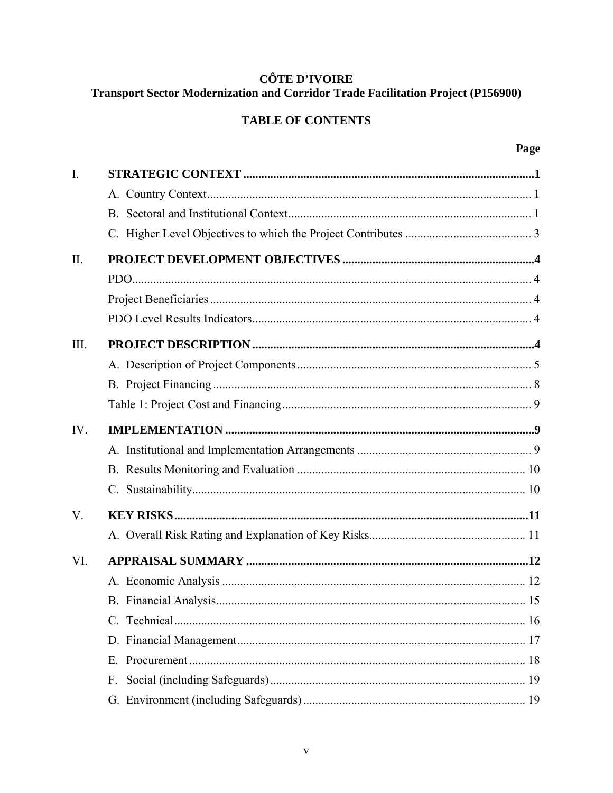## **CÔTE D'IVOIRE Transport Sector Modernization and Corridor Trade Facilitation Project (P156900)**

## **TABLE OF CONTENTS**

| I.          |    |  |
|-------------|----|--|
|             |    |  |
|             |    |  |
|             |    |  |
| II.         |    |  |
|             |    |  |
|             |    |  |
|             |    |  |
| III.        |    |  |
|             |    |  |
|             |    |  |
|             |    |  |
| IV.         |    |  |
|             |    |  |
|             |    |  |
|             |    |  |
| $V_{\cdot}$ |    |  |
|             |    |  |
| VI.         |    |  |
|             |    |  |
|             |    |  |
|             |    |  |
|             |    |  |
|             | E. |  |
|             | F. |  |
|             |    |  |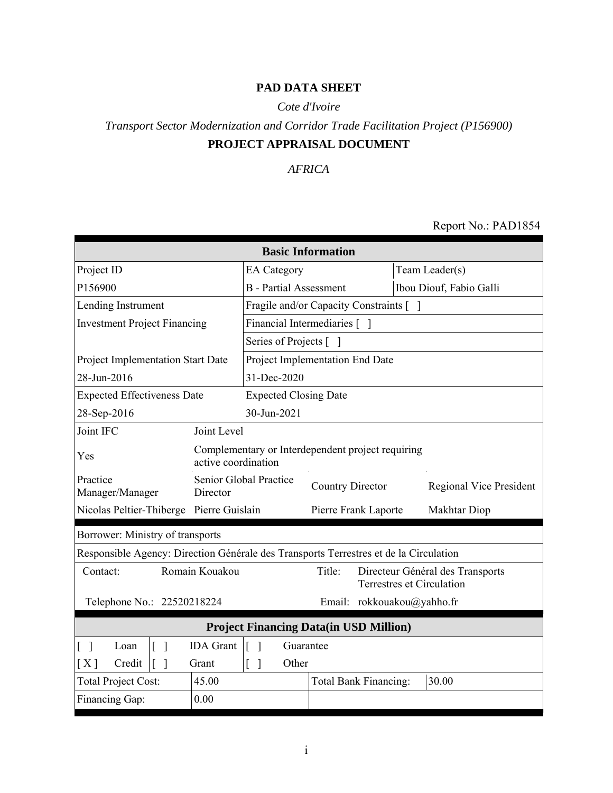## **PAD DATA SHEET**

## *Cote d'Ivoire*

# *Transport Sector Modernization and Corridor Trade Facilitation Project (P156900)* **PROJECT APPRAISAL DOCUMENT**

## *AFRICA*

#### Report No.: PAD1854

| <b>Basic Information</b>                                                                             |                                                                          |                                         |                              |                            |  |                                                               |
|------------------------------------------------------------------------------------------------------|--------------------------------------------------------------------------|-----------------------------------------|------------------------------|----------------------------|--|---------------------------------------------------------------|
| Project ID                                                                                           |                                                                          | <b>EA</b> Category                      |                              |                            |  | Team Leader(s)                                                |
| P156900                                                                                              |                                                                          | <b>B</b> - Partial Assessment           |                              |                            |  | Ibou Diouf, Fabio Galli                                       |
| Lending Instrument                                                                                   |                                                                          | Fragile and/or Capacity Constraints [ ] |                              |                            |  |                                                               |
| <b>Investment Project Financing</b>                                                                  |                                                                          | Financial Intermediaries [ ]            |                              |                            |  |                                                               |
|                                                                                                      |                                                                          | Series of Projects [ ]                  |                              |                            |  |                                                               |
| <b>Project Implementation Start Date</b>                                                             |                                                                          | Project Implementation End Date         |                              |                            |  |                                                               |
| 28-Jun-2016                                                                                          |                                                                          | 31-Dec-2020                             |                              |                            |  |                                                               |
| <b>Expected Effectiveness Date</b>                                                                   |                                                                          | <b>Expected Closing Date</b>            |                              |                            |  |                                                               |
| 28-Sep-2016                                                                                          |                                                                          | 30-Jun-2021                             |                              |                            |  |                                                               |
| Joint IFC                                                                                            | Joint Level                                                              |                                         |                              |                            |  |                                                               |
| Yes                                                                                                  | Complementary or Interdependent project requiring<br>active coordination |                                         |                              |                            |  |                                                               |
| Practice<br>Manager/Manager                                                                          | Director                                                                 | Senior Global Practice                  | <b>Country Director</b>      |                            |  | <b>Regional Vice President</b>                                |
| Nicolas Peltier-Thiberge Pierre Guislain                                                             |                                                                          |                                         | Pierre Frank Laporte         |                            |  | Makhtar Diop                                                  |
| Borrower: Ministry of transports                                                                     |                                                                          |                                         |                              |                            |  |                                                               |
| Responsible Agency: Direction Générale des Transports Terrestres et de la Circulation                |                                                                          |                                         |                              |                            |  |                                                               |
| Contact:                                                                                             | Romain Kouakou                                                           |                                         | Title:                       |                            |  | Directeur Général des Transports<br>Terrestres et Circulation |
| Telephone No.: 22520218224                                                                           |                                                                          |                                         |                              | Email: rokkouakou@yahho.fr |  |                                                               |
| <b>Project Financing Data(in USD Million)</b>                                                        |                                                                          |                                         |                              |                            |  |                                                               |
| <b>IDA</b> Grant<br>$\lceil \rceil$<br>$\lceil \; \rceil$<br>Guarantee<br>$\lceil \; \rceil$<br>Loan |                                                                          |                                         |                              |                            |  |                                                               |
| [X]<br>Credit<br>$\lceil \; \rceil$                                                                  | Grant                                                                    | Other<br>ſ                              |                              |                            |  |                                                               |
| <b>Total Project Cost:</b>                                                                           | 45.00                                                                    |                                         | <b>Total Bank Financing:</b> |                            |  | 30.00                                                         |
| Financing Gap:                                                                                       | 0.00                                                                     |                                         |                              |                            |  |                                                               |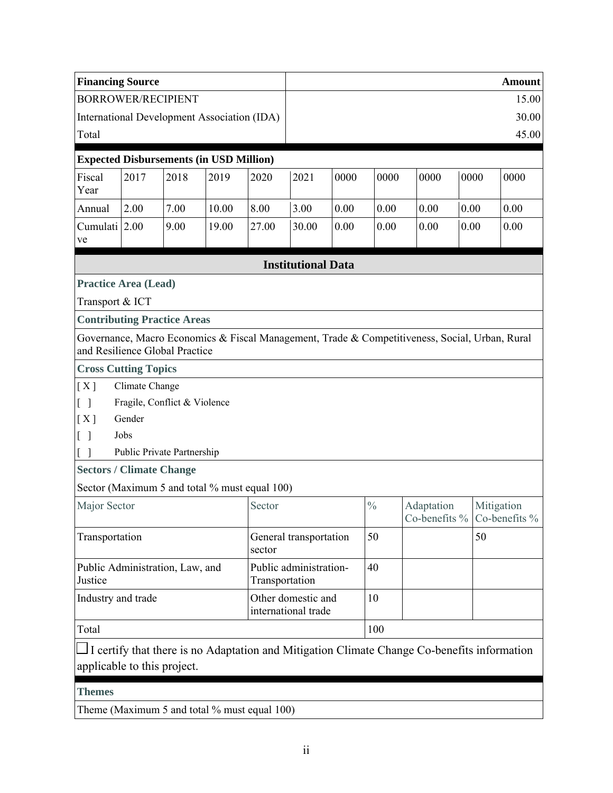| <b>Financing Source</b>                    |                |                                    |                                                |                |                                           |      |               |                                                                                                |      |      | <b>Amount</b> |
|--------------------------------------------|----------------|------------------------------------|------------------------------------------------|----------------|-------------------------------------------|------|---------------|------------------------------------------------------------------------------------------------|------|------|---------------|
| <b>BORROWER/RECIPIENT</b>                  |                |                                    |                                                |                |                                           |      |               |                                                                                                |      |      | 15.00         |
|                                            |                |                                    | International Development Association (IDA)    |                |                                           |      |               |                                                                                                |      |      | 30.00         |
| Total                                      |                |                                    |                                                |                |                                           |      |               |                                                                                                |      |      | 45.00         |
|                                            |                |                                    | <b>Expected Disbursements (in USD Million)</b> |                |                                           |      |               |                                                                                                |      |      |               |
| Fiscal<br>Year                             | 2017           | 2018                               | 2019                                           | 2020           | 2021                                      | 0000 | 0000          | 0000                                                                                           |      | 0000 | 0000          |
| Annual                                     | 2.00           | 7.00                               | 10.00                                          | 8.00           | 3.00                                      | 0.00 | 0.00          | 0.00                                                                                           | 0.00 |      | 0.00          |
| Cumulati 2.00<br>ve                        |                | 9.00                               | 19.00                                          | 27.00          | 30.00                                     | 0.00 | 0.00          | 0.00                                                                                           | 0.00 |      | 0.00          |
|                                            |                |                                    |                                                |                | <b>Institutional Data</b>                 |      |               |                                                                                                |      |      |               |
| <b>Practice Area (Lead)</b>                |                |                                    |                                                |                |                                           |      |               |                                                                                                |      |      |               |
| Transport & ICT                            |                |                                    |                                                |                |                                           |      |               |                                                                                                |      |      |               |
|                                            |                | <b>Contributing Practice Areas</b> |                                                |                |                                           |      |               |                                                                                                |      |      |               |
| and Resilience Global Practice             |                |                                    |                                                |                |                                           |      |               | Governance, Macro Economics & Fiscal Management, Trade & Competitiveness, Social, Urban, Rural |      |      |               |
| <b>Cross Cutting Topics</b>                |                |                                    |                                                |                |                                           |      |               |                                                                                                |      |      |               |
| [X]                                        | Climate Change |                                    |                                                |                |                                           |      |               |                                                                                                |      |      |               |
| $\lceil$ 1                                 |                | Fragile, Conflict & Violence       |                                                |                |                                           |      |               |                                                                                                |      |      |               |
| [X]                                        | Gender         |                                    |                                                |                |                                           |      |               |                                                                                                |      |      |               |
| Γl                                         | Jobs           |                                    |                                                |                |                                           |      |               |                                                                                                |      |      |               |
| $\overline{\phantom{a}}$                   |                | Public Private Partnership         |                                                |                |                                           |      |               |                                                                                                |      |      |               |
| <b>Sectors / Climate Change</b>            |                |                                    |                                                |                |                                           |      |               |                                                                                                |      |      |               |
|                                            |                |                                    | Sector (Maximum 5 and total % must equal 100)  |                |                                           |      |               |                                                                                                |      |      |               |
| Major Sector                               |                |                                    |                                                | Sector         |                                           |      | $\frac{0}{0}$ | Adaptation<br>Co-benefits $\%$ Co-benefits $\%$                                                |      |      | Mitigation    |
| Transportation                             |                |                                    |                                                | sector         | General transportation                    |      | 50            |                                                                                                |      | 50   |               |
| Public Administration, Law, and<br>Justice |                |                                    |                                                | Transportation | Public administration-                    |      | 40            |                                                                                                |      |      |               |
| Industry and trade                         |                |                                    |                                                |                | Other domestic and<br>international trade |      | 10            |                                                                                                |      |      |               |
| Total                                      |                |                                    |                                                |                |                                           | 100  |               |                                                                                                |      |      |               |
| applicable to this project.                |                |                                    |                                                |                |                                           |      |               | I certify that there is no Adaptation and Mitigation Climate Change Co-benefits information    |      |      |               |
| <b>Themes</b>                              |                |                                    |                                                |                |                                           |      |               |                                                                                                |      |      |               |
|                                            |                |                                    | Theme (Maximum 5 and total % must equal 100)   |                |                                           |      |               |                                                                                                |      |      |               |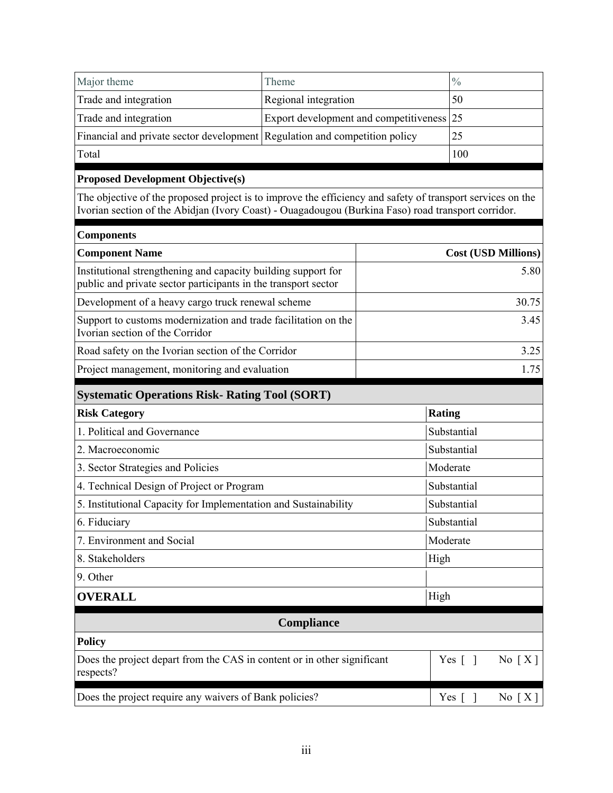| Major theme                                                                                                                                                                                                      | Theme                                  |        | $\frac{0}{0}$                      |  |
|------------------------------------------------------------------------------------------------------------------------------------------------------------------------------------------------------------------|----------------------------------------|--------|------------------------------------|--|
| Trade and integration                                                                                                                                                                                            | Regional integration                   |        | 50                                 |  |
| Trade and integration                                                                                                                                                                                            | Export development and competitiveness | 25     |                                    |  |
| Financial and private sector development Regulation and competition policy                                                                                                                                       |                                        |        | 25                                 |  |
| Total                                                                                                                                                                                                            |                                        |        | 100                                |  |
| <b>Proposed Development Objective(s)</b>                                                                                                                                                                         |                                        |        |                                    |  |
| The objective of the proposed project is to improve the efficiency and safety of transport services on the<br>Ivorian section of the Abidjan (Ivory Coast) - Ouagadougou (Burkina Faso) road transport corridor. |                                        |        |                                    |  |
| <b>Components</b>                                                                                                                                                                                                |                                        |        |                                    |  |
| <b>Component Name</b>                                                                                                                                                                                            |                                        |        | <b>Cost (USD Millions)</b>         |  |
| Institutional strengthening and capacity building support for<br>public and private sector participants in the transport sector                                                                                  |                                        |        | 5.80                               |  |
| Development of a heavy cargo truck renewal scheme                                                                                                                                                                |                                        |        | 30.75                              |  |
| Support to customs modernization and trade facilitation on the<br>Ivorian section of the Corridor                                                                                                                |                                        |        |                                    |  |
| Road safety on the Ivorian section of the Corridor                                                                                                                                                               | 3.25                                   |        |                                    |  |
| Project management, monitoring and evaluation<br>1.75                                                                                                                                                            |                                        |        |                                    |  |
| <b>Systematic Operations Risk- Rating Tool (SORT)</b>                                                                                                                                                            |                                        |        |                                    |  |
| <b>Risk Category</b>                                                                                                                                                                                             |                                        | Rating |                                    |  |
| 1. Political and Governance                                                                                                                                                                                      |                                        |        | Substantial                        |  |
| 2. Macroeconomic                                                                                                                                                                                                 |                                        |        | Substantial                        |  |
| 3. Sector Strategies and Policies                                                                                                                                                                                |                                        |        | Moderate                           |  |
| 4. Technical Design of Project or Program                                                                                                                                                                        |                                        |        | Substantial                        |  |
| 5. Institutional Capacity for Implementation and Sustainability                                                                                                                                                  |                                        |        | Substantial                        |  |
| 6. Fiduciary                                                                                                                                                                                                     |                                        |        | Substantial                        |  |
| 7. Environment and Social                                                                                                                                                                                        |                                        |        | Moderate                           |  |
| 8. Stakeholders                                                                                                                                                                                                  | High                                   |        |                                    |  |
| 9. Other                                                                                                                                                                                                         |                                        |        |                                    |  |
| <b>OVERALL</b>                                                                                                                                                                                                   |                                        | High   |                                    |  |
|                                                                                                                                                                                                                  | Compliance                             |        |                                    |  |
| <b>Policy</b>                                                                                                                                                                                                    |                                        |        |                                    |  |
| Does the project depart from the CAS in content or in other significant<br>respects?                                                                                                                             |                                        |        | Yes $\lceil \; \rceil$<br>No $[X]$ |  |
| Does the project require any waivers of Bank policies?                                                                                                                                                           |                                        |        | Yes $[$ $]$<br>No $[X]$            |  |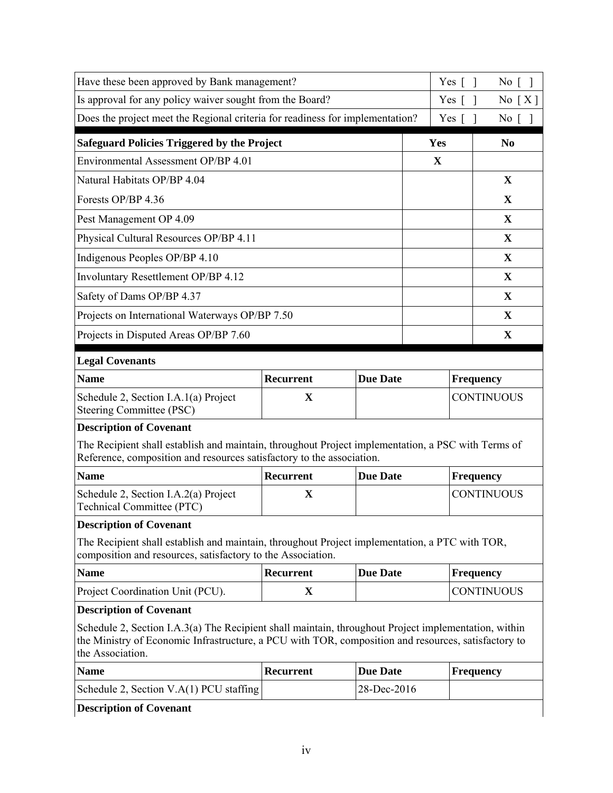| the Association.                                                                                                                                                                                                                              |             |                 |                    |                   |  |
|-----------------------------------------------------------------------------------------------------------------------------------------------------------------------------------------------------------------------------------------------|-------------|-----------------|--------------------|-------------------|--|
| <b>Description of Covenant</b><br>Schedule 2, Section I.A.3(a) The Recipient shall maintain, throughout Project implementation, within<br>the Ministry of Economic Infrastructure, a PCU with TOR, composition and resources, satisfactory to |             |                 |                    |                   |  |
| Project Coordination Unit (PCU).                                                                                                                                                                                                              | $\mathbf X$ |                 |                    | <b>CONTINUOUS</b> |  |
| <b>Name</b>                                                                                                                                                                                                                                   | Recurrent   | <b>Due Date</b> |                    | <b>Frequency</b>  |  |
| The Recipient shall establish and maintain, throughout Project implementation, a PTC with TOR,<br>composition and resources, satisfactory to the Association.                                                                                 |             |                 |                    |                   |  |
| <b>Description of Covenant</b>                                                                                                                                                                                                                |             |                 |                    |                   |  |
| Schedule 2, Section I.A.2(a) Project<br>Technical Committee (PTC)                                                                                                                                                                             | X           |                 |                    | <b>CONTINUOUS</b> |  |
| <b>Name</b>                                                                                                                                                                                                                                   | Recurrent   | <b>Due Date</b> | <b>Frequency</b>   |                   |  |
| <b>Description of Covenant</b><br>The Recipient shall establish and maintain, throughout Project implementation, a PSC with Terms of<br>Reference, composition and resources satisfactory to the association.                                 |             |                 |                    |                   |  |
| Steering Committee (PSC)                                                                                                                                                                                                                      |             |                 |                    |                   |  |
| Schedule 2, Section I.A.1(a) Project                                                                                                                                                                                                          | X           |                 | <b>CONTINUOUS</b>  |                   |  |
| <b>Name</b>                                                                                                                                                                                                                                   | Recurrent   | <b>Due Date</b> | <b>Frequency</b>   |                   |  |
| <b>Legal Covenants</b>                                                                                                                                                                                                                        |             |                 |                    |                   |  |
| Projects in Disputed Areas OP/BP 7.60                                                                                                                                                                                                         |             |                 |                    | X                 |  |
| Projects on International Waterways OP/BP 7.50                                                                                                                                                                                                |             |                 |                    | $\mathbf{X}$      |  |
| Safety of Dams OP/BP 4.37                                                                                                                                                                                                                     |             |                 |                    | $\mathbf{X}$      |  |
| Involuntary Resettlement OP/BP 4.12                                                                                                                                                                                                           |             |                 |                    | $\mathbf X$       |  |
| Indigenous Peoples OP/BP 4.10                                                                                                                                                                                                                 |             |                 |                    | X                 |  |
| Physical Cultural Resources OP/BP 4.11                                                                                                                                                                                                        |             |                 |                    | X                 |  |
| Pest Management OP 4.09                                                                                                                                                                                                                       |             |                 |                    | $\mathbf{X}$      |  |
| Forests OP/BP 4.36                                                                                                                                                                                                                            |             |                 |                    | X                 |  |
| Natural Habitats OP/BP 4.04                                                                                                                                                                                                                   |             |                 |                    | $\mathbf X$       |  |
| Environmental Assessment OP/BP 4.01                                                                                                                                                                                                           |             |                 | X                  |                   |  |
| <b>Safeguard Policies Triggered by the Project</b>                                                                                                                                                                                            |             |                 | Yes                | N <sub>0</sub>    |  |
| Does the project meet the Regional criteria for readiness for implementation?                                                                                                                                                                 |             | Yes $\lceil$    | $No \lceil \rceil$ |                   |  |
| Is approval for any policy waiver sought from the Board?                                                                                                                                                                                      |             |                 | Yes                | No $[X]$          |  |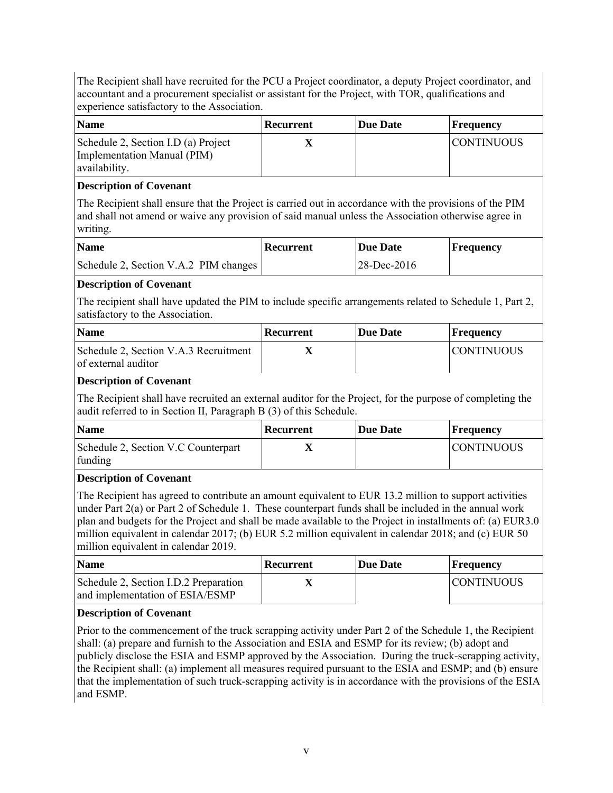The Recipient shall have recruited for the PCU a Project coordinator, a deputy Project coordinator, and accountant and a procurement specialist or assistant for the Project, with TOR, qualifications and experience satisfactory to the Association.

| <b>Name</b>                                                                         | Recurrent | <b>Due Date</b> | Frequency         |
|-------------------------------------------------------------------------------------|-----------|-----------------|-------------------|
| Schedule 2, Section I.D (a) Project<br>Implementation Manual (PIM)<br>availability. |           |                 | <b>CONTINUOUS</b> |

#### **Description of Covenant**

The Recipient shall ensure that the Project is carried out in accordance with the provisions of the PIM and shall not amend or waive any provision of said manual unless the Association otherwise agree in writing.

| <b>Name</b>                           | Recurrent | Due Date    | <b>Frequency</b> |
|---------------------------------------|-----------|-------------|------------------|
| Schedule 2, Section V.A.2 PIM changes |           | 28-Dec-2016 |                  |

### **Description of Covenant**

The recipient shall have updated the PIM to include specific arrangements related to Schedule 1, Part 2, satisfactory to the Association.

| <b>Name</b>                                                  | Recurrent | Due Date | Frequency         |
|--------------------------------------------------------------|-----------|----------|-------------------|
| Schedule 2, Section V.A.3 Recruitment<br>of external auditor |           |          | <b>CONTINUOUS</b> |

#### **Description of Covenant**

The Recipient shall have recruited an external auditor for the Project, for the purpose of completing the audit referred to in Section II, Paragraph B (3) of this Schedule.

| <b>Name</b>                                    | Recurrent | Due Date | <b>Frequency</b>  |
|------------------------------------------------|-----------|----------|-------------------|
| Schedule 2, Section V.C Counterpart<br>funding |           |          | <b>CONTINUOUS</b> |

### **Description of Covenant**

The Recipient has agreed to contribute an amount equivalent to EUR 13.2 million to support activities under Part 2(a) or Part 2 of Schedule 1. These counterpart funds shall be included in the annual work plan and budgets for the Project and shall be made available to the Project in installments of: (a) EUR3.0 million equivalent in calendar 2017; (b) EUR 5.2 million equivalent in calendar 2018; and (c) EUR 50 million equivalent in calendar 2019.

| <b>Name</b>                                                              | Recurrent | <b>Due Date</b> | Frequency         |
|--------------------------------------------------------------------------|-----------|-----------------|-------------------|
| Schedule 2, Section I.D.2 Preparation<br>and implementation of ESIA/ESMP |           |                 | <b>CONTINUOUS</b> |

### **Description of Covenant**

Prior to the commencement of the truck scrapping activity under Part 2 of the Schedule 1, the Recipient shall: (a) prepare and furnish to the Association and ESIA and ESMP for its review; (b) adopt and publicly disclose the ESIA and ESMP approved by the Association. During the truck-scrapping activity, the Recipient shall: (a) implement all measures required pursuant to the ESIA and ESMP; and (b) ensure that the implementation of such truck-scrapping activity is in accordance with the provisions of the ESIA and ESMP.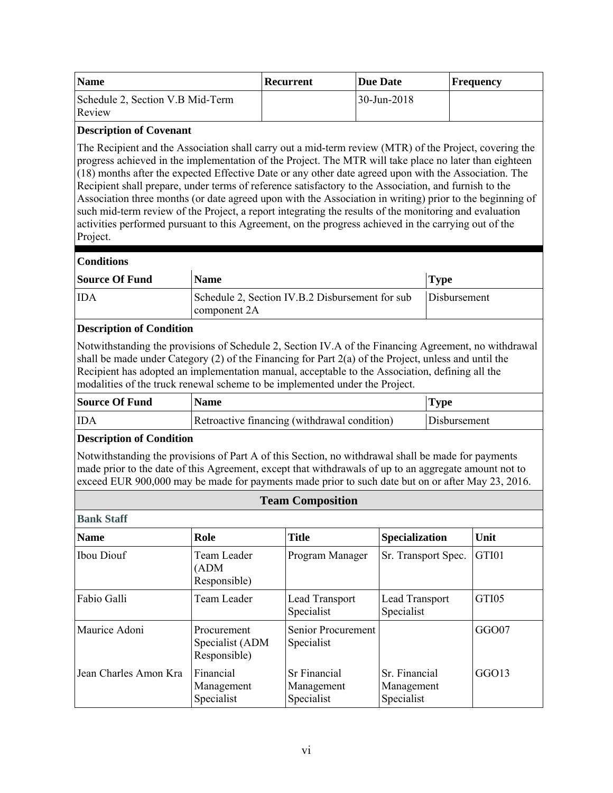| <b>Name</b>                                | Recurrent | <b>Due Date</b>   | <b>Frequency</b> |
|--------------------------------------------|-----------|-------------------|------------------|
| Schedule 2, Section V.B Mid-Term<br>Review |           | $30 - Jun - 2018$ |                  |

#### **Description of Covenant**

The Recipient and the Association shall carry out a mid-term review (MTR) of the Project, covering the progress achieved in the implementation of the Project. The MTR will take place no later than eighteen (18) months after the expected Effective Date or any other date agreed upon with the Association. The Recipient shall prepare, under terms of reference satisfactory to the Association, and furnish to the Association three months (or date agreed upon with the Association in writing) prior to the beginning of such mid-term review of the Project, a report integrating the results of the monitoring and evaluation activities performed pursuant to this Agreement, on the progress achieved in the carrying out of the Project.

### **Conditions**

| <b>Source Of Fund</b> | <b>Name</b>                                      | <b>Type</b>  |
|-----------------------|--------------------------------------------------|--------------|
| <b>IDA</b>            | Schedule 2, Section IV.B.2 Disbursement for sub- | Disbursement |
|                       | component 2A                                     |              |

### **Description of Condition**

Notwithstanding the provisions of Schedule 2, Section IV.A of the Financing Agreement, no withdrawal shall be made under Category (2) of the Financing for Part 2(a) of the Project, unless and until the Recipient has adopted an implementation manual, acceptable to the Association, defining all the modalities of the truck renewal scheme to be implemented under the Project.

| Source Of Fund | <b>Name</b>                                  | <b>Type</b>  |
|----------------|----------------------------------------------|--------------|
| <b>IDA</b>     | Retroactive financing (withdrawal condition) | Disbursement |

### **Description of Condition**

Notwithstanding the provisions of Part A of this Section, no withdrawal shall be made for payments made prior to the date of this Agreement, except that withdrawals of up to an aggregate amount not to exceed EUR 900,000 may be made for payments made prior to such date but on or after May 23, 2016.

### **Team Composition**

| <b>Bank Staff</b>     |                                                |                                                 |                                           |       |
|-----------------------|------------------------------------------------|-------------------------------------------------|-------------------------------------------|-------|
| <b>Name</b>           | Role                                           | <b>Title</b>                                    | <b>Specialization</b>                     | Unit  |
| <b>Ibou Diouf</b>     | Team Leader<br>(ADM<br>Responsible)            | Program Manager                                 | Sr. Transport Spec.                       | GTI01 |
| Fabio Galli           | Team Leader                                    | Lead Transport<br>Specialist                    | <b>Lead Transport</b><br>Specialist       | GTI05 |
| Maurice Adoni         | Procurement<br>Specialist (ADM<br>Responsible) | <b>Senior Procurement</b><br>Specialist         |                                           | GGO07 |
| Jean Charles Amon Kra | Financial<br>Management<br>Specialist          | <b>Sr Financial</b><br>Management<br>Specialist | Sr. Financial<br>Management<br>Specialist | GGO13 |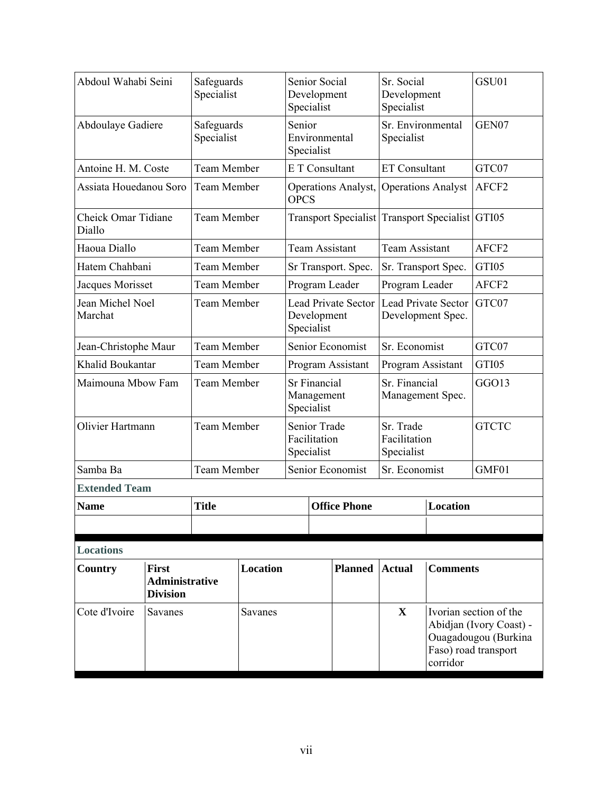| Abdoul Wahabi Seini                  |                                                          | Safeguards<br>Specialist                                                      |         | Senior Social<br>Development<br>Specialist      |                                            | Sr. Social<br>Development<br>Specialist |                                         | GSU01                                           |                                                                                                   |
|--------------------------------------|----------------------------------------------------------|-------------------------------------------------------------------------------|---------|-------------------------------------------------|--------------------------------------------|-----------------------------------------|-----------------------------------------|-------------------------------------------------|---------------------------------------------------------------------------------------------------|
| Abdoulaye Gadiere                    |                                                          | Safeguards<br>Specialist                                                      |         | Senior<br>Environmental<br>Specialist           |                                            | Sr. Environmental<br>Specialist         |                                         | GEN07                                           |                                                                                                   |
| Antoine H. M. Coste                  |                                                          | <b>Team Member</b>                                                            |         |                                                 |                                            | E T Consultant                          | <b>ET Consultant</b>                    |                                                 | GTC07                                                                                             |
| Assiata Houedanou Soro               |                                                          | <b>Team Member</b>                                                            |         | <b>OPCS</b>                                     |                                            | Operations Analyst,                     | <b>Operations Analyst</b>               |                                                 | AFCF2                                                                                             |
| <b>Cheick Omar Tidiane</b><br>Diallo |                                                          | <b>Team Member</b>                                                            |         |                                                 |                                            |                                         |                                         | Transport Specialist Transport Specialist GTI05 |                                                                                                   |
| Haoua Diallo                         |                                                          | <b>Team Member</b>                                                            |         |                                                 |                                            | <b>Team Assistant</b>                   | <b>Team Assistant</b>                   |                                                 | AFCF2                                                                                             |
| Hatem Chahbani                       |                                                          | <b>Team Member</b>                                                            |         |                                                 |                                            | Sr Transport. Spec.                     | Sr. Transport Spec.                     |                                                 | GTI05                                                                                             |
| Jacques Morisset                     |                                                          | <b>Team Member</b>                                                            |         |                                                 |                                            | Program Leader                          | Program Leader                          |                                                 | AFCF2                                                                                             |
| Jean Michel Noel<br>Marchat          |                                                          | <b>Team Member</b><br><b>Lead Private Sector</b><br>Development<br>Specialist |         | <b>Lead Private Sector</b><br>Development Spec. |                                            | GTC07                                   |                                         |                                                 |                                                                                                   |
| Jean-Christophe Maur                 |                                                          | <b>Team Member</b><br>Senior Economist                                        |         | Sr. Economist                                   |                                            | GTC07                                   |                                         |                                                 |                                                                                                   |
| Khalid Boukantar                     |                                                          | <b>Team Member</b>                                                            |         | Program Assistant                               |                                            | Program Assistant                       |                                         | GTI05                                           |                                                                                                   |
| Maimouna Mbow Fam                    |                                                          | <b>Team Member</b>                                                            |         | <b>Sr Financial</b><br>Management<br>Specialist |                                            | Sr. Financial<br>Management Spec.       |                                         | GGO13                                           |                                                                                                   |
| Olivier Hartmann                     |                                                          | <b>Team Member</b>                                                            |         |                                                 | Senior Trade<br>Facilitation<br>Specialist |                                         | Sr. Trade<br>Facilitation<br>Specialist |                                                 | <b>GTCTC</b>                                                                                      |
| Samba Ba                             |                                                          | <b>Team Member</b>                                                            |         |                                                 |                                            | Senior Economist                        | Sr. Economist                           |                                                 | GMF01                                                                                             |
| <b>Extended Team</b>                 |                                                          |                                                                               |         |                                                 |                                            |                                         |                                         |                                                 |                                                                                                   |
| <b>Name</b>                          |                                                          | <b>Title</b>                                                                  |         |                                                 |                                            | <b>Office Phone</b>                     |                                         | <b>Location</b>                                 |                                                                                                   |
|                                      |                                                          |                                                                               |         |                                                 |                                            |                                         |                                         |                                                 |                                                                                                   |
| <b>Locations</b>                     |                                                          |                                                                               |         |                                                 |                                            |                                         |                                         |                                                 |                                                                                                   |
| Country                              | <b>First</b><br><b>Administrative</b><br><b>Division</b> | Location                                                                      |         |                                                 |                                            | <b>Planned</b>                          | <b>Actual</b>                           | <b>Comments</b>                                 |                                                                                                   |
| Cote d'Ivoire                        | Savanes                                                  |                                                                               | Savanes |                                                 |                                            |                                         | $\mathbf{X}$                            | corridor                                        | Ivorian section of the<br>Abidjan (Ivory Coast) -<br>Ouagadougou (Burkina<br>Faso) road transport |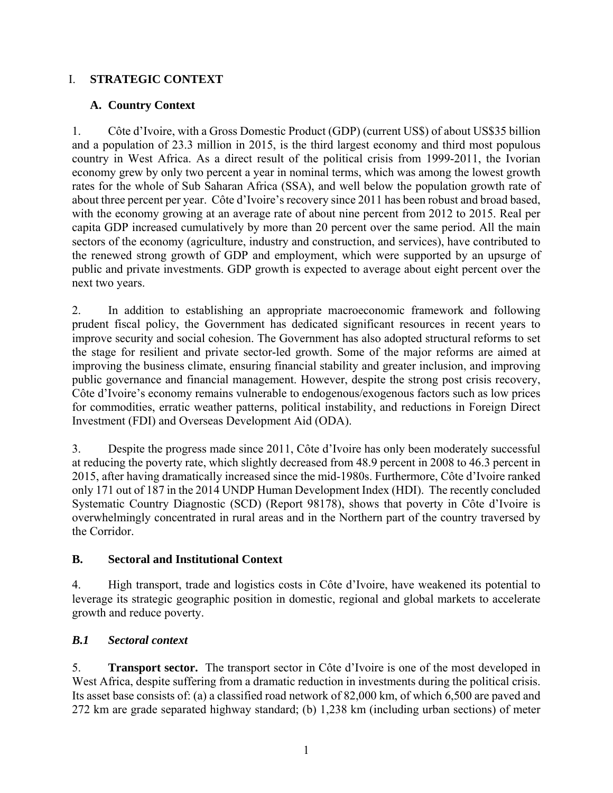### I. **STRATEGIC CONTEXT**

### **A. Country Context**

1. Côte d'Ivoire, with a Gross Domestic Product (GDP) (current US\$) of about US\$35 billion and a population of 23.3 million in 2015, is the third largest economy and third most populous country in West Africa. As a direct result of the political crisis from 1999-2011, the Ivorian economy grew by only two percent a year in nominal terms, which was among the lowest growth rates for the whole of Sub Saharan Africa (SSA), and well below the population growth rate of about three percent per year. Côte d'Ivoire's recovery since 2011 has been robust and broad based, with the economy growing at an average rate of about nine percent from 2012 to 2015. Real per capita GDP increased cumulatively by more than 20 percent over the same period. All the main sectors of the economy (agriculture, industry and construction, and services), have contributed to the renewed strong growth of GDP and employment, which were supported by an upsurge of public and private investments. GDP growth is expected to average about eight percent over the next two years.

2. In addition to establishing an appropriate macroeconomic framework and following prudent fiscal policy, the Government has dedicated significant resources in recent years to improve security and social cohesion. The Government has also adopted structural reforms to set the stage for resilient and private sector-led growth. Some of the major reforms are aimed at improving the business climate, ensuring financial stability and greater inclusion, and improving public governance and financial management. However, despite the strong post crisis recovery, Côte d'Ivoire's economy remains vulnerable to endogenous/exogenous factors such as low prices for commodities, erratic weather patterns, political instability, and reductions in Foreign Direct Investment (FDI) and Overseas Development Aid (ODA).

3. Despite the progress made since 2011, Côte d'Ivoire has only been moderately successful at reducing the poverty rate, which slightly decreased from 48.9 percent in 2008 to 46.3 percent in 2015, after having dramatically increased since the mid-1980s. Furthermore, Côte d'Ivoire ranked only 171 out of 187 in the 2014 UNDP Human Development Index (HDI). The recently concluded Systematic Country Diagnostic (SCD) (Report 98178), shows that poverty in Côte d'Ivoire is overwhelmingly concentrated in rural areas and in the Northern part of the country traversed by the Corridor.

### **B. Sectoral and Institutional Context**

4. High transport, trade and logistics costs in Côte d'Ivoire, have weakened its potential to leverage its strategic geographic position in domestic, regional and global markets to accelerate growth and reduce poverty.

### *B.1 Sectoral context*

5. **Transport sector.** The transport sector in Côte d'Ivoire is one of the most developed in West Africa, despite suffering from a dramatic reduction in investments during the political crisis. Its asset base consists of: (a) a classified road network of 82,000 km, of which 6,500 are paved and 272 km are grade separated highway standard; (b) 1,238 km (including urban sections) of meter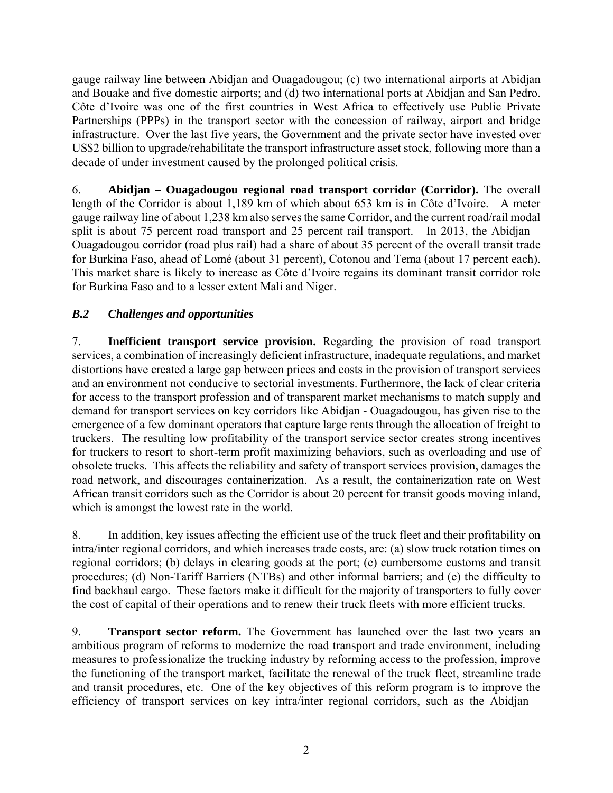gauge railway line between Abidjan and Ouagadougou; (c) two international airports at Abidjan and Bouake and five domestic airports; and (d) two international ports at Abidjan and San Pedro. Côte d'Ivoire was one of the first countries in West Africa to effectively use Public Private Partnerships (PPPs) in the transport sector with the concession of railway, airport and bridge infrastructure. Over the last five years, the Government and the private sector have invested over US\$2 billion to upgrade/rehabilitate the transport infrastructure asset stock, following more than a decade of under investment caused by the prolonged political crisis.

6. **Abidjan – Ouagadougou regional road transport corridor (Corridor).** The overall length of the Corridor is about 1,189 km of which about 653 km is in Côte d'Ivoire. A meter gauge railway line of about 1,238 km also serves the same Corridor, and the current road/rail modal split is about 75 percent road transport and 25 percent rail transport. In 2013, the Abidjan – Ouagadougou corridor (road plus rail) had a share of about 35 percent of the overall transit trade for Burkina Faso, ahead of Lomé (about 31 percent), Cotonou and Tema (about 17 percent each). This market share is likely to increase as Côte d'Ivoire regains its dominant transit corridor role for Burkina Faso and to a lesser extent Mali and Niger.

# *B.2 Challenges and opportunities*

7. **Inefficient transport service provision.** Regarding the provision of road transport services, a combination of increasingly deficient infrastructure, inadequate regulations, and market distortions have created a large gap between prices and costs in the provision of transport services and an environment not conducive to sectorial investments. Furthermore, the lack of clear criteria for access to the transport profession and of transparent market mechanisms to match supply and demand for transport services on key corridors like Abidjan - Ouagadougou, has given rise to the emergence of a few dominant operators that capture large rents through the allocation of freight to truckers. The resulting low profitability of the transport service sector creates strong incentives for truckers to resort to short-term profit maximizing behaviors, such as overloading and use of obsolete trucks. This affects the reliability and safety of transport services provision, damages the road network, and discourages containerization. As a result, the containerization rate on West African transit corridors such as the Corridor is about 20 percent for transit goods moving inland, which is amongst the lowest rate in the world.

8. In addition, key issues affecting the efficient use of the truck fleet and their profitability on intra/inter regional corridors, and which increases trade costs, are: (a) slow truck rotation times on regional corridors; (b) delays in clearing goods at the port; (c) cumbersome customs and transit procedures; (d) Non-Tariff Barriers (NTBs) and other informal barriers; and (e) the difficulty to find backhaul cargo. These factors make it difficult for the majority of transporters to fully cover the cost of capital of their operations and to renew their truck fleets with more efficient trucks.

9. **Transport sector reform.** The Government has launched over the last two years an ambitious program of reforms to modernize the road transport and trade environment, including measures to professionalize the trucking industry by reforming access to the profession, improve the functioning of the transport market, facilitate the renewal of the truck fleet, streamline trade and transit procedures, etc. One of the key objectives of this reform program is to improve the efficiency of transport services on key intra/inter regional corridors, such as the Abidjan –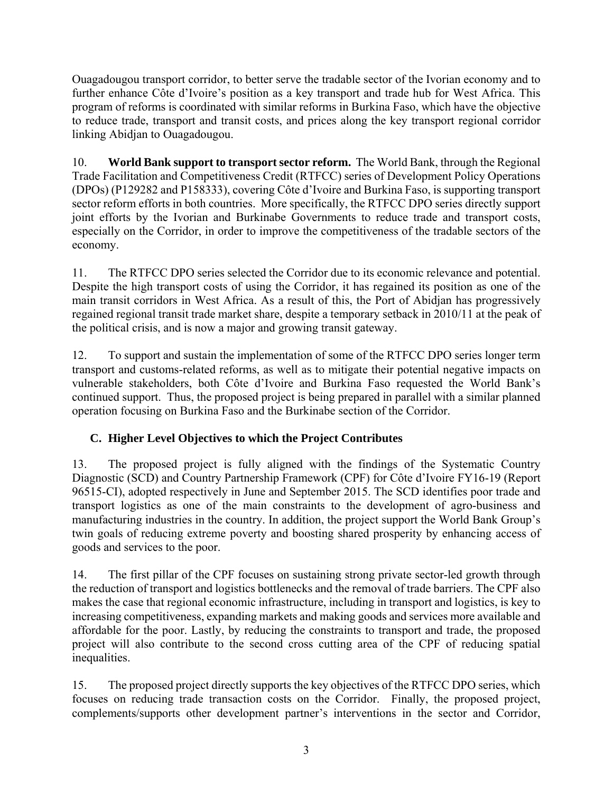Ouagadougou transport corridor, to better serve the tradable sector of the Ivorian economy and to further enhance Côte d'Ivoire's position as a key transport and trade hub for West Africa. This program of reforms is coordinated with similar reforms in Burkina Faso, which have the objective to reduce trade, transport and transit costs, and prices along the key transport regional corridor linking Abidjan to Ouagadougou.

10. **World Bank support to transport sector reform.** The World Bank, through the Regional Trade Facilitation and Competitiveness Credit (RTFCC) series of Development Policy Operations (DPOs) (P129282 and P158333), covering Côte d'Ivoire and Burkina Faso, is supporting transport sector reform efforts in both countries. More specifically, the RTFCC DPO series directly support joint efforts by the Ivorian and Burkinabe Governments to reduce trade and transport costs, especially on the Corridor, in order to improve the competitiveness of the tradable sectors of the economy.

11. The RTFCC DPO series selected the Corridor due to its economic relevance and potential. Despite the high transport costs of using the Corridor, it has regained its position as one of the main transit corridors in West Africa. As a result of this, the Port of Abidjan has progressively regained regional transit trade market share, despite a temporary setback in 2010/11 at the peak of the political crisis, and is now a major and growing transit gateway.

12. To support and sustain the implementation of some of the RTFCC DPO series longer term transport and customs-related reforms, as well as to mitigate their potential negative impacts on vulnerable stakeholders, both Côte d'Ivoire and Burkina Faso requested the World Bank's continued support. Thus, the proposed project is being prepared in parallel with a similar planned operation focusing on Burkina Faso and the Burkinabe section of the Corridor.

# **C. Higher Level Objectives to which the Project Contributes**

13. The proposed project is fully aligned with the findings of the Systematic Country Diagnostic (SCD) and Country Partnership Framework (CPF) for Côte d'Ivoire FY16-19 (Report 96515-CI), adopted respectively in June and September 2015. The SCD identifies poor trade and transport logistics as one of the main constraints to the development of agro-business and manufacturing industries in the country. In addition, the project support the World Bank Group's twin goals of reducing extreme poverty and boosting shared prosperity by enhancing access of goods and services to the poor.

14. The first pillar of the CPF focuses on sustaining strong private sector-led growth through the reduction of transport and logistics bottlenecks and the removal of trade barriers. The CPF also makes the case that regional economic infrastructure, including in transport and logistics, is key to increasing competitiveness, expanding markets and making goods and services more available and affordable for the poor. Lastly, by reducing the constraints to transport and trade, the proposed project will also contribute to the second cross cutting area of the CPF of reducing spatial inequalities.

15. The proposed project directly supports the key objectives of the RTFCC DPO series, which focuses on reducing trade transaction costs on the Corridor. Finally, the proposed project, complements/supports other development partner's interventions in the sector and Corridor,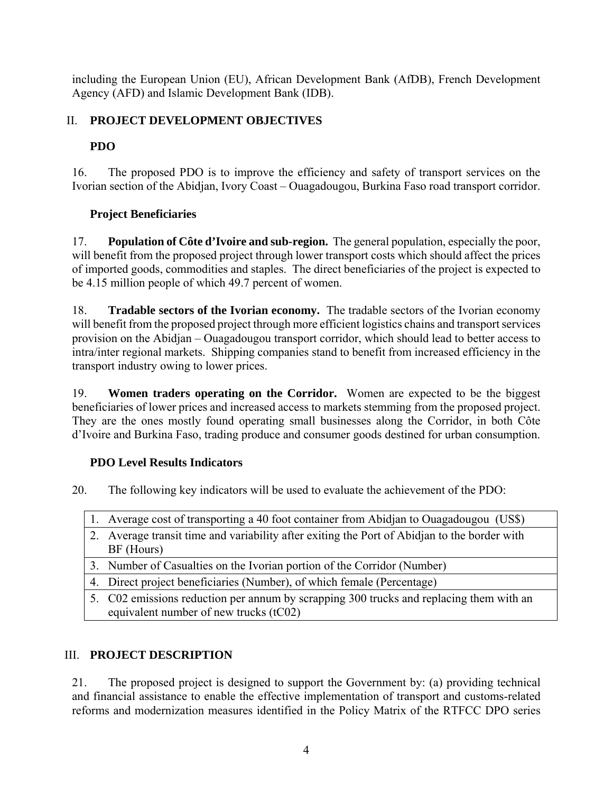including the European Union (EU), African Development Bank (AfDB), French Development Agency (AFD) and Islamic Development Bank (IDB).

# II. **PROJECT DEVELOPMENT OBJECTIVES**

# **PDO**

16. The proposed PDO is to improve the efficiency and safety of transport services on the Ivorian section of the Abidjan, Ivory Coast – Ouagadougou, Burkina Faso road transport corridor.

# **Project Beneficiaries**

17. **Population of Côte d'Ivoire and sub-region.** The general population, especially the poor, will benefit from the proposed project through lower transport costs which should affect the prices of imported goods, commodities and staples. The direct beneficiaries of the project is expected to be 4.15 million people of which 49.7 percent of women.

18. **Tradable sectors of the Ivorian economy.** The tradable sectors of the Ivorian economy will benefit from the proposed project through more efficient logistics chains and transport services provision on the Abidjan – Ouagadougou transport corridor, which should lead to better access to intra/inter regional markets. Shipping companies stand to benefit from increased efficiency in the transport industry owing to lower prices.

19. **Women traders operating on the Corridor.** Women are expected to be the biggest beneficiaries of lower prices and increased access to markets stemming from the proposed project. They are the ones mostly found operating small businesses along the Corridor, in both Côte d'Ivoire and Burkina Faso, trading produce and consumer goods destined for urban consumption.

## **PDO Level Results Indicators**

20. The following key indicators will be used to evaluate the achievement of the PDO:

- 1. Average cost of transporting a 40 foot container from Abidjan to Ouagadougou (US\$)
- 2. Average transit time and variability after exiting the Port of Abidjan to the border with BF (Hours)
- 3. Number of Casualties on the Ivorian portion of the Corridor (Number)
- 4. Direct project beneficiaries (Number), of which female (Percentage)
- 5. C02 emissions reduction per annum by scrapping 300 trucks and replacing them with an equivalent number of new trucks (tC02)

# III. **PROJECT DESCRIPTION**

21. The proposed project is designed to support the Government by: (a) providing technical and financial assistance to enable the effective implementation of transport and customs-related reforms and modernization measures identified in the Policy Matrix of the RTFCC DPO series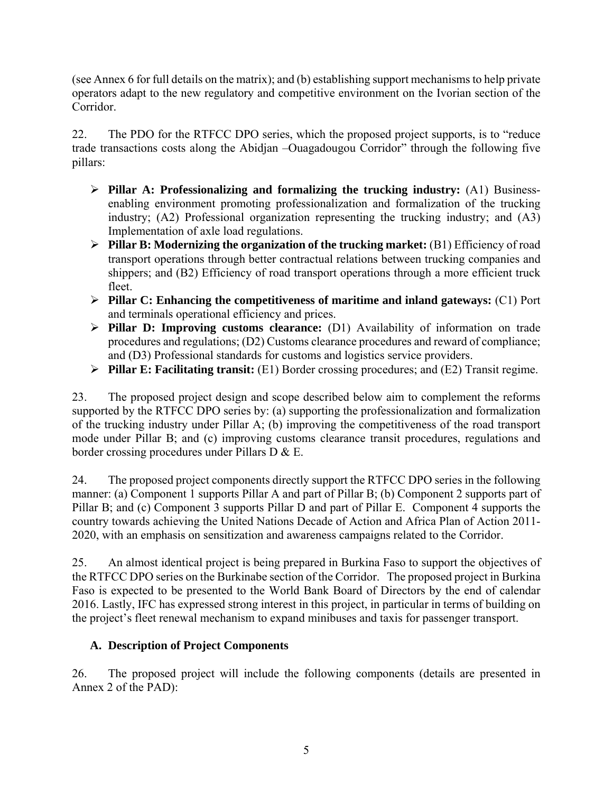(see Annex 6 for full details on the matrix); and (b) establishing support mechanisms to help private operators adapt to the new regulatory and competitive environment on the Ivorian section of the Corridor.

22. The PDO for the RTFCC DPO series, which the proposed project supports, is to "reduce trade transactions costs along the Abidjan –Ouagadougou Corridor" through the following five pillars:

- **Pillar A: Professionalizing and formalizing the trucking industry:** (A1) Businessenabling environment promoting professionalization and formalization of the trucking industry; (A2) Professional organization representing the trucking industry; and (A3) Implementation of axle load regulations.
- **Pillar B: Modernizing the organization of the trucking market:** (B1) Efficiency of road transport operations through better contractual relations between trucking companies and shippers; and (B2) Efficiency of road transport operations through a more efficient truck fleet.
- **Pillar C: Enhancing the competitiveness of maritime and inland gateways:** (C1) Port and terminals operational efficiency and prices.
- **Pillar D: Improving customs clearance:** (D1) Availability of information on trade procedures and regulations; (D2) Customs clearance procedures and reward of compliance; and (D3) Professional standards for customs and logistics service providers.
- **Pillar E: Facilitating transit:** (E1) Border crossing procedures; and (E2) Transit regime.

23. The proposed project design and scope described below aim to complement the reforms supported by the RTFCC DPO series by: (a) supporting the professionalization and formalization of the trucking industry under Pillar A; (b) improving the competitiveness of the road transport mode under Pillar B; and (c) improving customs clearance transit procedures, regulations and border crossing procedures under Pillars D & E.

24. The proposed project components directly support the RTFCC DPO series in the following manner: (a) Component 1 supports Pillar A and part of Pillar B; (b) Component 2 supports part of Pillar B; and (c) Component 3 supports Pillar D and part of Pillar E. Component 4 supports the country towards achieving the United Nations Decade of Action and Africa Plan of Action 2011- 2020, with an emphasis on sensitization and awareness campaigns related to the Corridor.

25. An almost identical project is being prepared in Burkina Faso to support the objectives of the RTFCC DPO series on the Burkinabe section of the Corridor. The proposed project in Burkina Faso is expected to be presented to the World Bank Board of Directors by the end of calendar 2016. Lastly, IFC has expressed strong interest in this project, in particular in terms of building on the project's fleet renewal mechanism to expand minibuses and taxis for passenger transport.

## **A. Description of Project Components**

26. The proposed project will include the following components (details are presented in Annex 2 of the PAD):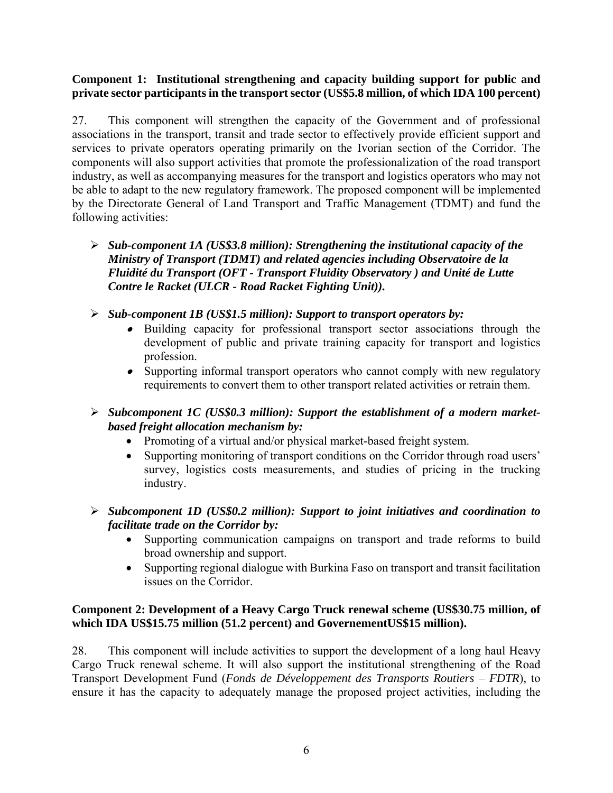### **Component 1: Institutional strengthening and capacity building support for public and private sector participants in the transport sector (US\$5.8 million, of which IDA 100 percent)**

27. This component will strengthen the capacity of the Government and of professional associations in the transport, transit and trade sector to effectively provide efficient support and services to private operators operating primarily on the Ivorian section of the Corridor. The components will also support activities that promote the professionalization of the road transport industry, as well as accompanying measures for the transport and logistics operators who may not be able to adapt to the new regulatory framework. The proposed component will be implemented by the Directorate General of Land Transport and Traffic Management (TDMT) and fund the following activities:

- *Sub-component 1A (US\$3.8 million): Strengthening the institutional capacity of the Ministry of Transport (TDMT) and related agencies including Observatoire de la Fluidité du Transport (OFT - Transport Fluidity Observatory ) and Unité de Lutte Contre le Racket (ULCR - Road Racket Fighting Unit)).*
- *Sub-component 1B (US\$1.5 million): Support to transport operators by:*
	- Building capacity for professional transport sector associations through the development of public and private training capacity for transport and logistics profession.
	- Supporting informal transport operators who cannot comply with new regulatory requirements to convert them to other transport related activities or retrain them.
- *Subcomponent 1C (US\$0.3 million): Support the establishment of a modern marketbased freight allocation mechanism by:* 
	- Promoting of a virtual and/or physical market-based freight system.
	- Supporting monitoring of transport conditions on the Corridor through road users' survey, logistics costs measurements, and studies of pricing in the trucking industry.
- *Subcomponent 1D (US\$0.2 million): Support to joint initiatives and coordination to facilitate trade on the Corridor by:* 
	- Supporting communication campaigns on transport and trade reforms to build broad ownership and support.
	- Supporting regional dialogue with Burkina Faso on transport and transit facilitation issues on the Corridor.

### **Component 2: Development of a Heavy Cargo Truck renewal scheme (US\$30.75 million, of which IDA US\$15.75 million (51.2 percent) and GovernementUS\$15 million).**

28. This component will include activities to support the development of a long haul Heavy Cargo Truck renewal scheme. It will also support the institutional strengthening of the Road Transport Development Fund (*Fonds de Développement des Transports Routiers* – *FDTR*), to ensure it has the capacity to adequately manage the proposed project activities, including the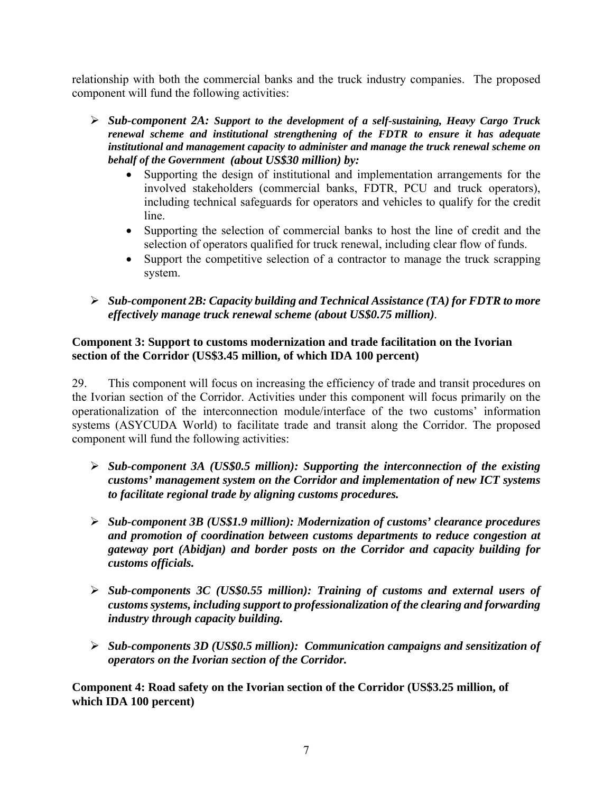relationship with both the commercial banks and the truck industry companies. The proposed component will fund the following activities:

- *Sub-component 2A: Support to the development of a self-sustaining, Heavy Cargo Truck renewal scheme and institutional strengthening of the FDTR to ensure it has adequate institutional and management capacity to administer and manage the truck renewal scheme on behalf of the Government (about US\$30 million) by:* 
	- Supporting the design of institutional and implementation arrangements for the involved stakeholders (commercial banks, FDTR, PCU and truck operators), including technical safeguards for operators and vehicles to qualify for the credit line.
	- Supporting the selection of commercial banks to host the line of credit and the selection of operators qualified for truck renewal, including clear flow of funds.
	- Support the competitive selection of a contractor to manage the truck scrapping system.
- *Sub-component 2B: Capacity building and Technical Assistance (TA) for FDTR to more effectively manage truck renewal scheme (about US\$0.75 million).*

### **Component 3: Support to customs modernization and trade facilitation on the Ivorian section of the Corridor (US\$3.45 million, of which IDA 100 percent)**

29. This component will focus on increasing the efficiency of trade and transit procedures on the Ivorian section of the Corridor. Activities under this component will focus primarily on the operationalization of the interconnection module/interface of the two customs' information systems (ASYCUDA World) to facilitate trade and transit along the Corridor. The proposed component will fund the following activities:

- *Sub-component 3A (US\$0.5 million): Supporting the interconnection of the existing customs' management system on the Corridor and implementation of new ICT systems to facilitate regional trade by aligning customs procedures.*
- *Sub-component 3B (US\$1.9 million): Modernization of customs' clearance procedures and promotion of coordination between customs departments to reduce congestion at gateway port (Abidjan) and border posts on the Corridor and capacity building for customs officials.*
- *Sub-components 3C (US\$0.55 million): Training of customs and external users of customs systems, including support to professionalization of the clearing and forwarding industry through capacity building.*
- *Sub-components 3D (US\$0.5 million): Communication campaigns and sensitization of operators on the Ivorian section of the Corridor.*

**Component 4: Road safety on the Ivorian section of the Corridor (US\$3.25 million, of which IDA 100 percent)**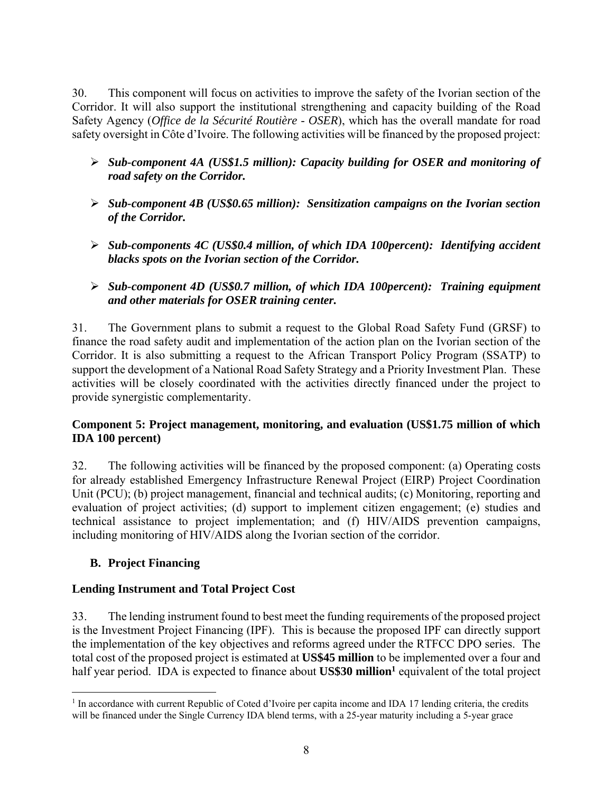30. This component will focus on activities to improve the safety of the Ivorian section of the Corridor. It will also support the institutional strengthening and capacity building of the Road Safety Agency (*Office de la Sécurité Routière* - *OSER*), which has the overall mandate for road safety oversight in Côte d'Ivoire. The following activities will be financed by the proposed project:

- *Sub-component 4A (US\$1.5 million): Capacity building for OSER and monitoring of road safety on the Corridor.*
- *Sub-component 4B (US\$0.65 million): Sensitization campaigns on the Ivorian section of the Corridor.*
- *Sub-components 4C (US\$0.4 million, of which IDA 100percent): Identifying accident blacks spots on the Ivorian section of the Corridor.*
- *Sub-component 4D (US\$0.7 million, of which IDA 100percent): Training equipment and other materials for OSER training center.*

31. The Government plans to submit a request to the Global Road Safety Fund (GRSF) to finance the road safety audit and implementation of the action plan on the Ivorian section of the Corridor. It is also submitting a request to the African Transport Policy Program (SSATP) to support the development of a National Road Safety Strategy and a Priority Investment Plan. These activities will be closely coordinated with the activities directly financed under the project to provide synergistic complementarity.

### **Component 5: Project management, monitoring, and evaluation (US\$1.75 million of which IDA 100 percent)**

32. The following activities will be financed by the proposed component: (a) Operating costs for already established Emergency Infrastructure Renewal Project (EIRP) Project Coordination Unit (PCU); (b) project management, financial and technical audits; (c) Monitoring, reporting and evaluation of project activities; (d) support to implement citizen engagement; (e) studies and technical assistance to project implementation; and (f) HIV/AIDS prevention campaigns, including monitoring of HIV/AIDS along the Ivorian section of the corridor.

## **B. Project Financing**

## **Lending Instrument and Total Project Cost**

33. The lending instrument found to best meet the funding requirements of the proposed project is the Investment Project Financing (IPF). This is because the proposed IPF can directly support the implementation of the key objectives and reforms agreed under the RTFCC DPO series. The total cost of the proposed project is estimated at **US\$45 million** to be implemented over a four and half year period. IDA is expected to finance about **US\$30 million**<sup>1</sup> equivalent of the total project

<sup>&</sup>lt;sup>1</sup> In accordance with current Republic of Coted d'Ivoire per capita income and IDA 17 lending criteria, the credits will be financed under the Single Currency IDA blend terms, with a 25-year maturity including a 5-year grace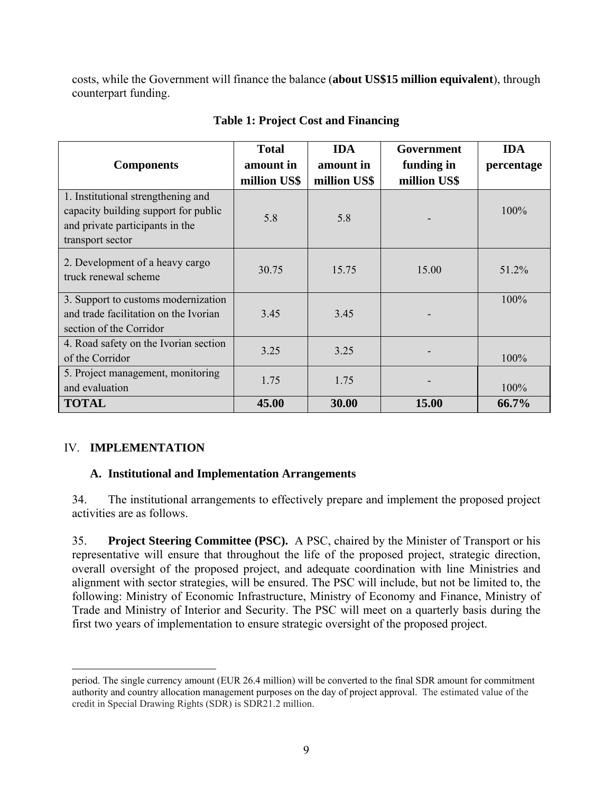costs, while the Government will finance the balance (**about US\$15 million equivalent**), through counterpart funding.

| <b>Components</b>                                                                                                                 | <b>Total</b><br>amount in | <b>IDA</b><br>amount in | Government<br>funding in | <b>IDA</b><br>percentage |
|-----------------------------------------------------------------------------------------------------------------------------------|---------------------------|-------------------------|--------------------------|--------------------------|
|                                                                                                                                   | million US\$              | million US\$            | million US\$             |                          |
| 1. Institutional strengthening and<br>capacity building support for public<br>and private participants in the<br>transport sector | 5.8                       | 5.8                     |                          | 100%                     |
| 2. Development of a heavy cargo<br>truck renewal scheme                                                                           | 30.75                     | 15.75                   | 15.00                    | 51.2%                    |
| 3. Support to customs modernization<br>and trade facilitation on the Ivorian<br>section of the Corridor                           | 3.45                      | 3.45                    |                          | 100%                     |
| 4. Road safety on the Ivorian section<br>of the Corridor                                                                          | 3.25                      | 3.25                    |                          | 100%                     |
| 5. Project management, monitoring<br>and evaluation                                                                               | 1.75                      | 1.75                    |                          | 100%                     |
| <b>TOTAL</b>                                                                                                                      | 45.00                     | 30.00                   | 15.00                    | 66.7%                    |

## **Table 1: Project Cost and Financing**

## IV. **IMPLEMENTATION**

### **A. Institutional and Implementation Arrangements**

34. The institutional arrangements to effectively prepare and implement the proposed project activities are as follows.

35. **Project Steering Committee (PSC).** A PSC, chaired by the Minister of Transport or his representative will ensure that throughout the life of the proposed project, strategic direction, overall oversight of the proposed project, and adequate coordination with line Ministries and alignment with sector strategies, will be ensured. The PSC will include, but not be limited to, the following: Ministry of Economic Infrastructure, Ministry of Economy and Finance, Ministry of Trade and Ministry of Interior and Security. The PSC will meet on a quarterly basis during the first two years of implementation to ensure strategic oversight of the proposed project.

 $\overline{a}$ period. The single currency amount (EUR 26.4 million) will be converted to the final SDR amount for commitment authority and country allocation management purposes on the day of project approval. The estimated value of the credit in Special Drawing Rights (SDR) is SDR21.2 million.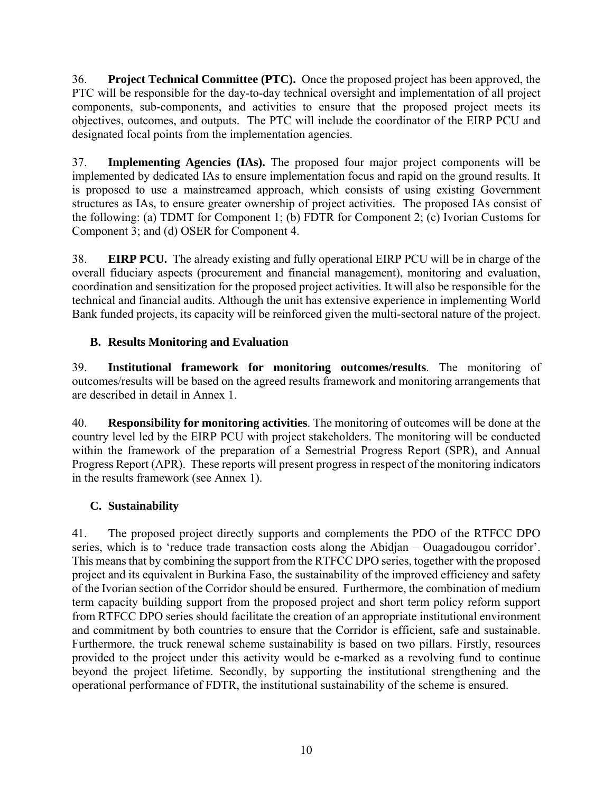36. **Project Technical Committee (PTC).** Once the proposed project has been approved, the PTC will be responsible for the day-to-day technical oversight and implementation of all project components, sub-components, and activities to ensure that the proposed project meets its objectives, outcomes, and outputs. The PTC will include the coordinator of the EIRP PCU and designated focal points from the implementation agencies.

37. **Implementing Agencies (IAs).** The proposed four major project components will be implemented by dedicated IAs to ensure implementation focus and rapid on the ground results. It is proposed to use a mainstreamed approach, which consists of using existing Government structures as IAs, to ensure greater ownership of project activities. The proposed IAs consist of the following: (a) TDMT for Component 1; (b) FDTR for Component 2; (c) Ivorian Customs for Component 3; and (d) OSER for Component 4.

38. **EIRP PCU.** The already existing and fully operational EIRP PCU will be in charge of the overall fiduciary aspects (procurement and financial management), monitoring and evaluation, coordination and sensitization for the proposed project activities. It will also be responsible for the technical and financial audits. Although the unit has extensive experience in implementing World Bank funded projects, its capacity will be reinforced given the multi-sectoral nature of the project.

# **B. Results Monitoring and Evaluation**

39. **Institutional framework for monitoring outcomes/results**. The monitoring of outcomes/results will be based on the agreed results framework and monitoring arrangements that are described in detail in Annex 1.

40. **Responsibility for monitoring activities**. The monitoring of outcomes will be done at the country level led by the EIRP PCU with project stakeholders. The monitoring will be conducted within the framework of the preparation of a Semestrial Progress Report (SPR), and Annual Progress Report (APR). These reports will present progress in respect of the monitoring indicators in the results framework (see Annex 1).

# **C. Sustainability**

41. The proposed project directly supports and complements the PDO of the RTFCC DPO series, which is to 'reduce trade transaction costs along the Abidjan – Ouagadougou corridor'. This means that by combining the support from the RTFCC DPO series, together with the proposed project and its equivalent in Burkina Faso, the sustainability of the improved efficiency and safety of the Ivorian section of the Corridor should be ensured. Furthermore, the combination of medium term capacity building support from the proposed project and short term policy reform support from RTFCC DPO series should facilitate the creation of an appropriate institutional environment and commitment by both countries to ensure that the Corridor is efficient, safe and sustainable. Furthermore, the truck renewal scheme sustainability is based on two pillars. Firstly, resources provided to the project under this activity would be e-marked as a revolving fund to continue beyond the project lifetime. Secondly, by supporting the institutional strengthening and the operational performance of FDTR, the institutional sustainability of the scheme is ensured.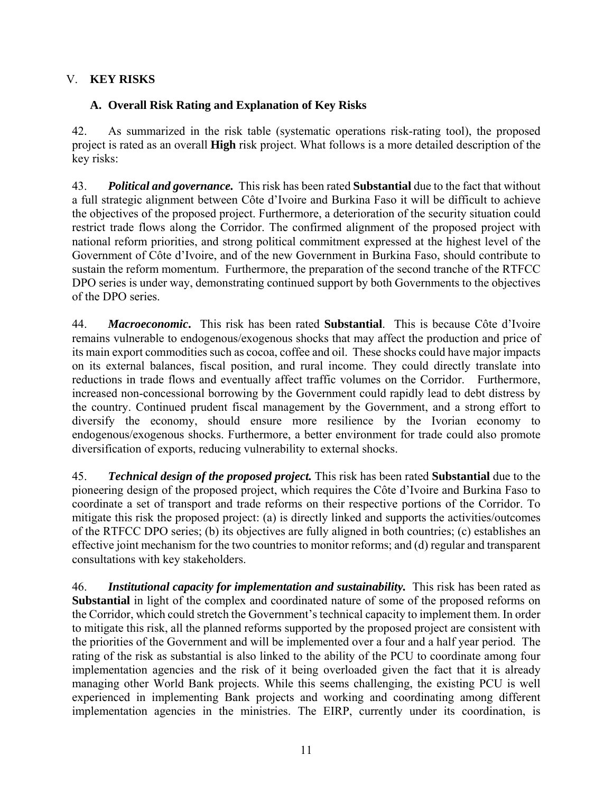## V. **KEY RISKS**

## **A. Overall Risk Rating and Explanation of Key Risks**

42. As summarized in the risk table (systematic operations risk-rating tool), the proposed project is rated as an overall **High** risk project. What follows is a more detailed description of the key risks:

43. *Political and governance.* This risk has been rated **Substantial** due to the fact that without a full strategic alignment between Côte d'Ivoire and Burkina Faso it will be difficult to achieve the objectives of the proposed project. Furthermore, a deterioration of the security situation could restrict trade flows along the Corridor. The confirmed alignment of the proposed project with national reform priorities, and strong political commitment expressed at the highest level of the Government of Côte d'Ivoire, and of the new Government in Burkina Faso, should contribute to sustain the reform momentum. Furthermore, the preparation of the second tranche of the RTFCC DPO series is under way, demonstrating continued support by both Governments to the objectives of the DPO series.

44. *Macroeconomic***.** This risk has been rated **Substantial**. This is because Côte d'Ivoire remains vulnerable to endogenous/exogenous shocks that may affect the production and price of its main export commodities such as cocoa, coffee and oil. These shocks could have major impacts on its external balances, fiscal position, and rural income. They could directly translate into reductions in trade flows and eventually affect traffic volumes on the Corridor. Furthermore, increased non-concessional borrowing by the Government could rapidly lead to debt distress by the country. Continued prudent fiscal management by the Government, and a strong effort to diversify the economy, should ensure more resilience by the Ivorian economy to endogenous/exogenous shocks. Furthermore, a better environment for trade could also promote diversification of exports, reducing vulnerability to external shocks.

45. *Technical design of the proposed project.* This risk has been rated **Substantial** due to the pioneering design of the proposed project, which requires the Côte d'Ivoire and Burkina Faso to coordinate a set of transport and trade reforms on their respective portions of the Corridor. To mitigate this risk the proposed project: (a) is directly linked and supports the activities/outcomes of the RTFCC DPO series; (b) its objectives are fully aligned in both countries; (c) establishes an effective joint mechanism for the two countries to monitor reforms; and (d) regular and transparent consultations with key stakeholders.

46. *Institutional capacity for implementation and sustainability.* This risk has been rated as **Substantial** in light of the complex and coordinated nature of some of the proposed reforms on the Corridor, which could stretch the Government's technical capacity to implement them. In order to mitigate this risk, all the planned reforms supported by the proposed project are consistent with the priorities of the Government and will be implemented over a four and a half year period. The rating of the risk as substantial is also linked to the ability of the PCU to coordinate among four implementation agencies and the risk of it being overloaded given the fact that it is already managing other World Bank projects. While this seems challenging, the existing PCU is well experienced in implementing Bank projects and working and coordinating among different implementation agencies in the ministries. The EIRP, currently under its coordination, is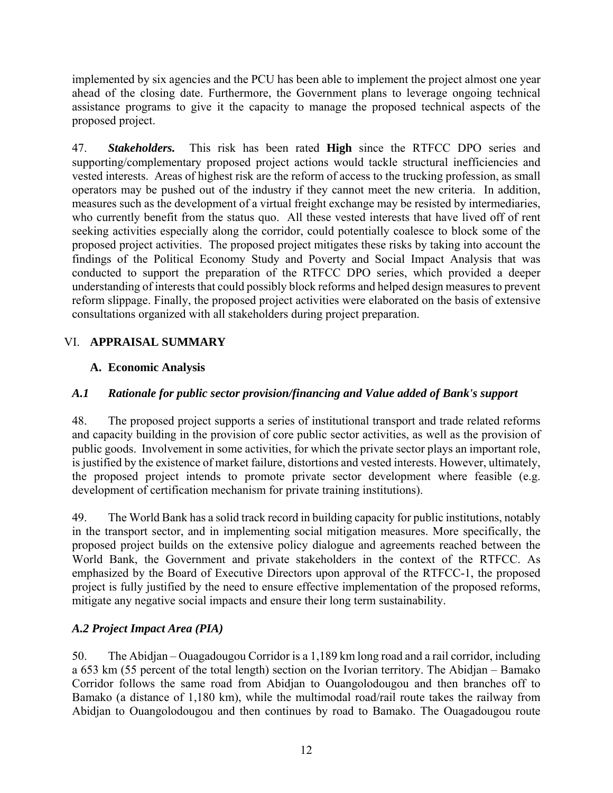implemented by six agencies and the PCU has been able to implement the project almost one year ahead of the closing date. Furthermore, the Government plans to leverage ongoing technical assistance programs to give it the capacity to manage the proposed technical aspects of the proposed project.

47. *Stakeholders.* This risk has been rated **High** since the RTFCC DPO series and supporting/complementary proposed project actions would tackle structural inefficiencies and vested interests. Areas of highest risk are the reform of access to the trucking profession, as small operators may be pushed out of the industry if they cannot meet the new criteria. In addition, measures such as the development of a virtual freight exchange may be resisted by intermediaries, who currently benefit from the status quo. All these vested interests that have lived off of rent seeking activities especially along the corridor, could potentially coalesce to block some of the proposed project activities. The proposed project mitigates these risks by taking into account the findings of the Political Economy Study and Poverty and Social Impact Analysis that was conducted to support the preparation of the RTFCC DPO series, which provided a deeper understanding of interests that could possibly block reforms and helped design measures to prevent reform slippage. Finally, the proposed project activities were elaborated on the basis of extensive consultations organized with all stakeholders during project preparation.

# VI. **APPRAISAL SUMMARY**

## **A. Economic Analysis**

## *A.1 Rationale for public sector provision/financing and Value added of Bank's support*

48. The proposed project supports a series of institutional transport and trade related reforms and capacity building in the provision of core public sector activities, as well as the provision of public goods. Involvement in some activities, for which the private sector plays an important role, is justified by the existence of market failure, distortions and vested interests. However, ultimately, the proposed project intends to promote private sector development where feasible (e.g. development of certification mechanism for private training institutions).

49. The World Bank has a solid track record in building capacity for public institutions, notably in the transport sector, and in implementing social mitigation measures. More specifically, the proposed project builds on the extensive policy dialogue and agreements reached between the World Bank, the Government and private stakeholders in the context of the RTFCC. As emphasized by the Board of Executive Directors upon approval of the RTFCC-1, the proposed project is fully justified by the need to ensure effective implementation of the proposed reforms, mitigate any negative social impacts and ensure their long term sustainability.

## *A.2 Project Impact Area (PIA)*

50. The Abidjan – Ouagadougou Corridor is a 1,189 km long road and a rail corridor, including a 653 km (55 percent of the total length) section on the Ivorian territory. The Abidjan – Bamako Corridor follows the same road from Abidjan to Ouangolodougou and then branches off to Bamako (a distance of 1,180 km), while the multimodal road/rail route takes the railway from Abidjan to Ouangolodougou and then continues by road to Bamako. The Ouagadougou route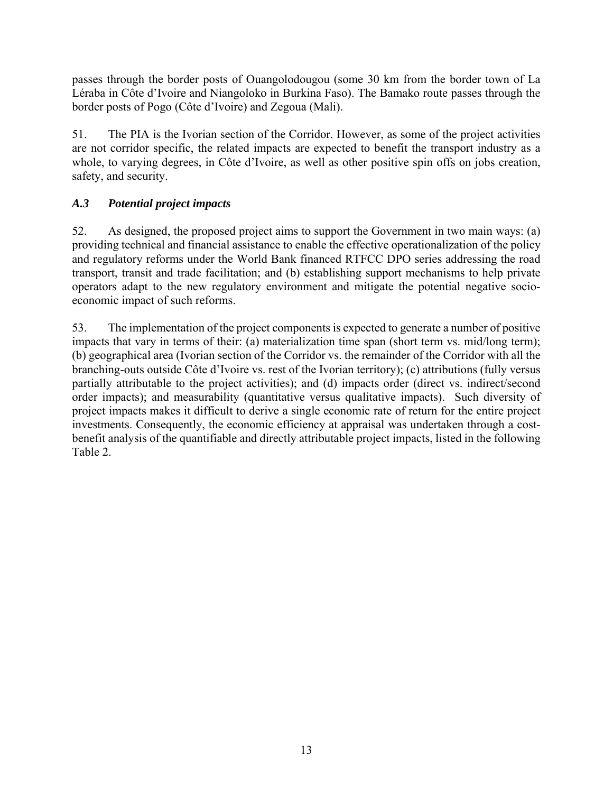passes through the border posts of Ouangolodougou (some 30 km from the border town of La Léraba in Côte d'Ivoire and Niangoloko in Burkina Faso). The Bamako route passes through the border posts of Pogo (Côte d'Ivoire) and Zegoua (Mali).

51. The PIA is the Ivorian section of the Corridor. However, as some of the project activities are not corridor specific, the related impacts are expected to benefit the transport industry as a whole, to varying degrees, in Côte d'Ivoire, as well as other positive spin offs on jobs creation, safety, and security.

# *A.3 Potential project impacts*

52. As designed, the proposed project aims to support the Government in two main ways: (a) providing technical and financial assistance to enable the effective operationalization of the policy and regulatory reforms under the World Bank financed RTFCC DPO series addressing the road transport, transit and trade facilitation; and (b) establishing support mechanisms to help private operators adapt to the new regulatory environment and mitigate the potential negative socioeconomic impact of such reforms.

53. The implementation of the project components is expected to generate a number of positive impacts that vary in terms of their: (a) materialization time span (short term vs. mid/long term); (b) geographical area (Ivorian section of the Corridor vs. the remainder of the Corridor with all the branching-outs outside Côte d'Ivoire vs. rest of the Ivorian territory); (c) attributions (fully versus partially attributable to the project activities); and (d) impacts order (direct vs. indirect/second order impacts); and measurability (quantitative versus qualitative impacts). Such diversity of project impacts makes it difficult to derive a single economic rate of return for the entire project investments. Consequently, the economic efficiency at appraisal was undertaken through a costbenefit analysis of the quantifiable and directly attributable project impacts, listed in the following Table 2.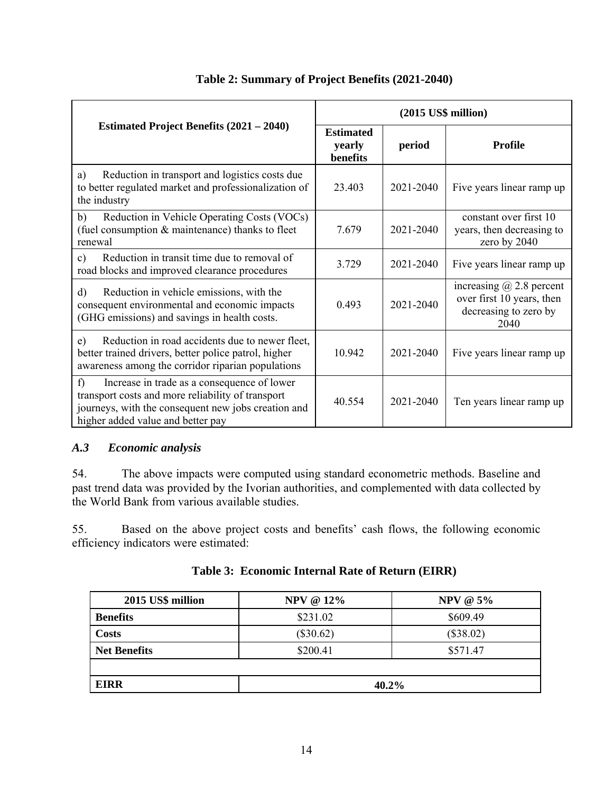|                                                                                                                                                                                                   | $(2015$ US\$ million)                  |           |                                                                                               |  |
|---------------------------------------------------------------------------------------------------------------------------------------------------------------------------------------------------|----------------------------------------|-----------|-----------------------------------------------------------------------------------------------|--|
| <b>Estimated Project Benefits (2021 – 2040)</b>                                                                                                                                                   | <b>Estimated</b><br>yearly<br>benefits | period    | <b>Profile</b>                                                                                |  |
| Reduction in transport and logistics costs due<br>a)<br>to better regulated market and professionalization of<br>the industry                                                                     | 23.403                                 | 2021-2040 | Five years linear ramp up                                                                     |  |
| b)<br>Reduction in Vehicle Operating Costs (VOCs)<br>(fuel consumption & maintenance) thanks to fleet<br>renewal                                                                                  | 7.679                                  | 2021-2040 | constant over first 10<br>years, then decreasing to<br>zero by 2040                           |  |
| Reduction in transit time due to removal of<br>$\mathbf{c})$<br>road blocks and improved clearance procedures                                                                                     | 3.729                                  | 2021-2040 | Five years linear ramp up                                                                     |  |
| Reduction in vehicle emissions, with the<br>$\mathbf{d}$<br>consequent environmental and economic impacts<br>(GHG emissions) and savings in health costs.                                         | 0.493                                  | 2021-2040 | increasing $\omega$ 2.8 percent<br>over first 10 years, then<br>decreasing to zero by<br>2040 |  |
| e)<br>Reduction in road accidents due to newer fleet,<br>better trained drivers, better police patrol, higher<br>awareness among the corridor riparian populations                                | 10.942                                 | 2021-2040 | Five years linear ramp up                                                                     |  |
| f<br>Increase in trade as a consequence of lower<br>transport costs and more reliability of transport<br>journeys, with the consequent new jobs creation and<br>higher added value and better pay | 40.554                                 | 2021-2040 | Ten years linear ramp up                                                                      |  |

## **Table 2: Summary of Project Benefits (2021-2040)**

### *A.3 Economic analysis*

54. The above impacts were computed using standard econometric methods. Baseline and past trend data was provided by the Ivorian authorities, and complemented with data collected by the World Bank from various available studies.

55. Based on the above project costs and benefits' cash flows, the following economic efficiency indicators were estimated:

| 2015 US\$ million   | NPV @ $12\%$ | <b>NPV @ 5%</b> |  |  |
|---------------------|--------------|-----------------|--|--|
| <b>Benefits</b>     | \$231.02     | \$609.49        |  |  |
| <b>Costs</b>        | $(\$30.62)$  | $(\$38.02)$     |  |  |
| <b>Net Benefits</b> | \$200.41     | \$571.47        |  |  |
|                     |              |                 |  |  |
| <b>EIRR</b>         | 40.2%        |                 |  |  |

## **Table 3: Economic Internal Rate of Return (EIRR)**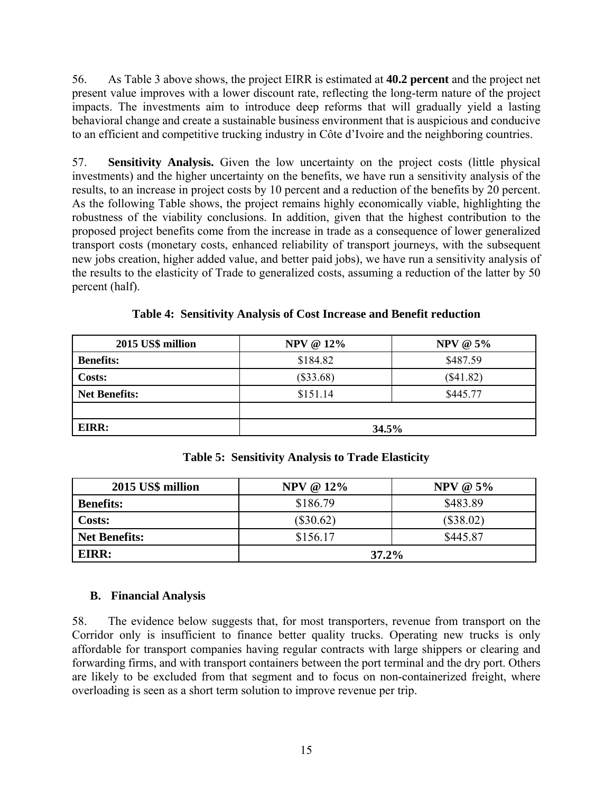56. As Table 3 above shows, the project EIRR is estimated at **40.2 percent** and the project net present value improves with a lower discount rate, reflecting the long-term nature of the project impacts. The investments aim to introduce deep reforms that will gradually yield a lasting behavioral change and create a sustainable business environment that is auspicious and conducive to an efficient and competitive trucking industry in Côte d'Ivoire and the neighboring countries.

57. **Sensitivity Analysis.** Given the low uncertainty on the project costs (little physical investments) and the higher uncertainty on the benefits, we have run a sensitivity analysis of the results, to an increase in project costs by 10 percent and a reduction of the benefits by 20 percent. As the following Table shows, the project remains highly economically viable, highlighting the robustness of the viability conclusions. In addition, given that the highest contribution to the proposed project benefits come from the increase in trade as a consequence of lower generalized transport costs (monetary costs, enhanced reliability of transport journeys, with the subsequent new jobs creation, higher added value, and better paid jobs), we have run a sensitivity analysis of the results to the elasticity of Trade to generalized costs, assuming a reduction of the latter by 50 percent (half).

| 2015 US\$ million    | <b>NPV @ 12%</b><br><b>NPV @ 5%</b> |             |  |  |
|----------------------|-------------------------------------|-------------|--|--|
| <b>Benefits:</b>     | \$184.82                            | \$487.59    |  |  |
| <b>Costs:</b>        | $(\$33.68)$                         | $(\$41.82)$ |  |  |
| <b>Net Benefits:</b> | \$151.14<br>\$445.77                |             |  |  |
|                      |                                     |             |  |  |
| EIRR:                | 34.5%                               |             |  |  |

**Table 4: Sensitivity Analysis of Cost Increase and Benefit reduction** 

| 2015 US\$ million    | <b>NPV @ 12%</b> | NPV @ $5\%$ |  |
|----------------------|------------------|-------------|--|
| <b>Benefits:</b>     | \$186.79         | \$483.89    |  |
| Costs:               | $(\$30.62)$      | $(\$38.02)$ |  |
| <b>Net Benefits:</b> | \$156.17         | \$445.87    |  |
| EIRR:                | $37.2\%$         |             |  |

**Table 5: Sensitivity Analysis to Trade Elasticity** 

### **B. Financial Analysis**

58. The evidence below suggests that, for most transporters, revenue from transport on the Corridor only is insufficient to finance better quality trucks. Operating new trucks is only affordable for transport companies having regular contracts with large shippers or clearing and forwarding firms, and with transport containers between the port terminal and the dry port. Others are likely to be excluded from that segment and to focus on non-containerized freight, where overloading is seen as a short term solution to improve revenue per trip.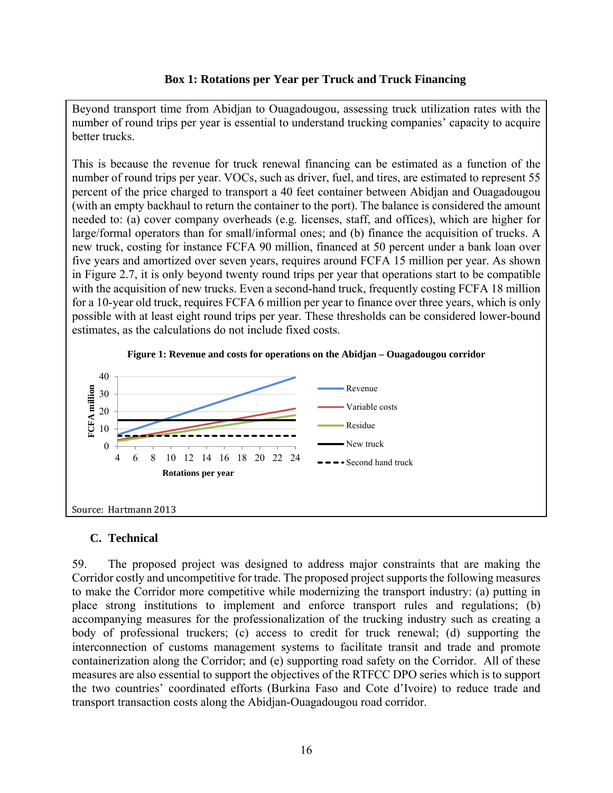### **Box 1: Rotations per Year per Truck and Truck Financing**

Beyond transport time from Abidjan to Ouagadougou, assessing truck utilization rates with the number of round trips per year is essential to understand trucking companies' capacity to acquire better trucks.

This is because the revenue for truck renewal financing can be estimated as a function of the number of round trips per year. VOCs, such as driver, fuel, and tires, are estimated to represent 55 percent of the price charged to transport a 40 feet container between Abidjan and Ouagadougou (with an empty backhaul to return the container to the port). The balance is considered the amount needed to: (a) cover company overheads (e.g. licenses, staff, and offices), which are higher for large/formal operators than for small/informal ones; and (b) finance the acquisition of trucks. A new truck, costing for instance FCFA 90 million, financed at 50 percent under a bank loan over five years and amortized over seven years, requires around FCFA 15 million per year. As shown in Figure 2.7, it is only beyond twenty round trips per year that operations start to be compatible with the acquisition of new trucks. Even a second-hand truck, frequently costing FCFA 18 million for a 10-year old truck, requires FCFA 6 million per year to finance over three years, which is only possible with at least eight round trips per year. These thresholds can be considered lower-bound estimates, as the calculations do not include fixed costs.



### **C. Technical**

59. The proposed project was designed to address major constraints that are making the Corridor costly and uncompetitive for trade. The proposed project supports the following measures to make the Corridor more competitive while modernizing the transport industry: (a) putting in place strong institutions to implement and enforce transport rules and regulations; (b) accompanying measures for the professionalization of the trucking industry such as creating a body of professional truckers; (c) access to credit for truck renewal; (d) supporting the interconnection of customs management systems to facilitate transit and trade and promote containerization along the Corridor; and (e) supporting road safety on the Corridor. All of these measures are also essential to support the objectives of the RTFCC DPO series which is to support the two countries' coordinated efforts (Burkina Faso and Cote d'Ivoire) to reduce trade and transport transaction costs along the Abidjan-Ouagadougou road corridor.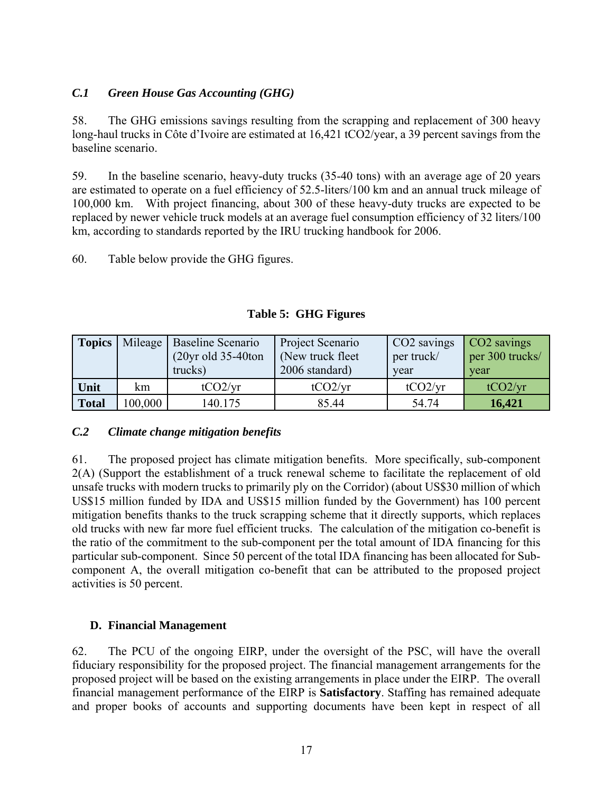### *C.1 Green House Gas Accounting (GHG)*

58. The GHG emissions savings resulting from the scrapping and replacement of 300 heavy long-haul trucks in Côte d'Ivoire are estimated at 16,421 tCO2/year, a 39 percent savings from the baseline scenario.

59. In the baseline scenario, heavy-duty trucks (35-40 tons) with an average age of 20 years are estimated to operate on a fuel efficiency of 52.5-liters/100 km and an annual truck mileage of 100,000 km. With project financing, about 300 of these heavy-duty trucks are expected to be replaced by newer vehicle truck models at an average fuel consumption efficiency of 32 liters/100 km, according to standards reported by the IRU trucking handbook for 2006.

60. Table below provide the GHG figures.

| <b>Topics</b> |         | Mileage   Baseline Scenario<br>$(20yr$ old 35-40ton<br>trucks) | Project Scenario<br>(New truck fleet)<br>2006 standard) | CO <sub>2</sub> savings<br>per truck/<br>year | CO <sub>2</sub> savings<br>per 300 trucks/<br>year |  |
|---------------|---------|----------------------------------------------------------------|---------------------------------------------------------|-----------------------------------------------|----------------------------------------------------|--|
| Unit          | km      | tCO2/yr                                                        | tCO2/yr                                                 | tCO2/yr                                       | tCO2/yr                                            |  |
| <b>Total</b>  | 100,000 | 140.175                                                        | 85.44                                                   | 54.74                                         | 16,421                                             |  |

**Table 5: GHG Figures** 

### *C.2 Climate change mitigation benefits*

61. The proposed project has climate mitigation benefits. More specifically, sub-component 2(A) (Support the establishment of a truck renewal scheme to facilitate the replacement of old unsafe trucks with modern trucks to primarily ply on the Corridor) (about US\$30 million of which US\$15 million funded by IDA and US\$15 million funded by the Government) has 100 percent mitigation benefits thanks to the truck scrapping scheme that it directly supports, which replaces old trucks with new far more fuel efficient trucks. The calculation of the mitigation co-benefit is the ratio of the commitment to the sub-component per the total amount of IDA financing for this particular sub-component. Since 50 percent of the total IDA financing has been allocated for Subcomponent A, the overall mitigation co-benefit that can be attributed to the proposed project activities is 50 percent.

## **D. Financial Management**

62. The PCU of the ongoing EIRP, under the oversight of the PSC, will have the overall fiduciary responsibility for the proposed project. The financial management arrangements for the proposed project will be based on the existing arrangements in place under the EIRP. The overall financial management performance of the EIRP is **Satisfactory**. Staffing has remained adequate and proper books of accounts and supporting documents have been kept in respect of all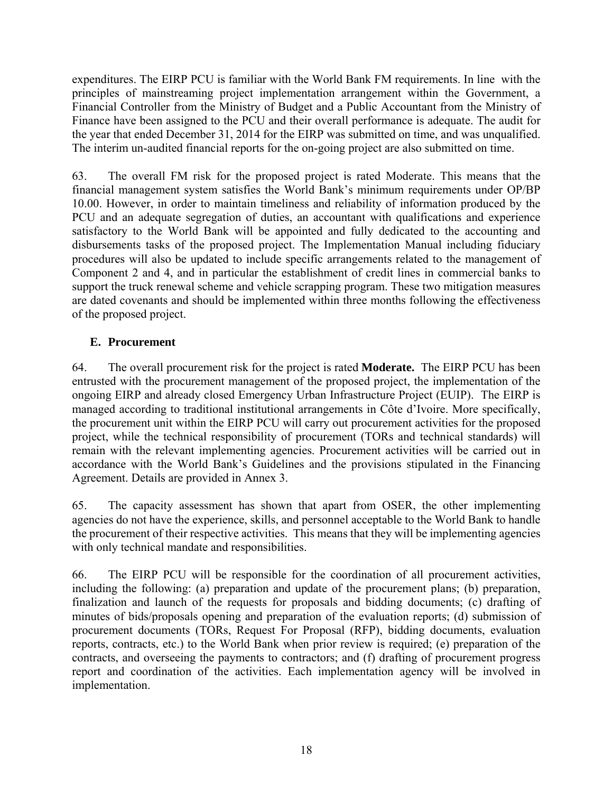expenditures. The EIRP PCU is familiar with the World Bank FM requirements. In line with the principles of mainstreaming project implementation arrangement within the Government, a Financial Controller from the Ministry of Budget and a Public Accountant from the Ministry of Finance have been assigned to the PCU and their overall performance is adequate. The audit for the year that ended December 31, 2014 for the EIRP was submitted on time, and was unqualified. The interim un-audited financial reports for the on-going project are also submitted on time.

63. The overall FM risk for the proposed project is rated Moderate. This means that the financial management system satisfies the World Bank's minimum requirements under OP/BP 10.00. However, in order to maintain timeliness and reliability of information produced by the PCU and an adequate segregation of duties, an accountant with qualifications and experience satisfactory to the World Bank will be appointed and fully dedicated to the accounting and disbursements tasks of the proposed project. The Implementation Manual including fiduciary procedures will also be updated to include specific arrangements related to the management of Component 2 and 4, and in particular the establishment of credit lines in commercial banks to support the truck renewal scheme and vehicle scrapping program. These two mitigation measures are dated covenants and should be implemented within three months following the effectiveness of the proposed project.

## **E. Procurement**

64. The overall procurement risk for the project is rated **Moderate.** The EIRP PCU has been entrusted with the procurement management of the proposed project, the implementation of the ongoing EIRP and already closed Emergency Urban Infrastructure Project (EUIP). The EIRP is managed according to traditional institutional arrangements in Côte d'Ivoire. More specifically, the procurement unit within the EIRP PCU will carry out procurement activities for the proposed project, while the technical responsibility of procurement (TORs and technical standards) will remain with the relevant implementing agencies. Procurement activities will be carried out in accordance with the World Bank's Guidelines and the provisions stipulated in the Financing Agreement. Details are provided in Annex 3.

65. The capacity assessment has shown that apart from OSER, the other implementing agencies do not have the experience, skills, and personnel acceptable to the World Bank to handle the procurement of their respective activities. This means that they will be implementing agencies with only technical mandate and responsibilities.

66. The EIRP PCU will be responsible for the coordination of all procurement activities, including the following: (a) preparation and update of the procurement plans; (b) preparation, finalization and launch of the requests for proposals and bidding documents; (c) drafting of minutes of bids/proposals opening and preparation of the evaluation reports; (d) submission of procurement documents (TORs, Request For Proposal (RFP), bidding documents, evaluation reports, contracts, etc.) to the World Bank when prior review is required; (e) preparation of the contracts, and overseeing the payments to contractors; and (f) drafting of procurement progress report and coordination of the activities. Each implementation agency will be involved in implementation.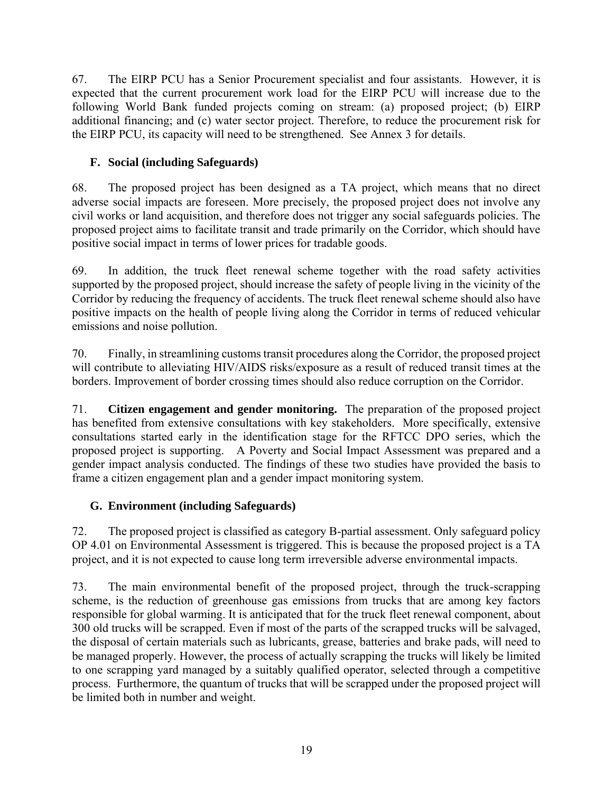67. The EIRP PCU has a Senior Procurement specialist and four assistants. However, it is expected that the current procurement work load for the EIRP PCU will increase due to the following World Bank funded projects coming on stream: (a) proposed project; (b) EIRP additional financing; and (c) water sector project. Therefore, to reduce the procurement risk for the EIRP PCU, its capacity will need to be strengthened. See Annex 3 for details.

## **F. Social (including Safeguards)**

68. The proposed project has been designed as a TA project, which means that no direct adverse social impacts are foreseen. More precisely, the proposed project does not involve any civil works or land acquisition, and therefore does not trigger any social safeguards policies. The proposed project aims to facilitate transit and trade primarily on the Corridor, which should have positive social impact in terms of lower prices for tradable goods.

69. In addition, the truck fleet renewal scheme together with the road safety activities supported by the proposed project, should increase the safety of people living in the vicinity of the Corridor by reducing the frequency of accidents. The truck fleet renewal scheme should also have positive impacts on the health of people living along the Corridor in terms of reduced vehicular emissions and noise pollution.

70. Finally, in streamlining customs transit procedures along the Corridor, the proposed project will contribute to alleviating HIV/AIDS risks/exposure as a result of reduced transit times at the borders. Improvement of border crossing times should also reduce corruption on the Corridor.

71. **Citizen engagement and gender monitoring.** The preparation of the proposed project has benefited from extensive consultations with key stakeholders. More specifically, extensive consultations started early in the identification stage for the RFTCC DPO series, which the proposed project is supporting. A Poverty and Social Impact Assessment was prepared and a gender impact analysis conducted. The findings of these two studies have provided the basis to frame a citizen engagement plan and a gender impact monitoring system.

# **G. Environment (including Safeguards)**

72. The proposed project is classified as category B-partial assessment. Only safeguard policy OP 4.01 on Environmental Assessment is triggered. This is because the proposed project is a TA project, and it is not expected to cause long term irreversible adverse environmental impacts.

73. The main environmental benefit of the proposed project, through the truck-scrapping scheme, is the reduction of greenhouse gas emissions from trucks that are among key factors responsible for global warming. It is anticipated that for the truck fleet renewal component, about 300 old trucks will be scrapped. Even if most of the parts of the scrapped trucks will be salvaged, the disposal of certain materials such as lubricants, grease, batteries and brake pads, will need to be managed properly. However, the process of actually scrapping the trucks will likely be limited to one scrapping yard managed by a suitably qualified operator, selected through a competitive process. Furthermore, the quantum of trucks that will be scrapped under the proposed project will be limited both in number and weight.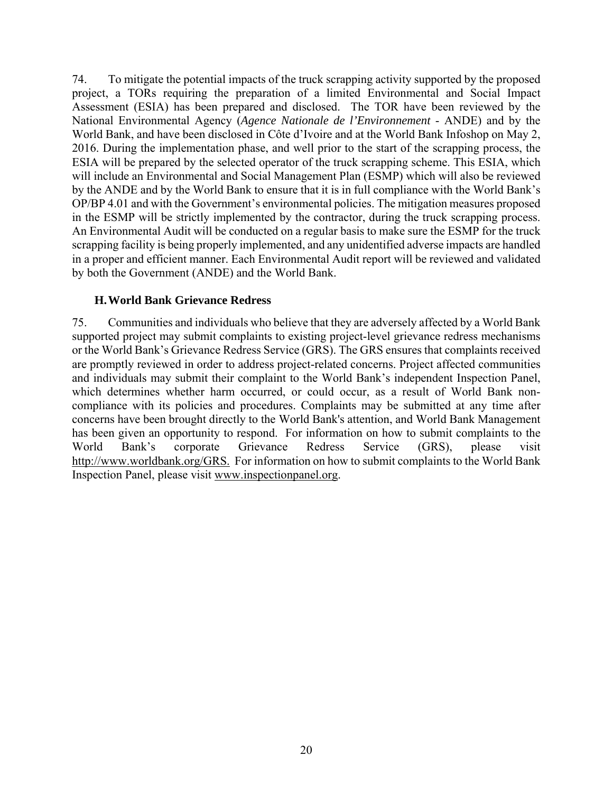74. To mitigate the potential impacts of the truck scrapping activity supported by the proposed project, a TORs requiring the preparation of a limited Environmental and Social Impact Assessment (ESIA) has been prepared and disclosed. The TOR have been reviewed by the National Environmental Agency (*Agence Nationale de l'Environnement* - ANDE) and by the World Bank, and have been disclosed in Côte d'Ivoire and at the World Bank Infoshop on May 2, 2016. During the implementation phase, and well prior to the start of the scrapping process, the ESIA will be prepared by the selected operator of the truck scrapping scheme. This ESIA, which will include an Environmental and Social Management Plan (ESMP) which will also be reviewed by the ANDE and by the World Bank to ensure that it is in full compliance with the World Bank's OP/BP 4.01 and with the Government's environmental policies. The mitigation measures proposed in the ESMP will be strictly implemented by the contractor, during the truck scrapping process. An Environmental Audit will be conducted on a regular basis to make sure the ESMP for the truck scrapping facility is being properly implemented, and any unidentified adverse impacts are handled in a proper and efficient manner. Each Environmental Audit report will be reviewed and validated by both the Government (ANDE) and the World Bank.

### **H.World Bank Grievance Redress**

75. Communities and individuals who believe that they are adversely affected by a World Bank supported project may submit complaints to existing project-level grievance redress mechanisms or the World Bank's Grievance Redress Service (GRS). The GRS ensures that complaints received are promptly reviewed in order to address project-related concerns. Project affected communities and individuals may submit their complaint to the World Bank's independent Inspection Panel, which determines whether harm occurred, or could occur, as a result of World Bank noncompliance with its policies and procedures. Complaints may be submitted at any time after concerns have been brought directly to the World Bank's attention, and World Bank Management has been given an opportunity to respond. For information on how to submit complaints to the World Bank's corporate Grievance Redress Service (GRS), please visit http://www.worldbank.org/GRS. For information on how to submit complaints to the World Bank Inspection Panel, please visit www.inspectionpanel.org.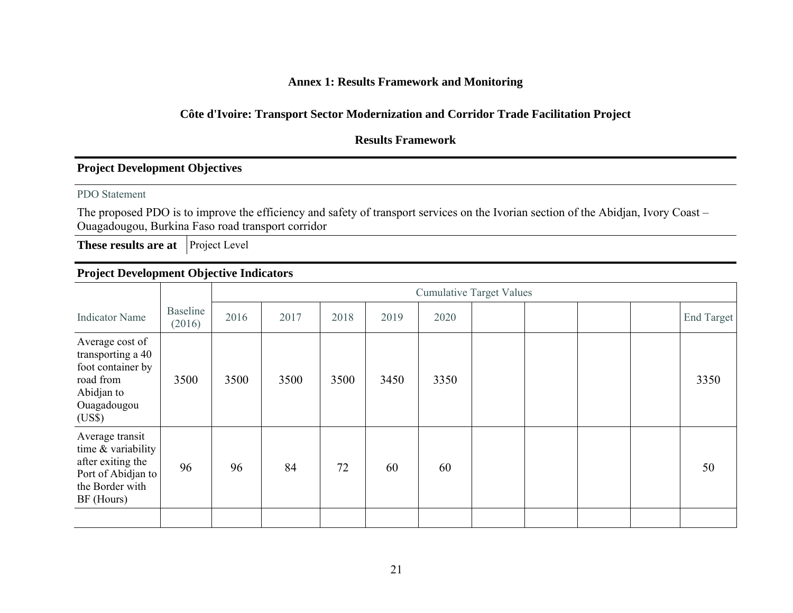### **Annex 1: Results Framework and Monitoring**

### **Côte d'Ivoire: Transport Sector Modernization and Corridor Trade Facilitation Project**

### **Results Framework**

### **Project Development Objectives**

#### PDO Statement

The proposed PDO is to improve the efficiency and safety of transport services on the Ivorian section of the Abidjan, Ivory Coast – Ouagadougou, Burkina Faso road transport corridor

**These results are at** Project Level

# **Project Development Objective Indicators**

|                                                                                                                     |                    | <b>Cumulative Target Values</b> |      |      |      |      |  |  |  |  |                   |
|---------------------------------------------------------------------------------------------------------------------|--------------------|---------------------------------|------|------|------|------|--|--|--|--|-------------------|
| <b>Indicator Name</b>                                                                                               | Baseline<br>(2016) | 2016                            | 2017 | 2018 | 2019 | 2020 |  |  |  |  | <b>End Target</b> |
| Average cost of<br>transporting a 40<br>foot container by<br>road from<br>Abidjan to<br>Ouagadougou<br>(US\$)       | 3500               | 3500                            | 3500 | 3500 | 3450 | 3350 |  |  |  |  | 3350              |
| Average transit<br>time $&$ variability<br>after exiting the<br>Port of Abidjan to<br>the Border with<br>BF (Hours) | 96                 | 96                              | 84   | 72   | 60   | 60   |  |  |  |  | 50                |
|                                                                                                                     |                    |                                 |      |      |      |      |  |  |  |  |                   |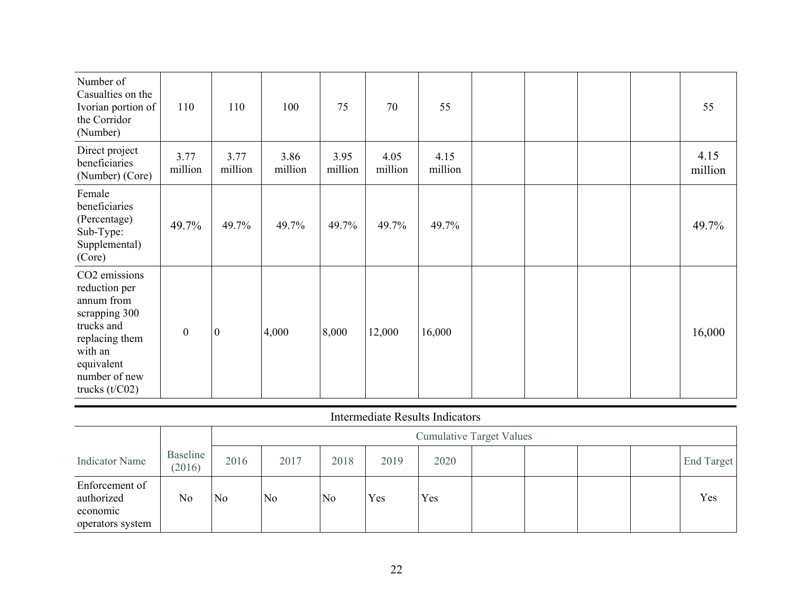| Number of<br>Casualties on the<br>Ivorian portion of<br>the Corridor<br>(Number)                                                                            | 110              | 110              | 100             | 75              | 70              | 55              |  |  | 55              |
|-------------------------------------------------------------------------------------------------------------------------------------------------------------|------------------|------------------|-----------------|-----------------|-----------------|-----------------|--|--|-----------------|
| Direct project<br>beneficiaries<br>(Number) (Core)                                                                                                          | 3.77<br>million  | 3.77<br>million  | 3.86<br>million | 3.95<br>million | 4.05<br>million | 4.15<br>million |  |  | 4.15<br>million |
| Female<br>beneficiaries<br>(Percentage)<br>Sub-Type:<br>Supplemental)<br>(Core)                                                                             | 49.7%            | 49.7%            | 49.7%           | 49.7%           | 49.7%           | 49.7%           |  |  | 49.7%           |
| CO2 emissions<br>reduction per<br>annum from<br>scrapping 300<br>trucks and<br>replacing them<br>with an<br>equivalent<br>number of new<br>trucks $(t/C02)$ | $\boldsymbol{0}$ | $\boldsymbol{0}$ | 4,000           | 8,000           | 12,000          | 16,000          |  |  | 16,000          |

#### Intermediate Results Indicators

|                                                              |                    |                | <b>Cumulative Target Values</b> |                |      |      |  |  |  |            |
|--------------------------------------------------------------|--------------------|----------------|---------------------------------|----------------|------|------|--|--|--|------------|
| <b>Indicator Name</b>                                        | Baseline<br>(2016) | 2016           | 2017                            | 2018           | 2019 | 2020 |  |  |  | End Target |
| Enforcement of<br>authorized<br>economic<br>operators system | No                 | N <sub>o</sub> | N <sub>0</sub>                  | N <sub>0</sub> | Yes  | Yes  |  |  |  | Yes        |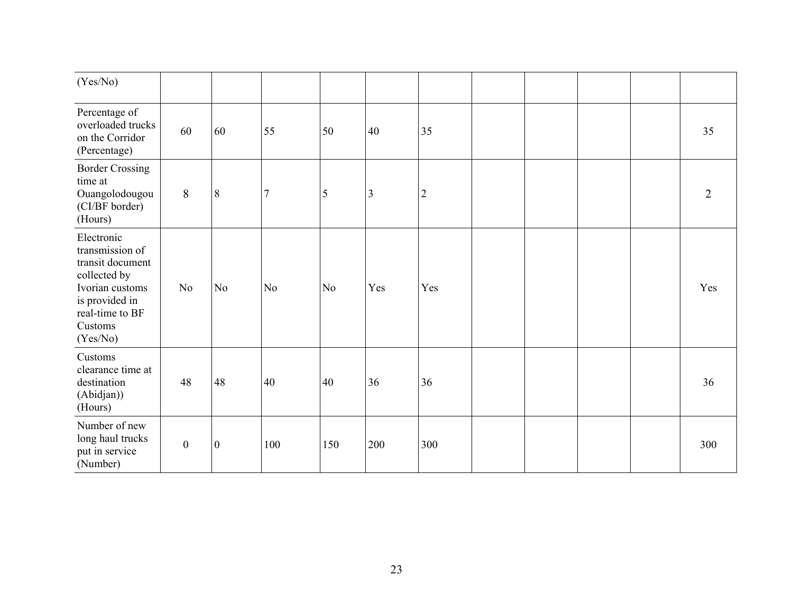| (Yes/No)                                                                                                                                         |                  |                  |                |                |     |                |  |  |                |
|--------------------------------------------------------------------------------------------------------------------------------------------------|------------------|------------------|----------------|----------------|-----|----------------|--|--|----------------|
| Percentage of<br>overloaded trucks<br>on the Corridor<br>(Percentage)                                                                            | 60               | 60               | 55             | 50             | 40  | 35             |  |  | 35             |
| <b>Border Crossing</b><br>time at<br>Ouangolodougou<br>(CI/BF border)<br>(Hours)                                                                 | 8                | 8                | $\overline{7}$ | 5              | 3   | $\overline{2}$ |  |  | $\overline{2}$ |
| Electronic<br>transmission of<br>transit document<br>collected by<br>Ivorian customs<br>is provided in<br>real-time to BF<br>Customs<br>(Yes/No) | N <sub>o</sub>   | N <sub>o</sub>   | No             | N <sub>o</sub> | Yes | Yes            |  |  | Yes            |
| Customs<br>clearance time at<br>destination<br>(Abidjan))<br>(Hours)                                                                             | 48               | 48               | 40             | 40             | 36  | 36             |  |  | 36             |
| Number of new<br>long haul trucks<br>put in service<br>(Number)                                                                                  | $\boldsymbol{0}$ | $\boldsymbol{0}$ | 100            | 150            | 200 | 300            |  |  | 300            |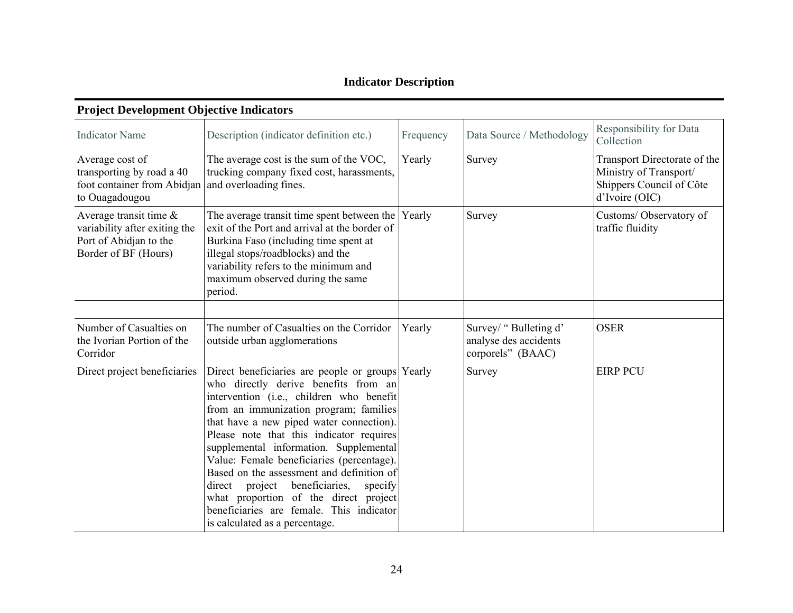# **Indicator Description**

| 1 roject Development Objective multators                                                                             |                                                                                                                                                                                                                                                                                                                                                                                                                                                                                                                                                                                  |           |                                                                     |                                                                                                      |
|----------------------------------------------------------------------------------------------------------------------|----------------------------------------------------------------------------------------------------------------------------------------------------------------------------------------------------------------------------------------------------------------------------------------------------------------------------------------------------------------------------------------------------------------------------------------------------------------------------------------------------------------------------------------------------------------------------------|-----------|---------------------------------------------------------------------|------------------------------------------------------------------------------------------------------|
| <b>Indicator Name</b>                                                                                                | Description (indicator definition etc.)                                                                                                                                                                                                                                                                                                                                                                                                                                                                                                                                          | Frequency | Data Source / Methodology                                           | Responsibility for Data<br>Collection                                                                |
| Average cost of<br>transporting by road a 40<br>foot container from Abidjan and overloading fines.<br>to Ouagadougou | The average cost is the sum of the VOC,<br>trucking company fixed cost, harassments,                                                                                                                                                                                                                                                                                                                                                                                                                                                                                             | Yearly    | Survey                                                              | Transport Directorate of the<br>Ministry of Transport/<br>Shippers Council of Côte<br>d'Ivoire (OIC) |
| Average transit time $\&$<br>variability after exiting the<br>Port of Abidjan to the<br>Border of BF (Hours)         | The average transit time spent between the<br>exit of the Port and arrival at the border of<br>Burkina Faso (including time spent at<br>illegal stops/roadblocks) and the<br>variability refers to the minimum and<br>maximum observed during the same<br>period.                                                                                                                                                                                                                                                                                                                | Yearly    | Survey                                                              | Customs/Observatory of<br>traffic fluidity                                                           |
| Number of Casualties on<br>the Ivorian Portion of the<br>Corridor                                                    | The number of Casualties on the Corridor<br>outside urban agglomerations                                                                                                                                                                                                                                                                                                                                                                                                                                                                                                         | Yearly    | Survey/ "Bulleting d'<br>analyse des accidents<br>corporels" (BAAC) | <b>OSER</b>                                                                                          |
| Direct project beneficiaries                                                                                         | Direct beneficiaries are people or groups Yearly<br>who directly derive benefits from an<br>intervention (i.e., children who benefit<br>from an immunization program; families<br>that have a new piped water connection).<br>Please note that this indicator requires<br>supplemental information. Supplemental<br>Value: Female beneficiaries (percentage).<br>Based on the assessment and definition of<br>beneficiaries,<br>direct project<br>specify<br>what proportion of the direct project<br>beneficiaries are female. This indicator<br>is calculated as a percentage. |           | Survey                                                              | <b>EIRP PCU</b>                                                                                      |

#### **Project Development Objective Indicators**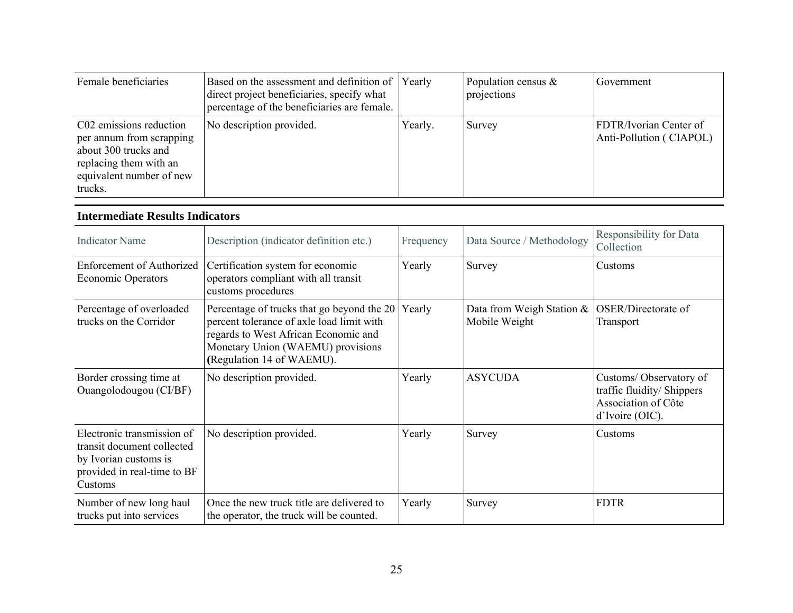| Female beneficiaries                                                                                                                         | Based on the assessment and definition of Yearly<br>direct project beneficiaries, specify what<br>percentage of the beneficiaries are female. |         | Population census $\&$<br>projections | Government                                               |
|----------------------------------------------------------------------------------------------------------------------------------------------|-----------------------------------------------------------------------------------------------------------------------------------------------|---------|---------------------------------------|----------------------------------------------------------|
| C02 emissions reduction<br>per annum from scrapping<br>about 300 trucks and<br>replacing them with an<br>equivalent number of new<br>trucks. | No description provided.                                                                                                                      | Yearly. | Survey                                | <b>FDTR/Ivorian Center of</b><br>Anti-Pollution (CIAPOL) |

#### **Intermediate Results Indicators**

| <b>Indicator Name</b>                                                                                                       | Description (indicator definition etc.)                                                                                                                                                           | Frequency | Data Source / Methodology                     | Responsibility for Data<br>Collection                                                          |
|-----------------------------------------------------------------------------------------------------------------------------|---------------------------------------------------------------------------------------------------------------------------------------------------------------------------------------------------|-----------|-----------------------------------------------|------------------------------------------------------------------------------------------------|
| <b>Enforcement of Authorized</b><br><b>Economic Operators</b>                                                               | Certification system for economic<br>operators compliant with all transit<br>customs procedures                                                                                                   | Yearly    | Survey                                        | Customs                                                                                        |
| Percentage of overloaded<br>trucks on the Corridor                                                                          | Percentage of trucks that go beyond the 20<br>percent tolerance of axle load limit with<br>regards to West African Economic and<br>Monetary Union (WAEMU) provisions<br>(Regulation 14 of WAEMU). | Yearly    | Data from Weigh Station $\&$<br>Mobile Weight | OSER/Directorate of<br>Transport                                                               |
| Border crossing time at<br>Ouangolodougou (CI/BF)                                                                           | No description provided.                                                                                                                                                                          | Yearly    | <b>ASYCUDA</b>                                | Customs/Observatory of<br>traffic fluidity/ Shippers<br>Association of Côte<br>d'Ivoire (OIC). |
| Electronic transmission of<br>transit document collected<br>by Ivorian customs is<br>provided in real-time to BF<br>Customs | No description provided.                                                                                                                                                                          | Yearly    | Survey                                        | Customs                                                                                        |
| Number of new long haul<br>trucks put into services                                                                         | Once the new truck title are delivered to<br>the operator, the truck will be counted.                                                                                                             | Yearly    | Survey                                        | <b>FDTR</b>                                                                                    |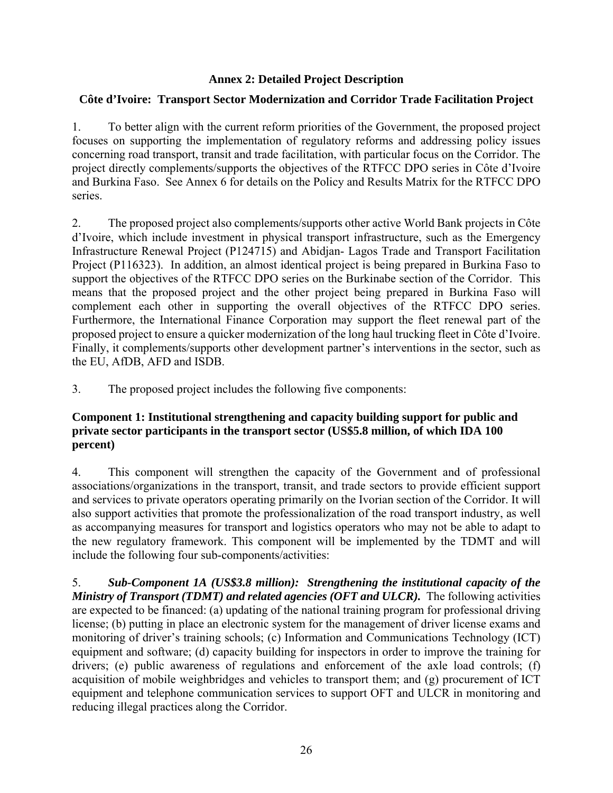## **Annex 2: Detailed Project Description**

## **Côte d'Ivoire: Transport Sector Modernization and Corridor Trade Facilitation Project**

1. To better align with the current reform priorities of the Government, the proposed project focuses on supporting the implementation of regulatory reforms and addressing policy issues concerning road transport, transit and trade facilitation, with particular focus on the Corridor. The project directly complements/supports the objectives of the RTFCC DPO series in Côte d'Ivoire and Burkina Faso. See Annex 6 for details on the Policy and Results Matrix for the RTFCC DPO series.

2. The proposed project also complements/supports other active World Bank projects in Côte d'Ivoire, which include investment in physical transport infrastructure, such as the Emergency Infrastructure Renewal Project (P124715) and Abidjan- Lagos Trade and Transport Facilitation Project (P116323). In addition, an almost identical project is being prepared in Burkina Faso to support the objectives of the RTFCC DPO series on the Burkinabe section of the Corridor. This means that the proposed project and the other project being prepared in Burkina Faso will complement each other in supporting the overall objectives of the RTFCC DPO series. Furthermore, the International Finance Corporation may support the fleet renewal part of the proposed project to ensure a quicker modernization of the long haul trucking fleet in Côte d'Ivoire. Finally, it complements/supports other development partner's interventions in the sector, such as the EU, AfDB, AFD and ISDB.

3. The proposed project includes the following five components:

## **Component 1: Institutional strengthening and capacity building support for public and private sector participants in the transport sector (US\$5.8 million, of which IDA 100 percent)**

4. This component will strengthen the capacity of the Government and of professional associations/organizations in the transport, transit, and trade sectors to provide efficient support and services to private operators operating primarily on the Ivorian section of the Corridor. It will also support activities that promote the professionalization of the road transport industry, as well as accompanying measures for transport and logistics operators who may not be able to adapt to the new regulatory framework. This component will be implemented by the TDMT and will include the following four sub-components/activities:

5. *Sub-Component 1A (US\$3.8 million): Strengthening the institutional capacity of the Ministry of Transport (TDMT) and related agencies (OFT and ULCR).* The following activities are expected to be financed: (a) updating of the national training program for professional driving license; (b) putting in place an electronic system for the management of driver license exams and monitoring of driver's training schools; (c) Information and Communications Technology (ICT) equipment and software; (d) capacity building for inspectors in order to improve the training for drivers; (e) public awareness of regulations and enforcement of the axle load controls; (f) acquisition of mobile weighbridges and vehicles to transport them; and (g) procurement of ICT equipment and telephone communication services to support OFT and ULCR in monitoring and reducing illegal practices along the Corridor.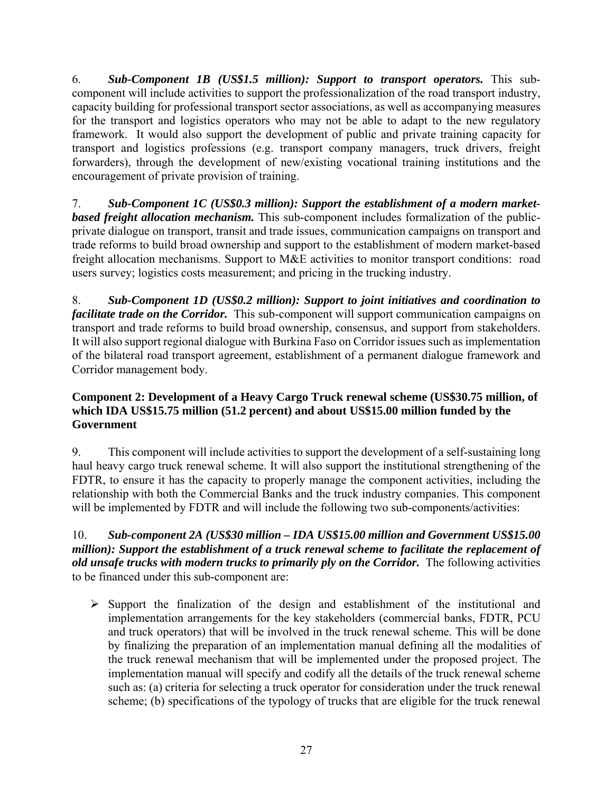6. *Sub-Component 1B (US\$1.5 million): Support to transport operators.* This subcomponent will include activities to support the professionalization of the road transport industry, capacity building for professional transport sector associations, as well as accompanying measures for the transport and logistics operators who may not be able to adapt to the new regulatory framework. It would also support the development of public and private training capacity for transport and logistics professions (e.g. transport company managers, truck drivers, freight forwarders), through the development of new/existing vocational training institutions and the encouragement of private provision of training.

7. *Sub-Component 1C (US\$0.3 million): Support the establishment of a modern marketbased freight allocation mechanism.* This sub-component includes formalization of the publicprivate dialogue on transport, transit and trade issues, communication campaigns on transport and trade reforms to build broad ownership and support to the establishment of modern market-based freight allocation mechanisms. Support to M&E activities to monitor transport conditions: road users survey; logistics costs measurement; and pricing in the trucking industry.

8. *Sub-Component 1D (US\$0.2 million): Support to joint initiatives and coordination to facilitate trade on the Corridor.* This sub-component will support communication campaigns on transport and trade reforms to build broad ownership, consensus, and support from stakeholders. It will also support regional dialogue with Burkina Faso on Corridor issues such as implementation of the bilateral road transport agreement, establishment of a permanent dialogue framework and Corridor management body.

## **Component 2: Development of a Heavy Cargo Truck renewal scheme (US\$30.75 million, of which IDA US\$15.75 million (51.2 percent) and about US\$15.00 million funded by the Government**

9. This component will include activities to support the development of a self-sustaining long haul heavy cargo truck renewal scheme. It will also support the institutional strengthening of the FDTR, to ensure it has the capacity to properly manage the component activities, including the relationship with both the Commercial Banks and the truck industry companies. This component will be implemented by FDTR and will include the following two sub-components/activities:

## 10. *Sub-component 2A (US\$30 million – IDA US\$15.00 million and Government US\$15.00 million): Support the establishment of a truck renewal scheme to facilitate the replacement of old unsafe trucks with modern trucks to primarily ply on the Corridor.* The following activities to be financed under this sub-component are:

 $\triangleright$  Support the finalization of the design and establishment of the institutional and implementation arrangements for the key stakeholders (commercial banks, FDTR, PCU and truck operators) that will be involved in the truck renewal scheme. This will be done by finalizing the preparation of an implementation manual defining all the modalities of the truck renewal mechanism that will be implemented under the proposed project. The implementation manual will specify and codify all the details of the truck renewal scheme such as: (a) criteria for selecting a truck operator for consideration under the truck renewal scheme; (b) specifications of the typology of trucks that are eligible for the truck renewal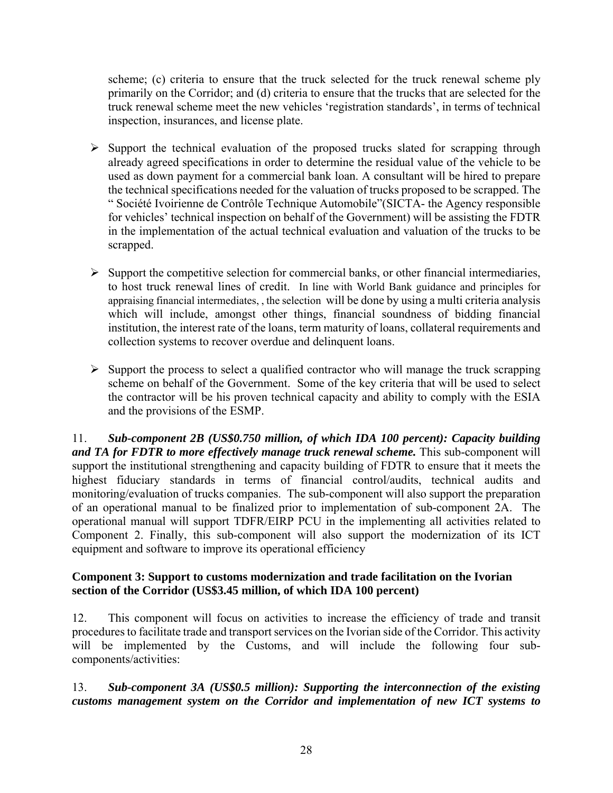scheme; (c) criteria to ensure that the truck selected for the truck renewal scheme ply primarily on the Corridor; and (d) criteria to ensure that the trucks that are selected for the truck renewal scheme meet the new vehicles 'registration standards', in terms of technical inspection, insurances, and license plate.

- $\triangleright$  Support the technical evaluation of the proposed trucks slated for scrapping through already agreed specifications in order to determine the residual value of the vehicle to be used as down payment for a commercial bank loan. A consultant will be hired to prepare the technical specifications needed for the valuation of trucks proposed to be scrapped. The " Société Ivoirienne de Contrôle Technique Automobile"(SICTA- the Agency responsible for vehicles' technical inspection on behalf of the Government) will be assisting the FDTR in the implementation of the actual technical evaluation and valuation of the trucks to be scrapped.
- $\triangleright$  Support the competitive selection for commercial banks, or other financial intermediaries, to host truck renewal lines of credit. In line with World Bank guidance and principles for appraising financial intermediates, , the selection will be done by using a multi criteria analysis which will include, amongst other things, financial soundness of bidding financial institution, the interest rate of the loans, term maturity of loans, collateral requirements and collection systems to recover overdue and delinquent loans.
- $\triangleright$  Support the process to select a qualified contractor who will manage the truck scrapping scheme on behalf of the Government. Some of the key criteria that will be used to select the contractor will be his proven technical capacity and ability to comply with the ESIA and the provisions of the ESMP.

11. *Sub-component 2B (US\$0.750 million, of which IDA 100 percent): Capacity building*  and TA for FDTR to more effectively manage truck renewal scheme. This sub-component will support the institutional strengthening and capacity building of FDTR to ensure that it meets the highest fiduciary standards in terms of financial control/audits, technical audits and monitoring/evaluation of trucks companies. The sub-component will also support the preparation of an operational manual to be finalized prior to implementation of sub-component 2A. The operational manual will support TDFR/EIRP PCU in the implementing all activities related to Component 2. Finally, this sub-component will also support the modernization of its ICT equipment and software to improve its operational efficiency

## **Component 3: Support to customs modernization and trade facilitation on the Ivorian section of the Corridor (US\$3.45 million, of which IDA 100 percent)**

12. This component will focus on activities to increase the efficiency of trade and transit procedures to facilitate trade and transport services on the Ivorian side of the Corridor. This activity will be implemented by the Customs, and will include the following four subcomponents/activities:

13. *Sub-component 3A (US\$0.5 million): Supporting the interconnection of the existing customs management system on the Corridor and implementation of new ICT systems to*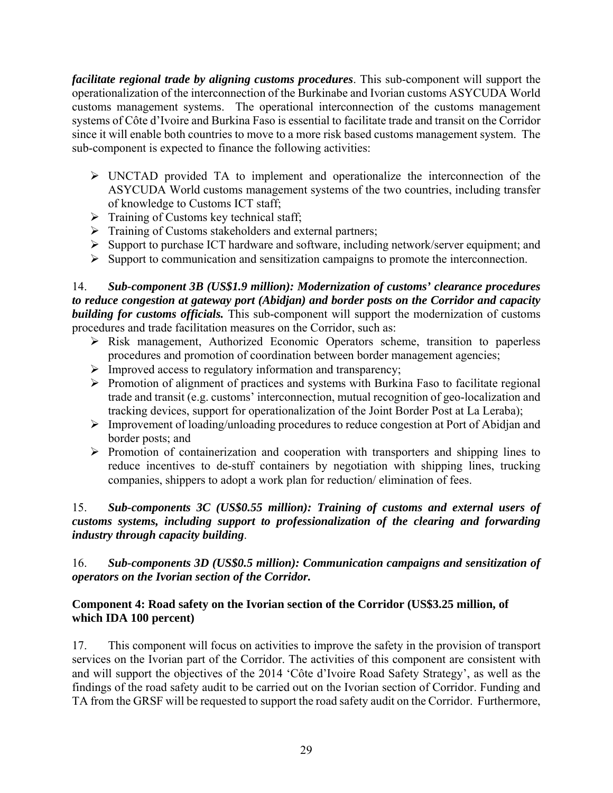*facilitate regional trade by aligning customs procedures*. This sub-component will support the operationalization of the interconnection of the Burkinabe and Ivorian customs ASYCUDA World customs management systems. The operational interconnection of the customs management systems of Côte d'Ivoire and Burkina Faso is essential to facilitate trade and transit on the Corridor since it will enable both countries to move to a more risk based customs management system. The sub-component is expected to finance the following activities:

- UNCTAD provided TA to implement and operationalize the interconnection of the ASYCUDA World customs management systems of the two countries, including transfer of knowledge to Customs ICT staff;
- $\triangleright$  Training of Customs key technical staff;
- $\triangleright$  Training of Customs stakeholders and external partners;
- $\triangleright$  Support to purchase ICT hardware and software, including network/server equipment; and
- $\triangleright$  Support to communication and sensitization campaigns to promote the interconnection.

14. *Sub-component 3B (US\$1.9 million): Modernization of customs' clearance procedures to reduce congestion at gateway port (Abidjan) and border posts on the Corridor and capacity building for customs officials.* This sub-component will support the modernization of customs procedures and trade facilitation measures on the Corridor, such as:

- $\triangleright$  Risk management, Authorized Economic Operators scheme, transition to paperless procedures and promotion of coordination between border management agencies;
- $\triangleright$  Improved access to regulatory information and transparency;
- $\triangleright$  Promotion of alignment of practices and systems with Burkina Faso to facilitate regional trade and transit (e.g. customs' interconnection, mutual recognition of geo-localization and tracking devices, support for operationalization of the Joint Border Post at La Leraba);
- Improvement of loading/unloading procedures to reduce congestion at Port of Abidjan and border posts; and
- $\triangleright$  Promotion of containerization and cooperation with transporters and shipping lines to reduce incentives to de-stuff containers by negotiation with shipping lines, trucking companies, shippers to adopt a work plan for reduction/ elimination of fees.

## 15. *Sub-components 3C (US\$0.55 million): Training of customs and external users of customs systems, including support to professionalization of the clearing and forwarding industry through capacity building*.

## 16. *Sub-components 3D (US\$0.5 million): Communication campaigns and sensitization of operators on the Ivorian section of the Corridor.*

## **Component 4: Road safety on the Ivorian section of the Corridor (US\$3.25 million, of which IDA 100 percent)**

17. This component will focus on activities to improve the safety in the provision of transport services on the Ivorian part of the Corridor. The activities of this component are consistent with and will support the objectives of the 2014 'Côte d'Ivoire Road Safety Strategy', as well as the findings of the road safety audit to be carried out on the Ivorian section of Corridor. Funding and TA from the GRSF will be requested to support the road safety audit on the Corridor. Furthermore,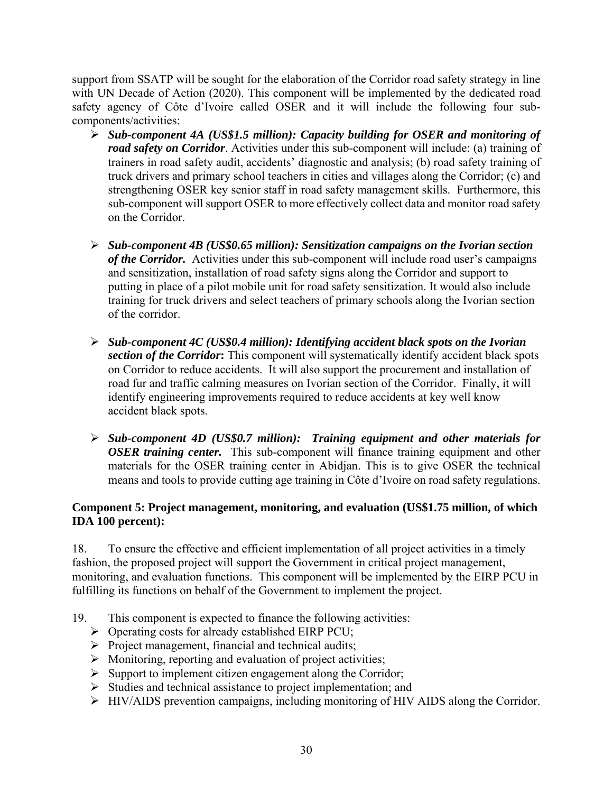support from SSATP will be sought for the elaboration of the Corridor road safety strategy in line with UN Decade of Action (2020). This component will be implemented by the dedicated road safety agency of Côte d'Ivoire called OSER and it will include the following four subcomponents/activities:

- *Sub-component 4A (US\$1.5 million): Capacity building for OSER and monitoring of road safety on Corridor*. Activities under this sub-component will include: (a) training of trainers in road safety audit, accidents' diagnostic and analysis; (b) road safety training of truck drivers and primary school teachers in cities and villages along the Corridor; (c) and strengthening OSER key senior staff in road safety management skills. Furthermore, this sub-component will support OSER to more effectively collect data and monitor road safety on the Corridor.
- *Sub-component 4B (US\$0.65 million): Sensitization campaigns on the Ivorian section of the Corridor.* Activities under this sub-component will include road user's campaigns and sensitization, installation of road safety signs along the Corridor and support to putting in place of a pilot mobile unit for road safety sensitization. It would also include training for truck drivers and select teachers of primary schools along the Ivorian section of the corridor.
- *Sub-component 4C (US\$0.4 million): Identifying accident black spots on the Ivorian section of the Corridor***:** This component will systematically identify accident black spots on Corridor to reduce accidents. It will also support the procurement and installation of road fur and traffic calming measures on Ivorian section of the Corridor. Finally, it will identify engineering improvements required to reduce accidents at key well know accident black spots.
- *Sub-component 4D (US\$0.7 million): Training equipment and other materials for OSER training center.* This sub-component will finance training equipment and other materials for the OSER training center in Abidjan. This is to give OSER the technical means and tools to provide cutting age training in Côte d'Ivoire on road safety regulations.

## **Component 5: Project management, monitoring, and evaluation (US\$1.75 million, of which IDA 100 percent):**

18. To ensure the effective and efficient implementation of all project activities in a timely fashion, the proposed project will support the Government in critical project management, monitoring, and evaluation functions. This component will be implemented by the EIRP PCU in fulfilling its functions on behalf of the Government to implement the project.

- 19. This component is expected to finance the following activities:
	- $\triangleright$  Operating costs for already established EIRP PCU;
	- $\triangleright$  Project management, financial and technical audits;
	- $\triangleright$  Monitoring, reporting and evaluation of project activities;
	- $\triangleright$  Support to implement citizen engagement along the Corridor;
	- $\triangleright$  Studies and technical assistance to project implementation; and
	- $\triangleright$  HIV/AIDS prevention campaigns, including monitoring of HIV AIDS along the Corridor.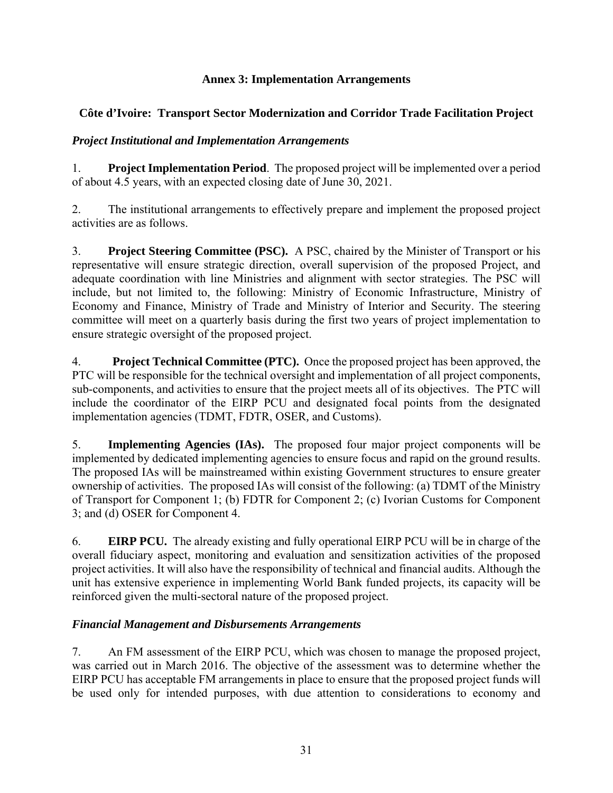## **Annex 3: Implementation Arrangements**

## **Côte d'Ivoire: Transport Sector Modernization and Corridor Trade Facilitation Project**

## *Project Institutional and Implementation Arrangements*

1. **Project Implementation Period**. The proposed project will be implemented over a period of about 4.5 years, with an expected closing date of June 30, 2021.

2. The institutional arrangements to effectively prepare and implement the proposed project activities are as follows.

3. **Project Steering Committee (PSC).** A PSC, chaired by the Minister of Transport or his representative will ensure strategic direction, overall supervision of the proposed Project, and adequate coordination with line Ministries and alignment with sector strategies. The PSC will include, but not limited to, the following: Ministry of Economic Infrastructure, Ministry of Economy and Finance, Ministry of Trade and Ministry of Interior and Security. The steering committee will meet on a quarterly basis during the first two years of project implementation to ensure strategic oversight of the proposed project.

4. **Project Technical Committee (PTC).** Once the proposed project has been approved, the PTC will be responsible for the technical oversight and implementation of all project components, sub-components, and activities to ensure that the project meets all of its objectives. The PTC will include the coordinator of the EIRP PCU and designated focal points from the designated implementation agencies (TDMT, FDTR, OSER*,* and Customs).

5. **Implementing Agencies (IAs).** The proposed four major project components will be implemented by dedicated implementing agencies to ensure focus and rapid on the ground results. The proposed IAs will be mainstreamed within existing Government structures to ensure greater ownership of activities. The proposed IAs will consist of the following: (a) TDMT of the Ministry of Transport for Component 1; (b) FDTR for Component 2; (c) Ivorian Customs for Component 3; and (d) OSER for Component 4.

6. **EIRP PCU.** The already existing and fully operational EIRP PCU will be in charge of the overall fiduciary aspect, monitoring and evaluation and sensitization activities of the proposed project activities. It will also have the responsibility of technical and financial audits. Although the unit has extensive experience in implementing World Bank funded projects, its capacity will be reinforced given the multi-sectoral nature of the proposed project.

## *Financial Management and Disbursements Arrangements*

7. An FM assessment of the EIRP PCU, which was chosen to manage the proposed project, was carried out in March 2016. The objective of the assessment was to determine whether the EIRP PCU has acceptable FM arrangements in place to ensure that the proposed project funds will be used only for intended purposes, with due attention to considerations to economy and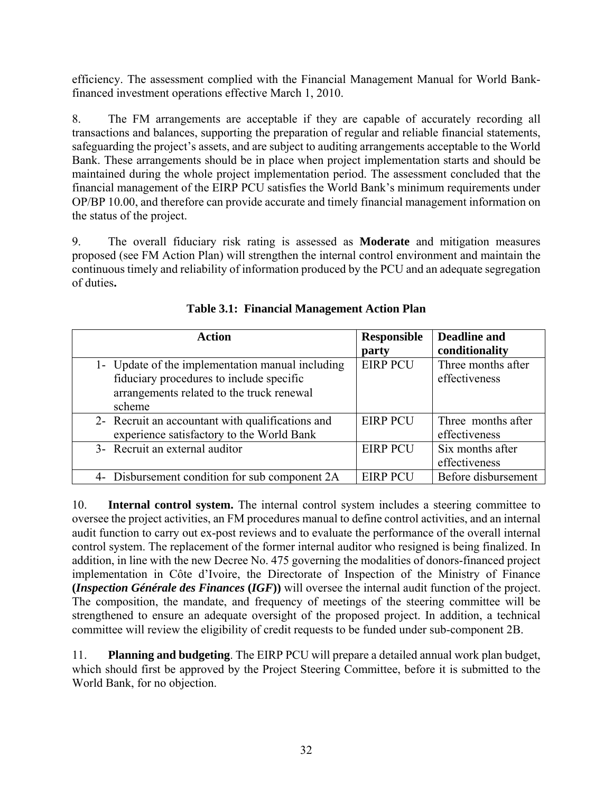efficiency. The assessment complied with the Financial Management Manual for World Bankfinanced investment operations effective March 1, 2010.

8. The FM arrangements are acceptable if they are capable of accurately recording all transactions and balances, supporting the preparation of regular and reliable financial statements, safeguarding the project's assets, and are subject to auditing arrangements acceptable to the World Bank. These arrangements should be in place when project implementation starts and should be maintained during the whole project implementation period. The assessment concluded that the financial management of the EIRP PCU satisfies the World Bank's minimum requirements under OP/BP 10.00, and therefore can provide accurate and timely financial management information on the status of the project.

9. The overall fiduciary risk rating is assessed as **Moderate** and mitigation measures proposed (see FM Action Plan) will strengthen the internal control environment and maintain the continuous timely and reliability of information produced by the PCU and an adequate segregation of duties**.**

| <b>Action</b>                                    | <b>Responsible</b> | Deadline and        |
|--------------------------------------------------|--------------------|---------------------|
|                                                  | party              | conditionality      |
| 1- Update of the implementation manual including | <b>EIRP PCU</b>    | Three months after  |
| fiduciary procedures to include specific         |                    | effectiveness       |
| arrangements related to the truck renewal        |                    |                     |
| scheme                                           |                    |                     |
| 2- Recruit an accountant with qualifications and | <b>EIRP PCU</b>    | Three months after  |
| experience satisfactory to the World Bank        |                    | effectiveness       |
| 3- Recruit an external auditor                   | <b>EIRP PCU</b>    | Six months after    |
|                                                  |                    | effectiveness       |
| Disbursement condition for sub component 2A      | <b>EIRP PCU</b>    | Before disbursement |

**Table 3.1: Financial Management Action Plan** 

10. **Internal control system.** The internal control system includes a steering committee to oversee the project activities, an FM procedures manual to define control activities, and an internal audit function to carry out ex-post reviews and to evaluate the performance of the overall internal control system. The replacement of the former internal auditor who resigned is being finalized. In addition, in line with the new Decree No. 475 governing the modalities of donors-financed project implementation in Côte d'Ivoire, the Directorate of Inspection of the Ministry of Finance **(***Inspection Générale des Finances* **(***IGF***))** will oversee the internal audit function of the project. The composition, the mandate, and frequency of meetings of the steering committee will be strengthened to ensure an adequate oversight of the proposed project. In addition, a technical committee will review the eligibility of credit requests to be funded under sub-component 2B.

11. **Planning and budgeting**. The EIRP PCU will prepare a detailed annual work plan budget, which should first be approved by the Project Steering Committee, before it is submitted to the World Bank, for no objection.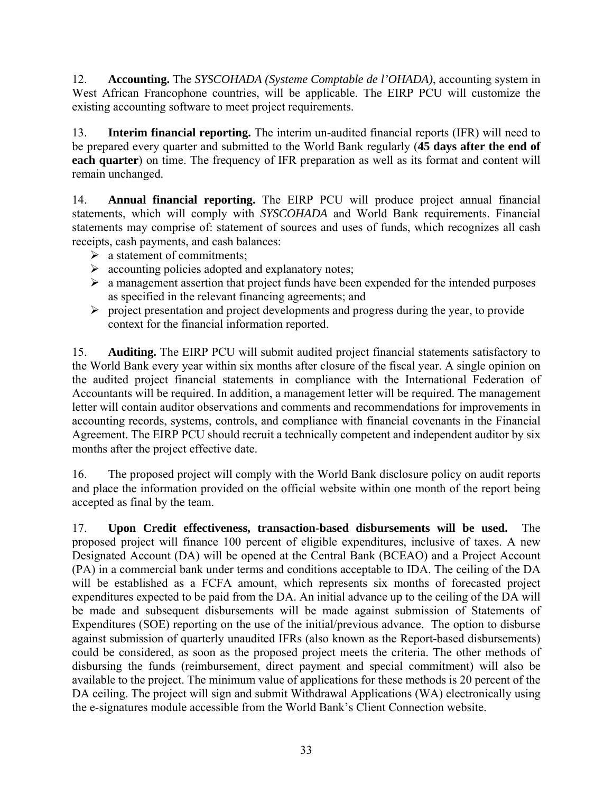12. **Accounting.** The *SYSCOHADA (Systeme Comptable de l'OHADA)*, accounting system in West African Francophone countries, will be applicable. The EIRP PCU will customize the existing accounting software to meet project requirements.

13. **Interim financial reporting.** The interim un-audited financial reports (IFR) will need to be prepared every quarter and submitted to the World Bank regularly (**45 days after the end of each quarter**) on time. The frequency of IFR preparation as well as its format and content will remain unchanged.

14. **Annual financial reporting.** The EIRP PCU will produce project annual financial statements, which will comply with *SYSCOHADA* and World Bank requirements. Financial statements may comprise of: statement of sources and uses of funds, which recognizes all cash receipts, cash payments, and cash balances:

- $\triangleright$  a statement of commitments;
- $\triangleright$  accounting policies adopted and explanatory notes;
- $\triangleright$  a management assertion that project funds have been expended for the intended purposes as specified in the relevant financing agreements; and
- $\triangleright$  project presentation and project developments and progress during the year, to provide context for the financial information reported.

15. **Auditing.** The EIRP PCU will submit audited project financial statements satisfactory to the World Bank every year within six months after closure of the fiscal year. A single opinion on the audited project financial statements in compliance with the International Federation of Accountants will be required. In addition, a management letter will be required. The management letter will contain auditor observations and comments and recommendations for improvements in accounting records, systems, controls, and compliance with financial covenants in the Financial Agreement. The EIRP PCU should recruit a technically competent and independent auditor by six months after the project effective date.

16. The proposed project will comply with the World Bank disclosure policy on audit reports and place the information provided on the official website within one month of the report being accepted as final by the team.

17. **Upon Credit effectiveness, transaction-based disbursements will be used.** The proposed project will finance 100 percent of eligible expenditures, inclusive of taxes. A new Designated Account (DA) will be opened at the Central Bank (BCEAO) and a Project Account (PA) in a commercial bank under terms and conditions acceptable to IDA. The ceiling of the DA will be established as a FCFA amount, which represents six months of forecasted project expenditures expected to be paid from the DA. An initial advance up to the ceiling of the DA will be made and subsequent disbursements will be made against submission of Statements of Expenditures (SOE) reporting on the use of the initial/previous advance. The option to disburse against submission of quarterly unaudited IFRs (also known as the Report-based disbursements) could be considered, as soon as the proposed project meets the criteria. The other methods of disbursing the funds (reimbursement, direct payment and special commitment) will also be available to the project. The minimum value of applications for these methods is 20 percent of the DA ceiling. The project will sign and submit Withdrawal Applications (WA) electronically using the e-signatures module accessible from the World Bank's Client Connection website.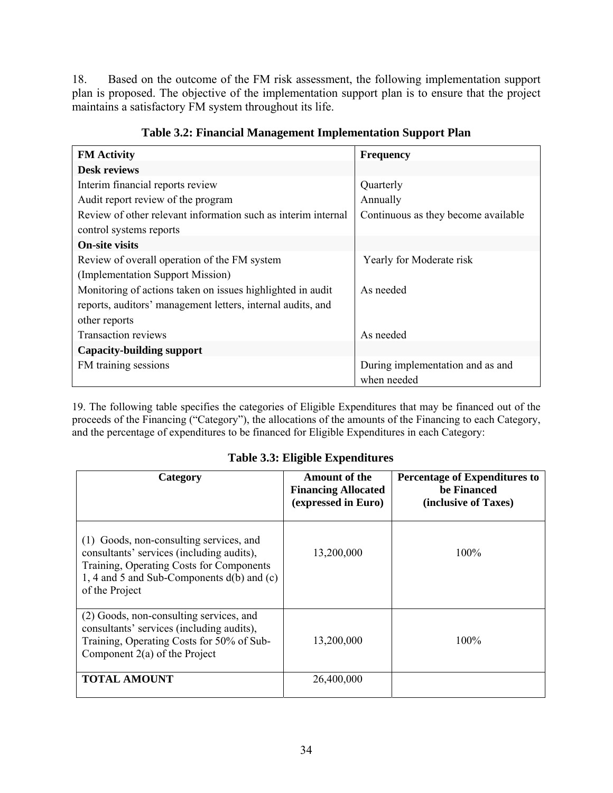18. Based on the outcome of the FM risk assessment, the following implementation support plan is proposed. The objective of the implementation support plan is to ensure that the project maintains a satisfactory FM system throughout its life.

| <b>FM</b> Activity                                            | <b>Frequency</b>                    |
|---------------------------------------------------------------|-------------------------------------|
| <b>Desk reviews</b>                                           |                                     |
| Interim financial reports review                              | Quarterly                           |
| Audit report review of the program                            | Annually                            |
| Review of other relevant information such as interim internal | Continuous as they become available |
| control systems reports                                       |                                     |
| <b>On-site visits</b>                                         |                                     |
| Review of overall operation of the FM system                  | Yearly for Moderate risk            |
| (Implementation Support Mission)                              |                                     |
| Monitoring of actions taken on issues highlighted in audit    | As needed                           |
| reports, auditors' management letters, internal audits, and   |                                     |
| other reports                                                 |                                     |
| <b>Transaction reviews</b>                                    | As needed                           |
| <b>Capacity-building support</b>                              |                                     |
| FM training sessions                                          | During implementation and as and    |
|                                                               | when needed                         |

**Table 3.2: Financial Management Implementation Support Plan** 

19. The following table specifies the categories of Eligible Expenditures that may be financed out of the proceeds of the Financing ("Category"), the allocations of the amounts of the Financing to each Category, and the percentage of expenditures to be financed for Eligible Expenditures in each Category:

#### **Table 3.3: Eligible Expenditures**

| Category                                                                                                                                                                                         | <b>Amount of the</b><br><b>Financing Allocated</b><br>(expressed in Euro) | <b>Percentage of Expenditures to</b><br>be Financed<br>(inclusive of Taxes) |
|--------------------------------------------------------------------------------------------------------------------------------------------------------------------------------------------------|---------------------------------------------------------------------------|-----------------------------------------------------------------------------|
| (1) Goods, non-consulting services, and<br>consultants' services (including audits),<br>Training, Operating Costs for Components<br>1, 4 and 5 and Sub-Components d(b) and (c)<br>of the Project | 13,200,000                                                                | $100\%$                                                                     |
| (2) Goods, non-consulting services, and<br>consultants' services (including audits),<br>Training, Operating Costs for 50% of Sub-<br>Component $2(a)$ of the Project                             | 13,200,000                                                                | $100\%$                                                                     |
| <b>TOTAL AMOUNT</b>                                                                                                                                                                              | 26,400,000                                                                |                                                                             |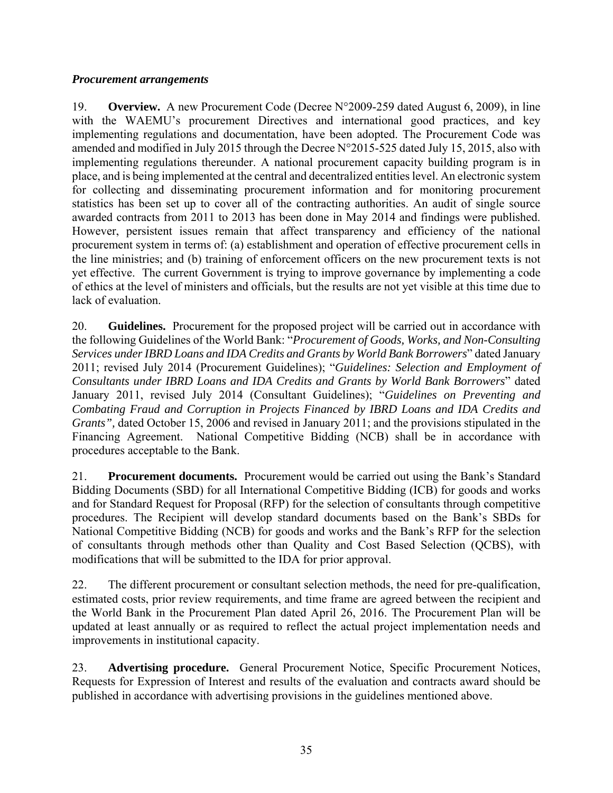### *Procurement arrangements*

19. **Overview.** A new Procurement Code (Decree N°2009-259 dated August 6, 2009), in line with the WAEMU's procurement Directives and international good practices, and key implementing regulations and documentation, have been adopted. The Procurement Code was amended and modified in July 2015 through the Decree N°2015-525 dated July 15, 2015, also with implementing regulations thereunder. A national procurement capacity building program is in place, and is being implemented at the central and decentralized entities level. An electronic system for collecting and disseminating procurement information and for monitoring procurement statistics has been set up to cover all of the contracting authorities. An audit of single source awarded contracts from 2011 to 2013 has been done in May 2014 and findings were published. However, persistent issues remain that affect transparency and efficiency of the national procurement system in terms of: (a) establishment and operation of effective procurement cells in the line ministries; and (b) training of enforcement officers on the new procurement texts is not yet effective. The current Government is trying to improve governance by implementing a code of ethics at the level of ministers and officials, but the results are not yet visible at this time due to lack of evaluation.

20. **Guidelines.** Procurement for the proposed project will be carried out in accordance with the following Guidelines of the World Bank: "*Procurement of Goods, Works, and Non-Consulting Services under IBRD Loans and IDA Credits and Grants by World Bank Borrowers*" dated January 2011; revised July 2014 (Procurement Guidelines); "*Guidelines: Selection and Employment of Consultants under IBRD Loans and IDA Credits and Grants by World Bank Borrowers*" dated January 2011, revised July 2014 (Consultant Guidelines); "*Guidelines on Preventing and Combating Fraud and Corruption in Projects Financed by IBRD Loans and IDA Credits and Grants",* dated October 15, 2006 and revised in January 2011; and the provisions stipulated in the Financing Agreement. National Competitive Bidding (NCB) shall be in accordance with procedures acceptable to the Bank.

21. **Procurement documents.** Procurement would be carried out using the Bank's Standard Bidding Documents (SBD) for all International Competitive Bidding (ICB) for goods and works and for Standard Request for Proposal (RFP) for the selection of consultants through competitive procedures. The Recipient will develop standard documents based on the Bank's SBDs for National Competitive Bidding (NCB) for goods and works and the Bank's RFP for the selection of consultants through methods other than Quality and Cost Based Selection (QCBS), with modifications that will be submitted to the IDA for prior approval.

22. The different procurement or consultant selection methods, the need for pre-qualification, estimated costs, prior review requirements, and time frame are agreed between the recipient and the World Bank in the Procurement Plan dated April 26, 2016. The Procurement Plan will be updated at least annually or as required to reflect the actual project implementation needs and improvements in institutional capacity.

23. **Advertising procedure.** General Procurement Notice, Specific Procurement Notices, Requests for Expression of Interest and results of the evaluation and contracts award should be published in accordance with advertising provisions in the guidelines mentioned above.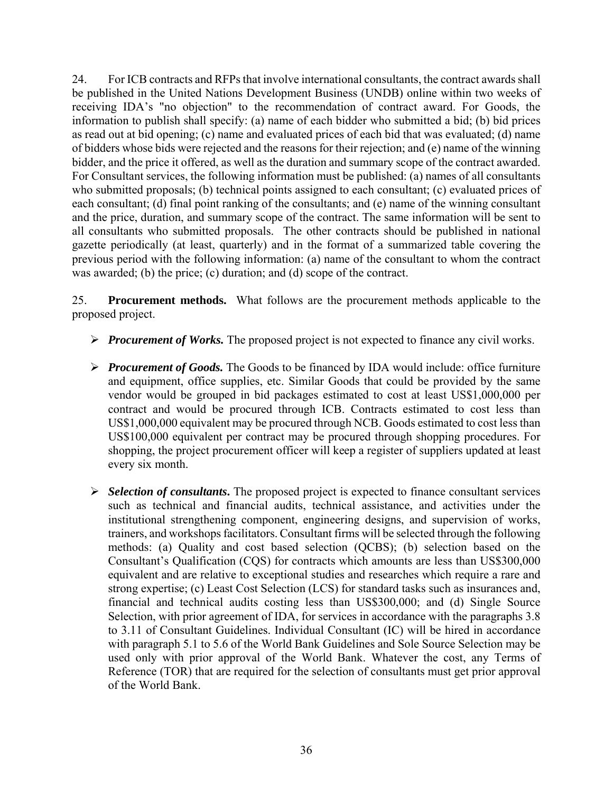24. For ICB contracts and RFPs that involve international consultants, the contract awards shall be published in the United Nations Development Business (UNDB) online within two weeks of receiving IDA's "no objection" to the recommendation of contract award. For Goods, the information to publish shall specify: (a) name of each bidder who submitted a bid; (b) bid prices as read out at bid opening; (c) name and evaluated prices of each bid that was evaluated; (d) name of bidders whose bids were rejected and the reasons for their rejection; and (e) name of the winning bidder, and the price it offered, as well as the duration and summary scope of the contract awarded. For Consultant services, the following information must be published: (a) names of all consultants who submitted proposals; (b) technical points assigned to each consultant; (c) evaluated prices of each consultant; (d) final point ranking of the consultants; and (e) name of the winning consultant and the price, duration, and summary scope of the contract. The same information will be sent to all consultants who submitted proposals. The other contracts should be published in national gazette periodically (at least, quarterly) and in the format of a summarized table covering the previous period with the following information: (a) name of the consultant to whom the contract was awarded; (b) the price; (c) duration; and (d) scope of the contract.

25. **Procurement methods.** What follows are the procurement methods applicable to the proposed project.

- *Procurement of Works.* The proposed project is not expected to finance any civil works.
- *Procurement of Goods.* The Goods to be financed by IDA would include: office furniture and equipment, office supplies, etc. Similar Goods that could be provided by the same vendor would be grouped in bid packages estimated to cost at least US\$1,000,000 per contract and would be procured through ICB. Contracts estimated to cost less than US\$1,000,000 equivalent may be procured through NCB. Goods estimated to cost less than US\$100,000 equivalent per contract may be procured through shopping procedures. For shopping, the project procurement officer will keep a register of suppliers updated at least every six month.
- *Selection of consultants***.** The proposed project is expected to finance consultant services such as technical and financial audits, technical assistance, and activities under the institutional strengthening component, engineering designs, and supervision of works, trainers, and workshops facilitators. Consultant firms will be selected through the following methods: (a) Quality and cost based selection (QCBS); (b) selection based on the Consultant's Qualification (CQS) for contracts which amounts are less than US\$300,000 equivalent and are relative to exceptional studies and researches which require a rare and strong expertise; (c) Least Cost Selection (LCS) for standard tasks such as insurances and, financial and technical audits costing less than US\$300,000; and (d) Single Source Selection, with prior agreement of IDA, for services in accordance with the paragraphs 3.8 to 3.11 of Consultant Guidelines. Individual Consultant (IC) will be hired in accordance with paragraph 5.1 to 5.6 of the World Bank Guidelines and Sole Source Selection may be used only with prior approval of the World Bank. Whatever the cost, any Terms of Reference (TOR) that are required for the selection of consultants must get prior approval of the World Bank.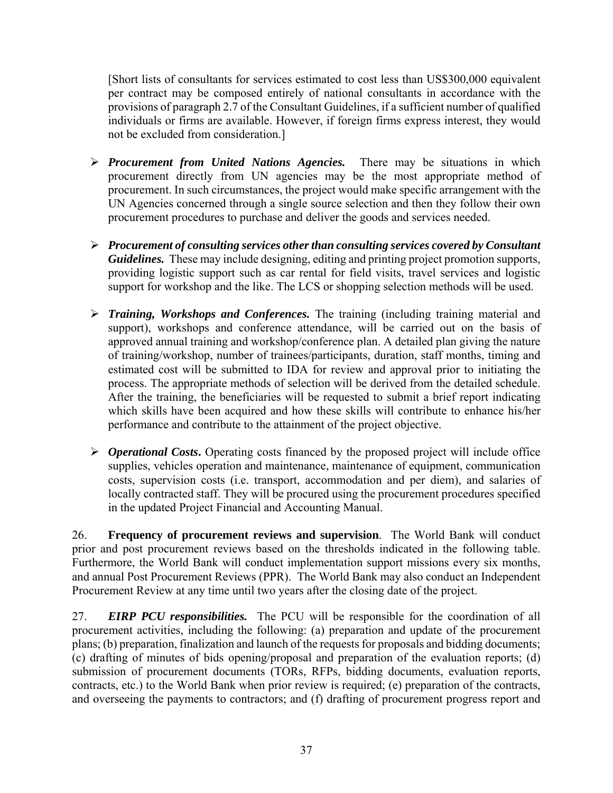[Short lists of consultants for services estimated to cost less than US\$300,000 equivalent per contract may be composed entirely of national consultants in accordance with the provisions of paragraph 2.7 of the Consultant Guidelines, if a sufficient number of qualified individuals or firms are available. However, if foreign firms express interest, they would not be excluded from consideration.]

- *Procurement from United Nations Agencies.* There may be situations in which procurement directly from UN agencies may be the most appropriate method of procurement. In such circumstances, the project would make specific arrangement with the UN Agencies concerned through a single source selection and then they follow their own procurement procedures to purchase and deliver the goods and services needed.
- *Procurement of consulting services other than consulting services covered by Consultant Guidelines.* These may include designing, editing and printing project promotion supports, providing logistic support such as car rental for field visits, travel services and logistic support for workshop and the like. The LCS or shopping selection methods will be used.
- *Training, Workshops and Conferences.* The training (including training material and support), workshops and conference attendance, will be carried out on the basis of approved annual training and workshop/conference plan. A detailed plan giving the nature of training/workshop, number of trainees/participants, duration, staff months, timing and estimated cost will be submitted to IDA for review and approval prior to initiating the process. The appropriate methods of selection will be derived from the detailed schedule. After the training, the beneficiaries will be requested to submit a brief report indicating which skills have been acquired and how these skills will contribute to enhance his/her performance and contribute to the attainment of the project objective.
- *Operational Costs***.** Operating costs financed by the proposed project will include office supplies, vehicles operation and maintenance, maintenance of equipment, communication costs, supervision costs (i.e. transport, accommodation and per diem), and salaries of locally contracted staff. They will be procured using the procurement procedures specified in the updated Project Financial and Accounting Manual.

26. **Frequency of procurement reviews and supervision**. The World Bank will conduct prior and post procurement reviews based on the thresholds indicated in the following table. Furthermore, the World Bank will conduct implementation support missions every six months, and annual Post Procurement Reviews (PPR). The World Bank may also conduct an Independent Procurement Review at any time until two years after the closing date of the project.

27. *EIRP PCU responsibilities.* The PCU will be responsible for the coordination of all procurement activities, including the following: (a) preparation and update of the procurement plans; (b) preparation, finalization and launch of the requests for proposals and bidding documents; (c) drafting of minutes of bids opening/proposal and preparation of the evaluation reports; (d) submission of procurement documents (TORs, RFPs, bidding documents, evaluation reports, contracts, etc.) to the World Bank when prior review is required; (e) preparation of the contracts, and overseeing the payments to contractors; and (f) drafting of procurement progress report and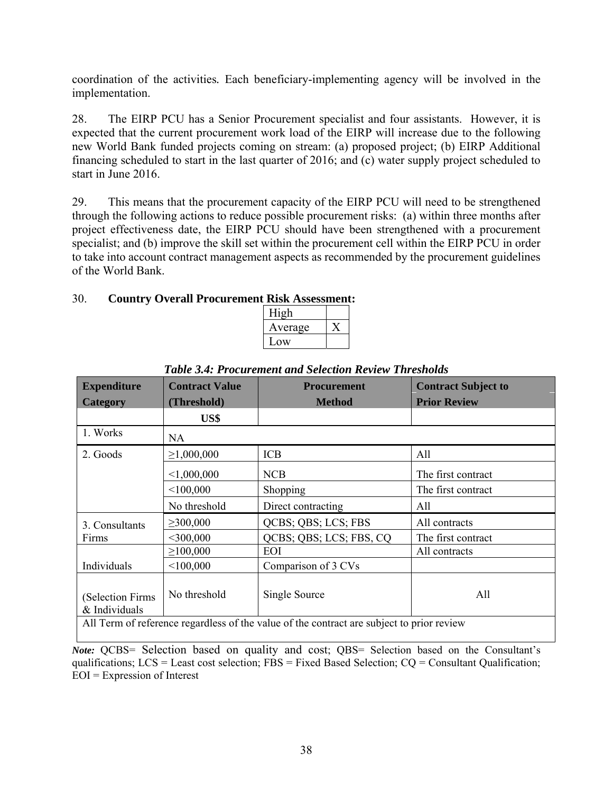coordination of the activities*.* Each beneficiary-implementing agency will be involved in the implementation.

28. The EIRP PCU has a Senior Procurement specialist and four assistants. However, it is expected that the current procurement work load of the EIRP will increase due to the following new World Bank funded projects coming on stream: (a) proposed project; (b) EIRP Additional financing scheduled to start in the last quarter of 2016; and (c) water supply project scheduled to start in June 2016.

29. This means that the procurement capacity of the EIRP PCU will need to be strengthened through the following actions to reduce possible procurement risks: (a) within three months after project effectiveness date, the EIRP PCU should have been strengthened with a procurement specialist; and (b) improve the skill set within the procurement cell within the EIRP PCU in order to take into account contract management aspects as recommended by the procurement guidelines of the World Bank.

## 30. **Country Overall Procurement Risk Assessment:**

| High    |  |
|---------|--|
| Average |  |
| Low     |  |

| <b>Expenditure</b>                 | <b>Contract Value</b>                                                                     | <b>Procurement</b>      | <b>Contract Subject to</b> |  |  |  |  |  |  |
|------------------------------------|-------------------------------------------------------------------------------------------|-------------------------|----------------------------|--|--|--|--|--|--|
| <b>Category</b>                    | (Threshold)                                                                               | <b>Method</b>           | <b>Prior Review</b>        |  |  |  |  |  |  |
|                                    | US\$                                                                                      |                         |                            |  |  |  |  |  |  |
| 1. Works                           | NA.                                                                                       |                         |                            |  |  |  |  |  |  |
| 2. Goods                           | $\geq 1,000,000$                                                                          | <b>ICB</b>              | All                        |  |  |  |  |  |  |
|                                    | < 1,000,000                                                                               | <b>NCB</b>              | The first contract         |  |  |  |  |  |  |
|                                    | < 100,000                                                                                 | Shopping                | The first contract         |  |  |  |  |  |  |
|                                    | No threshold                                                                              | Direct contracting      | All                        |  |  |  |  |  |  |
| 3. Consultants                     | $\geq 300,000$                                                                            | QCBS; QBS; LCS; FBS     | All contracts              |  |  |  |  |  |  |
| Firms                              | $<$ 300,000                                                                               | QCBS; QBS; LCS; FBS, CQ | The first contract         |  |  |  |  |  |  |
|                                    | $\geq 100,000$                                                                            | EOI                     | All contracts              |  |  |  |  |  |  |
| Individuals                        | < 100,000                                                                                 | Comparison of 3 CVs     |                            |  |  |  |  |  |  |
| (Selection Firms)<br>& Individuals | No threshold                                                                              | Single Source           | All                        |  |  |  |  |  |  |
|                                    | All Term of reference regardless of the value of the contract are subject to prior review |                         |                            |  |  |  |  |  |  |

*Table 3.4: Procurement and Selection Review Thresholds* 

*Note:* QCBS= Selection based on quality and cost; QBS= Selection based on the Consultant's qualifications; LCS = Least cost selection; FBS = Fixed Based Selection; CQ = Consultant Qualification; EOI = Expression of Interest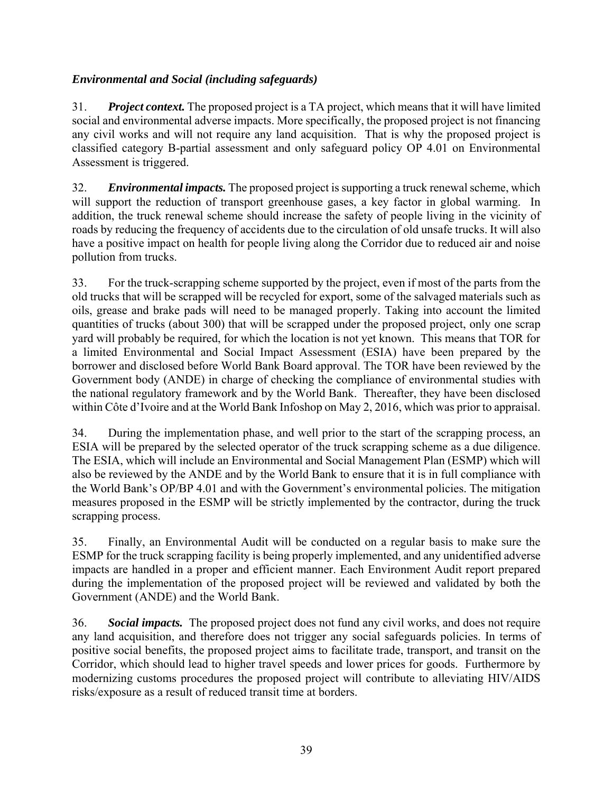## *Environmental and Social (including safeguards)*

31. *Project context.* The proposed project is a TA project, which means that it will have limited social and environmental adverse impacts. More specifically, the proposed project is not financing any civil works and will not require any land acquisition. That is why the proposed project is classified category B-partial assessment and only safeguard policy OP 4.01 on Environmental Assessment is triggered.

32. *Environmental impacts.* The proposed project is supporting a truck renewal scheme, which will support the reduction of transport greenhouse gases, a key factor in global warming. In addition, the truck renewal scheme should increase the safety of people living in the vicinity of roads by reducing the frequency of accidents due to the circulation of old unsafe trucks. It will also have a positive impact on health for people living along the Corridor due to reduced air and noise pollution from trucks.

33. For the truck-scrapping scheme supported by the project, even if most of the parts from the old trucks that will be scrapped will be recycled for export, some of the salvaged materials such as oils, grease and brake pads will need to be managed properly. Taking into account the limited quantities of trucks (about 300) that will be scrapped under the proposed project, only one scrap yard will probably be required, for which the location is not yet known. This means that TOR for a limited Environmental and Social Impact Assessment (ESIA) have been prepared by the borrower and disclosed before World Bank Board approval. The TOR have been reviewed by the Government body (ANDE) in charge of checking the compliance of environmental studies with the national regulatory framework and by the World Bank. Thereafter, they have been disclosed within Côte d'Ivoire and at the World Bank Infoshop on May 2, 2016, which was prior to appraisal.

34. During the implementation phase, and well prior to the start of the scrapping process, an ESIA will be prepared by the selected operator of the truck scrapping scheme as a due diligence. The ESIA, which will include an Environmental and Social Management Plan (ESMP) which will also be reviewed by the ANDE and by the World Bank to ensure that it is in full compliance with the World Bank's OP/BP 4.01 and with the Government's environmental policies. The mitigation measures proposed in the ESMP will be strictly implemented by the contractor, during the truck scrapping process.

35. Finally, an Environmental Audit will be conducted on a regular basis to make sure the ESMP for the truck scrapping facility is being properly implemented, and any unidentified adverse impacts are handled in a proper and efficient manner. Each Environment Audit report prepared during the implementation of the proposed project will be reviewed and validated by both the Government (ANDE) and the World Bank.

36. *Social impacts.* The proposed project does not fund any civil works, and does not require any land acquisition, and therefore does not trigger any social safeguards policies. In terms of positive social benefits, the proposed project aims to facilitate trade, transport, and transit on the Corridor, which should lead to higher travel speeds and lower prices for goods. Furthermore by modernizing customs procedures the proposed project will contribute to alleviating HIV/AIDS risks/exposure as a result of reduced transit time at borders.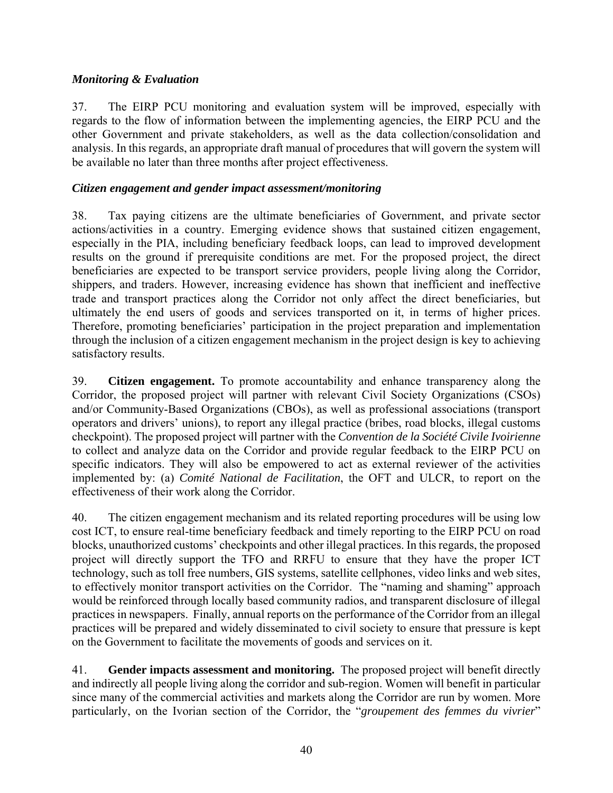## *Monitoring & Evaluation*

37. The EIRP PCU monitoring and evaluation system will be improved, especially with regards to the flow of information between the implementing agencies, the EIRP PCU and the other Government and private stakeholders, as well as the data collection/consolidation and analysis. In this regards, an appropriate draft manual of procedures that will govern the system will be available no later than three months after project effectiveness.

## *Citizen engagement and gender impact assessment/monitoring*

38. Tax paying citizens are the ultimate beneficiaries of Government, and private sector actions/activities in a country. Emerging evidence shows that sustained citizen engagement, especially in the PIA, including beneficiary feedback loops, can lead to improved development results on the ground if prerequisite conditions are met. For the proposed project, the direct beneficiaries are expected to be transport service providers, people living along the Corridor, shippers, and traders. However, increasing evidence has shown that inefficient and ineffective trade and transport practices along the Corridor not only affect the direct beneficiaries, but ultimately the end users of goods and services transported on it, in terms of higher prices. Therefore, promoting beneficiaries' participation in the project preparation and implementation through the inclusion of a citizen engagement mechanism in the project design is key to achieving satisfactory results.

39. **Citizen engagement.** To promote accountability and enhance transparency along the Corridor, the proposed project will partner with relevant Civil Society Organizations (CSOs) and/or Community-Based Organizations (CBOs), as well as professional associations (transport operators and drivers' unions), to report any illegal practice (bribes, road blocks, illegal customs checkpoint). The proposed project will partner with the *Convention de la Société Civile Ivoirienne* to collect and analyze data on the Corridor and provide regular feedback to the EIRP PCU on specific indicators. They will also be empowered to act as external reviewer of the activities implemented by: (a) *Comité National de Facilitation*, the OFT and ULCR, to report on the effectiveness of their work along the Corridor.

40. The citizen engagement mechanism and its related reporting procedures will be using low cost ICT, to ensure real-time beneficiary feedback and timely reporting to the EIRP PCU on road blocks, unauthorized customs' checkpoints and other illegal practices. In this regards, the proposed project will directly support the TFO and RRFU to ensure that they have the proper ICT technology, such as toll free numbers, GIS systems, satellite cellphones, video links and web sites, to effectively monitor transport activities on the Corridor. The "naming and shaming" approach would be reinforced through locally based community radios, and transparent disclosure of illegal practices in newspapers. Finally, annual reports on the performance of the Corridor from an illegal practices will be prepared and widely disseminated to civil society to ensure that pressure is kept on the Government to facilitate the movements of goods and services on it.

41. **Gender impacts assessment and monitoring.** The proposed project will benefit directly and indirectly all people living along the corridor and sub-region. Women will benefit in particular since many of the commercial activities and markets along the Corridor are run by women. More particularly, on the Ivorian section of the Corridor, the "*groupement des femmes du vivrier*"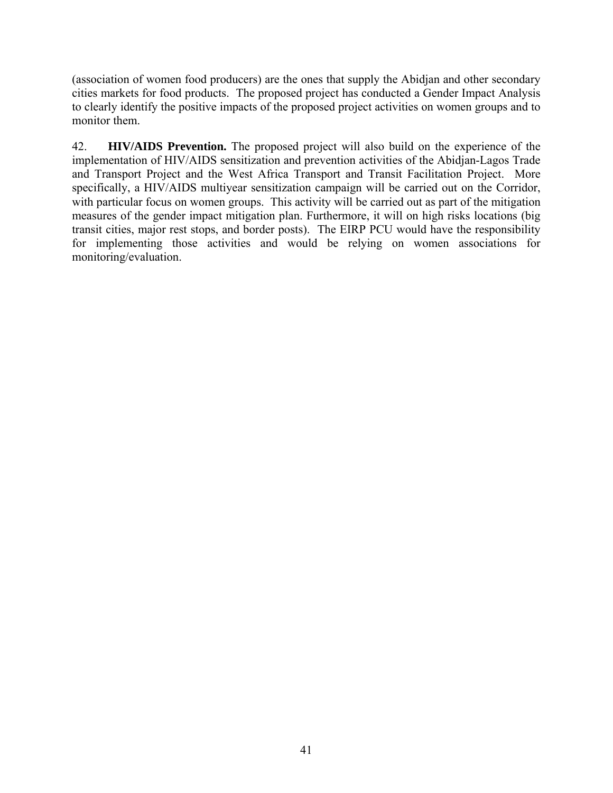(association of women food producers) are the ones that supply the Abidjan and other secondary cities markets for food products. The proposed project has conducted a Gender Impact Analysis to clearly identify the positive impacts of the proposed project activities on women groups and to monitor them.

42. **HIV/AIDS Prevention.** The proposed project will also build on the experience of the implementation of HIV/AIDS sensitization and prevention activities of the Abidjan-Lagos Trade and Transport Project and the West Africa Transport and Transit Facilitation Project. More specifically, a HIV/AIDS multiyear sensitization campaign will be carried out on the Corridor, with particular focus on women groups. This activity will be carried out as part of the mitigation measures of the gender impact mitigation plan. Furthermore, it will on high risks locations (big transit cities, major rest stops, and border posts). The EIRP PCU would have the responsibility for implementing those activities and would be relying on women associations for monitoring/evaluation.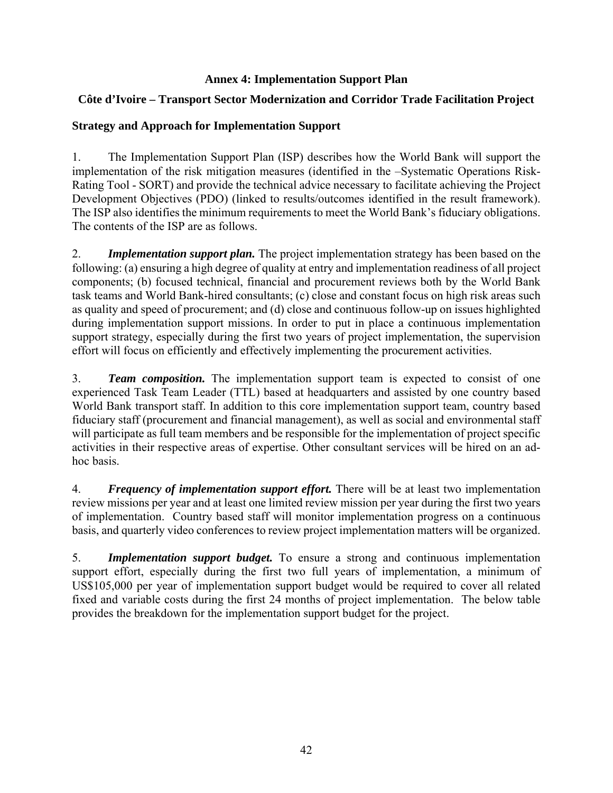### **Annex 4: Implementation Support Plan**

## **Côte d'Ivoire – Transport Sector Modernization and Corridor Trade Facilitation Project**

## **Strategy and Approach for Implementation Support**

1. The Implementation Support Plan (ISP) describes how the World Bank will support the implementation of the risk mitigation measures (identified in the –Systematic Operations Risk-Rating Tool - SORT) and provide the technical advice necessary to facilitate achieving the Project Development Objectives (PDO) (linked to results/outcomes identified in the result framework). The ISP also identifies the minimum requirements to meet the World Bank's fiduciary obligations. The contents of the ISP are as follows.

2. *Implementation support plan.* The project implementation strategy has been based on the following: (a) ensuring a high degree of quality at entry and implementation readiness of all project components; (b) focused technical, financial and procurement reviews both by the World Bank task teams and World Bank-hired consultants; (c) close and constant focus on high risk areas such as quality and speed of procurement; and (d) close and continuous follow-up on issues highlighted during implementation support missions. In order to put in place a continuous implementation support strategy, especially during the first two years of project implementation, the supervision effort will focus on efficiently and effectively implementing the procurement activities.

3. *Team composition.* The implementation support team is expected to consist of one experienced Task Team Leader (TTL) based at headquarters and assisted by one country based World Bank transport staff. In addition to this core implementation support team, country based fiduciary staff (procurement and financial management), as well as social and environmental staff will participate as full team members and be responsible for the implementation of project specific activities in their respective areas of expertise. Other consultant services will be hired on an adhoc basis.

4. *Frequency of implementation support effort.* There will be at least two implementation review missions per year and at least one limited review mission per year during the first two years of implementation. Country based staff will monitor implementation progress on a continuous basis, and quarterly video conferences to review project implementation matters will be organized.

5. *Implementation support budget.* To ensure a strong and continuous implementation support effort, especially during the first two full years of implementation, a minimum of US\$105,000 per year of implementation support budget would be required to cover all related fixed and variable costs during the first 24 months of project implementation. The below table provides the breakdown for the implementation support budget for the project.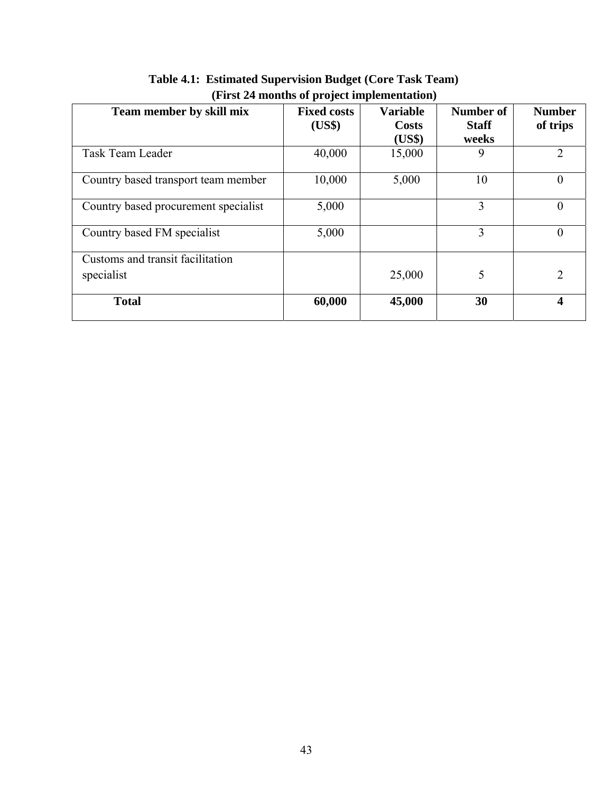| Team member by skill mix             | <b>Fixed costs</b><br>(US\$) | <b>Variable</b><br><b>Costs</b><br>(US\$) | Number of<br><b>Staff</b><br>weeks | <b>Number</b><br>of trips |
|--------------------------------------|------------------------------|-------------------------------------------|------------------------------------|---------------------------|
| Task Team Leader                     | 40,000                       | 15,000                                    | 9                                  | 2                         |
| Country based transport team member  | 10,000                       | 5,000                                     | 10                                 | $\theta$                  |
| Country based procurement specialist | 5,000                        |                                           | 3                                  |                           |
| Country based FM specialist          | 5,000                        |                                           | 3                                  | $\theta$                  |
| Customs and transit facilitation     |                              |                                           |                                    |                           |
| specialist                           |                              | 25,000                                    | 5                                  | $\overline{2}$            |
| <b>Total</b>                         | 60,000                       | 45,000                                    | 30                                 | 4                         |

**Table 4.1: Estimated Supervision Budget (Core Task Team) (First 24 months of project implementation)**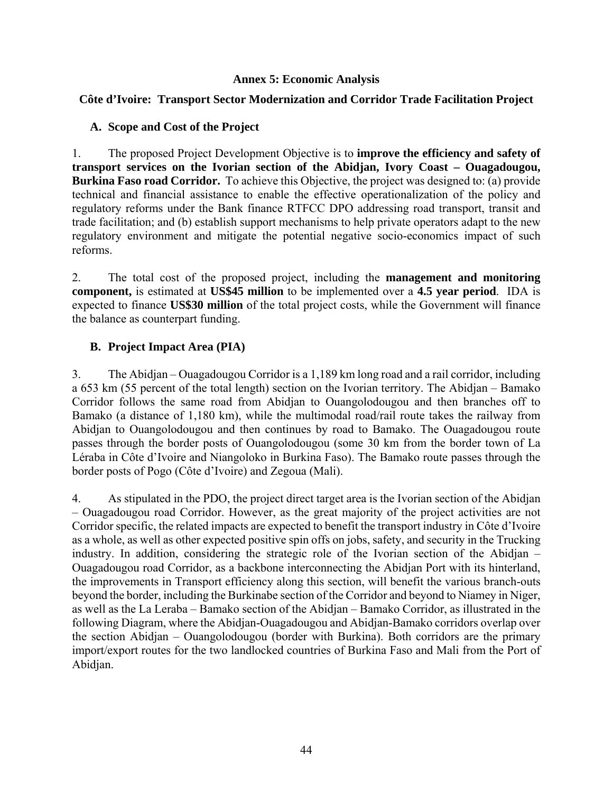### **Annex 5: Economic Analysis**

## **Côte d'Ivoire: Transport Sector Modernization and Corridor Trade Facilitation Project**

#### **A. Scope and Cost of the Project**

1. The proposed Project Development Objective is to **improve the efficiency and safety of transport services on the Ivorian section of the Abidjan, Ivory Coast – Ouagadougou, Burkina Faso road Corridor.** To achieve this Objective, the project was designed to: (a) provide technical and financial assistance to enable the effective operationalization of the policy and regulatory reforms under the Bank finance RTFCC DPO addressing road transport, transit and trade facilitation; and (b) establish support mechanisms to help private operators adapt to the new regulatory environment and mitigate the potential negative socio-economics impact of such reforms.

2. The total cost of the proposed project, including the **management and monitoring component,** is estimated at **US\$45 million** to be implemented over a **4.5 year period**. IDA is expected to finance **US\$30 million** of the total project costs, while the Government will finance the balance as counterpart funding.

## **B. Project Impact Area (PIA)**

3. The Abidjan – Ouagadougou Corridor is a 1,189 km long road and a rail corridor, including a 653 km (55 percent of the total length) section on the Ivorian territory. The Abidjan – Bamako Corridor follows the same road from Abidjan to Ouangolodougou and then branches off to Bamako (a distance of 1,180 km), while the multimodal road/rail route takes the railway from Abidjan to Ouangolodougou and then continues by road to Bamako. The Ouagadougou route passes through the border posts of Ouangolodougou (some 30 km from the border town of La Léraba in Côte d'Ivoire and Niangoloko in Burkina Faso). The Bamako route passes through the border posts of Pogo (Côte d'Ivoire) and Zegoua (Mali).

4. As stipulated in the PDO, the project direct target area is the Ivorian section of the Abidjan – Ouagadougou road Corridor. However, as the great majority of the project activities are not Corridor specific, the related impacts are expected to benefit the transport industry in Côte d'Ivoire as a whole, as well as other expected positive spin offs on jobs, safety, and security in the Trucking industry. In addition, considering the strategic role of the Ivorian section of the Abidjan – Ouagadougou road Corridor, as a backbone interconnecting the Abidjan Port with its hinterland, the improvements in Transport efficiency along this section, will benefit the various branch-outs beyond the border, including the Burkinabe section of the Corridor and beyond to Niamey in Niger, as well as the La Leraba – Bamako section of the Abidjan – Bamako Corridor, as illustrated in the following Diagram, where the Abidjan-Ouagadougou and Abidjan-Bamako corridors overlap over the section Abidjan – Ouangolodougou (border with Burkina). Both corridors are the primary import/export routes for the two landlocked countries of Burkina Faso and Mali from the Port of Abidjan.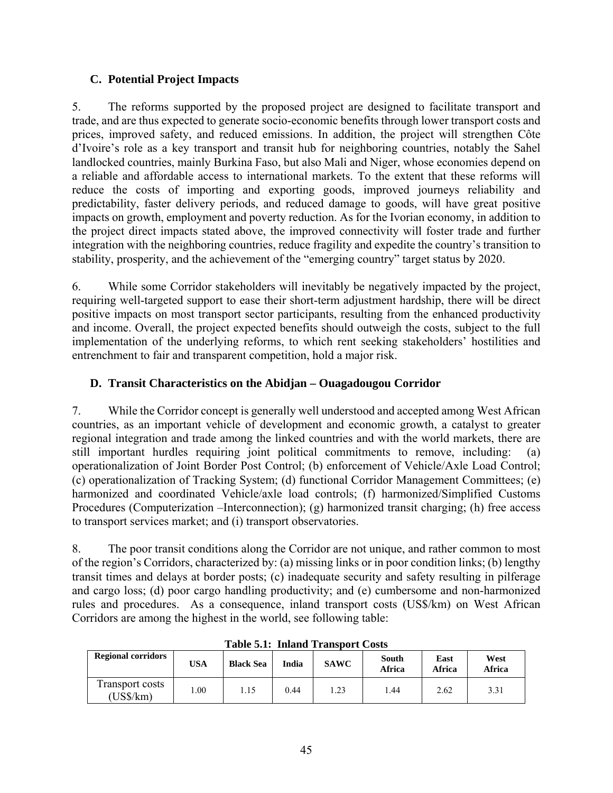## **C. Potential Project Impacts**

5. The reforms supported by the proposed project are designed to facilitate transport and trade, and are thus expected to generate socio-economic benefits through lower transport costs and prices, improved safety, and reduced emissions. In addition, the project will strengthen Côte d'Ivoire's role as a key transport and transit hub for neighboring countries, notably the Sahel landlocked countries, mainly Burkina Faso, but also Mali and Niger, whose economies depend on a reliable and affordable access to international markets. To the extent that these reforms will reduce the costs of importing and exporting goods, improved journeys reliability and predictability, faster delivery periods, and reduced damage to goods, will have great positive impacts on growth, employment and poverty reduction. As for the Ivorian economy, in addition to the project direct impacts stated above, the improved connectivity will foster trade and further integration with the neighboring countries, reduce fragility and expedite the country's transition to stability, prosperity, and the achievement of the "emerging country" target status by 2020.

6. While some Corridor stakeholders will inevitably be negatively impacted by the project, requiring well-targeted support to ease their short-term adjustment hardship, there will be direct positive impacts on most transport sector participants, resulting from the enhanced productivity and income. Overall, the project expected benefits should outweigh the costs, subject to the full implementation of the underlying reforms, to which rent seeking stakeholders' hostilities and entrenchment to fair and transparent competition, hold a major risk.

# **D. Transit Characteristics on the Abidjan – Ouagadougou Corridor**

7. While the Corridor concept is generally well understood and accepted among West African countries, as an important vehicle of development and economic growth, a catalyst to greater regional integration and trade among the linked countries and with the world markets, there are still important hurdles requiring joint political commitments to remove, including: (a) operationalization of Joint Border Post Control; (b) enforcement of Vehicle/Axle Load Control; (c) operationalization of Tracking System; (d) functional Corridor Management Committees; (e) harmonized and coordinated Vehicle/axle load controls; (f) harmonized/Simplified Customs Procedures (Computerization –Interconnection); (g) harmonized transit charging; (h) free access to transport services market; and (i) transport observatories.

8. The poor transit conditions along the Corridor are not unique, and rather common to most of the region's Corridors, characterized by: (a) missing links or in poor condition links; (b) lengthy transit times and delays at border posts; (c) inadequate security and safety resulting in pilferage and cargo loss; (d) poor cargo handling productivity; and (e) cumbersome and non-harmonized rules and procedures. As a consequence, inland transport costs (US\$/km) on West African Corridors are among the highest in the world, see following table:

| TANIC PILI TIININ TIMINDAL CONDI |            |                  |       |             |                 |                |                |  |  |
|----------------------------------|------------|------------------|-------|-------------|-----------------|----------------|----------------|--|--|
| <b>Regional corridors</b>        | <b>USA</b> | <b>Black Sea</b> | India | <b>SAWC</b> | South<br>Africa | East<br>Africa | West<br>Africa |  |  |
| Transport costs<br>$(US\$/km)$   | $00$ .     | 1.15             | 0.44  | 1.23        | .44             | 2.62           | 3.31           |  |  |

**Table 5.1: Inland Transport Costs**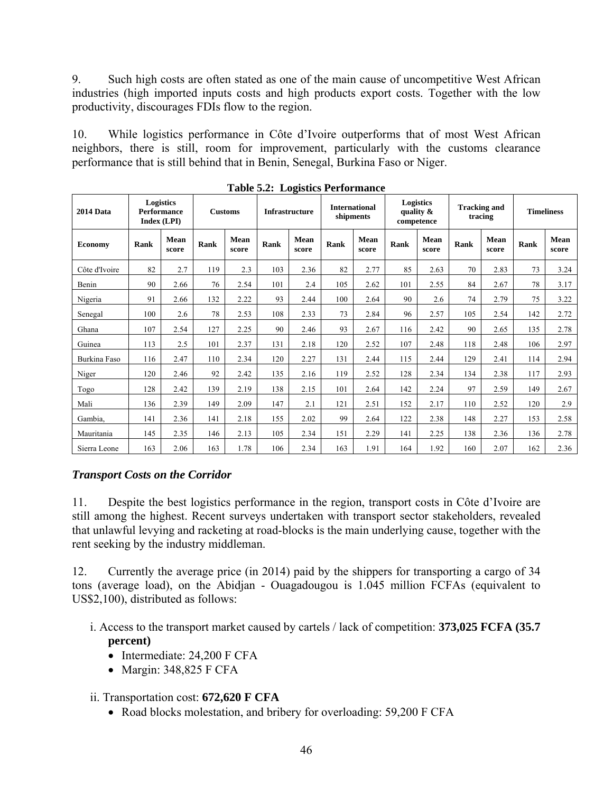9. Such high costs are often stated as one of the main cause of uncompetitive West African industries (high imported inputs costs and high products export costs. Together with the low productivity, discourages FDIs flow to the region.

10. While logistics performance in Côte d'Ivoire outperforms that of most West African neighbors, there is still, room for improvement, particularly with the customs clearance performance that is still behind that in Benin, Senegal, Burkina Faso or Niger.

| <b>2014 Data</b> |      | Logistics<br><b>Performance</b><br>Index (LPI) |      | <b>Customs</b> |      | <b>Infrastructure</b> |      | <b>International</b><br>shipments |      | Logistics<br>quality $\&$<br>competence |             | <b>Tracking and</b><br>tracing |      | <b>Timeliness</b> |
|------------------|------|------------------------------------------------|------|----------------|------|-----------------------|------|-----------------------------------|------|-----------------------------------------|-------------|--------------------------------|------|-------------------|
| <b>Economy</b>   | Rank | Mean<br>score                                  | Rank | Mean<br>score  | Rank | Mean<br>score         | Rank | Mean<br>score                     | Rank | Mean<br>score                           | <b>Rank</b> | Mean<br>score                  | Rank | Mean<br>score     |
| Côte d'Ivoire    | 82   | 2.7                                            | 119  | 2.3            | 103  | 2.36                  | 82   | 2.77                              | 85   | 2.63                                    | 70          | 2.83                           | 73   | 3.24              |
| Benin            | 90   | 2.66                                           | 76   | 2.54           | 101  | 2.4                   | 105  | 2.62                              | 101  | 2.55                                    | 84          | 2.67                           | 78   | 3.17              |
| Nigeria          | 91   | 2.66                                           | 132  | 2.22           | 93   | 2.44                  | 100  | 2.64                              | 90   | 2.6                                     | 74          | 2.79                           | 75   | 3.22              |
| Senegal          | 100  | 2.6                                            | 78   | 2.53           | 108  | 2.33                  | 73   | 2.84                              | 96   | 2.57                                    | 105         | 2.54                           | 142  | 2.72              |
| Ghana            | 107  | 2.54                                           | 127  | 2.25           | 90   | 2.46                  | 93   | 2.67                              | 116  | 2.42                                    | 90          | 2.65                           | 135  | 2.78              |
| Guinea           | 113  | 2.5                                            | 101  | 2.37           | 131  | 2.18                  | 120  | 2.52                              | 107  | 2.48                                    | 118         | 2.48                           | 106  | 2.97              |
| Burkina Faso     | 116  | 2.47                                           | 110  | 2.34           | 120  | 2.27                  | 131  | 2.44                              | 115  | 2.44                                    | 129         | 2.41                           | 114  | 2.94              |
| Niger            | 120  | 2.46                                           | 92   | 2.42           | 135  | 2.16                  | 119  | 2.52                              | 128  | 2.34                                    | 134         | 2.38                           | 117  | 2.93              |
| Togo             | 128  | 2.42                                           | 139  | 2.19           | 138  | 2.15                  | 101  | 2.64                              | 142  | 2.24                                    | 97          | 2.59                           | 149  | 2.67              |
| Mali             | 136  | 2.39                                           | 149  | 2.09           | 147  | 2.1                   | 121  | 2.51                              | 152  | 2.17                                    | 110         | 2.52                           | 120  | 2.9               |
| Gambia,          | 141  | 2.36                                           | 141  | 2.18           | 155  | 2.02                  | 99   | 2.64                              | 122  | 2.38                                    | 148         | 2.27                           | 153  | 2.58              |
| Mauritania       | 145  | 2.35                                           | 146  | 2.13           | 105  | 2.34                  | 151  | 2.29                              | 141  | 2.25                                    | 138         | 2.36                           | 136  | 2.78              |
| Sierra Leone     | 163  | 2.06                                           | 163  | 1.78           | 106  | 2.34                  | 163  | 1.91                              | 164  | 1.92                                    | 160         | 2.07                           | 162  | 2.36              |

**Table 5.2: Logistics Performance** 

## *Transport Costs on the Corridor*

11. Despite the best logistics performance in the region, transport costs in Côte d'Ivoire are still among the highest. Recent surveys undertaken with transport sector stakeholders, revealed that unlawful levying and racketing at road-blocks is the main underlying cause, together with the rent seeking by the industry middleman.

12. Currently the average price (in 2014) paid by the shippers for transporting a cargo of 34 tons (average load), on the Abidjan - Ouagadougou is 1.045 million FCFAs (equivalent to US\$2,100), distributed as follows:

- i. Access to the transport market caused by cartels / lack of competition: **373,025 FCFA (35.7 percent)**
	- Intermediate: 24,200 F CFA
	- Margin: 348,825 F CFA

## ii. Transportation cost: **672,620 F CFA**

• Road blocks molestation, and bribery for overloading: 59,200 F CFA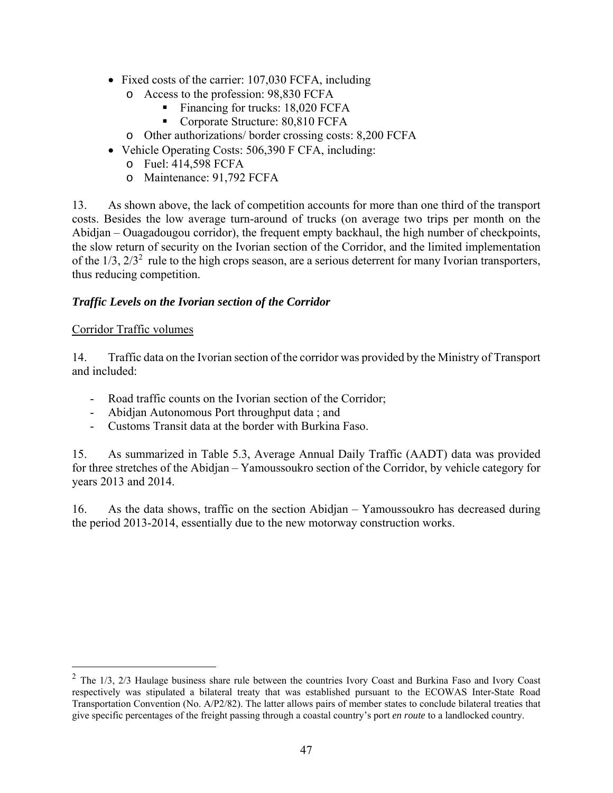- Fixed costs of the carrier: 107,030 FCFA, including
	- o Access to the profession: 98,830 FCFA
		- Financing for trucks: 18,020 FCFA
		- Corporate Structure: 80,810 FCFA
	- o Other authorizations/ border crossing costs: 8,200 FCFA
- Vehicle Operating Costs: 506,390 F CFA, including:
	- o Fuel: 414,598 FCFA
	- o Maintenance: 91,792 FCFA

13. As shown above, the lack of competition accounts for more than one third of the transport costs. Besides the low average turn-around of trucks (on average two trips per month on the Abidjan – Ouagadougou corridor), the frequent empty backhaul, the high number of checkpoints, the slow return of security on the Ivorian section of the Corridor, and the limited implementation of the  $1/3$ ,  $2/3<sup>2</sup>$  rule to the high crops season, are a serious deterrent for many Ivorian transporters, thus reducing competition.

## *Traffic Levels on the Ivorian section of the Corridor*

#### Corridor Traffic volumes

 $\overline{a}$ 

14. Traffic data on the Ivorian section of the corridor was provided by the Ministry of Transport and included:

- Road traffic counts on the Ivorian section of the Corridor;
- Abidjan Autonomous Port throughput data ; and
- Customs Transit data at the border with Burkina Faso.

15. As summarized in Table 5.3, Average Annual Daily Traffic (AADT) data was provided for three stretches of the Abidjan – Yamoussoukro section of the Corridor, by vehicle category for years 2013 and 2014.

16. As the data shows, traffic on the section Abidjan – Yamoussoukro has decreased during the period 2013-2014, essentially due to the new motorway construction works.

 $2$  The 1/3, 2/3 Haulage business share rule between the countries Ivory Coast and Burkina Faso and Ivory Coast respectively was stipulated a bilateral treaty that was established pursuant to the ECOWAS Inter-State Road Transportation Convention (No. A/P2/82). The latter allows pairs of member states to conclude bilateral treaties that give specific percentages of the freight passing through a coastal country's port *en route* to a landlocked country.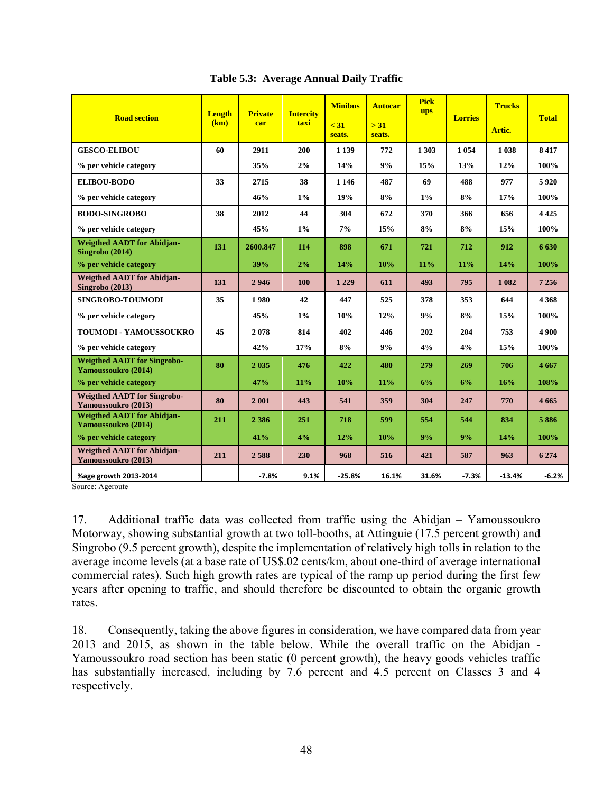| <b>Road section</b>                                         | <b>Length</b><br>(km) | <b>Private</b><br>car | <b>Intercity</b><br>taxi | <b>Minibus</b><br>$\leq 31$<br>seats. | <b>Autocar</b><br>> 31<br>seats. | <b>Pick</b><br><b>ups</b> | <b>Lorries</b> | <b>Trucks</b><br>Artic. | <b>Total</b> |
|-------------------------------------------------------------|-----------------------|-----------------------|--------------------------|---------------------------------------|----------------------------------|---------------------------|----------------|-------------------------|--------------|
| <b>GESCO-ELIBOU</b>                                         | 60                    | 2911                  | 200                      | 1 1 3 9                               | 772                              | 1 3 0 3                   | 1 0 5 4        | 1038                    | 8417         |
| % per vehicle category                                      |                       | 35%                   | 2%                       | 14%                                   | 9%                               | 15%                       | 13%            | 12%                     | 100%         |
| <b>ELIBOU-BODO</b>                                          | 33                    | 2715                  | 38                       | 1 1 4 6                               | 487                              | 69                        | 488            | 977                     | 5920         |
| % per vehicle category                                      |                       | 46%                   | $1\%$                    | 19%                                   | 8%                               | 1%                        | 8%             | 17%                     | 100%         |
| <b>BODO-SINGROBO</b>                                        | 38                    | 2012                  | 44                       | 304                                   | 672                              | 370                       | 366            | 656                     | 4 4 2 5      |
| % per vehicle category                                      |                       | 45%                   | $1\%$                    | 7%                                    | 15%                              | 8%                        | 8%             | 15%                     | 100%         |
| <b>Weigthed AADT for Abidjan-</b><br>Singrobo (2014)        | 131                   | 2600.847              | 114                      | 898                                   | 671                              | 721                       | 712            | 912                     | 6630         |
| % per vehicle category                                      |                       | 39%                   | 2%                       | 14%                                   | 10%                              | 11%                       | 11%            | 14%                     | 100%         |
| <b>Weigthed AADT</b> for Abidjan-<br><b>Singrobo</b> (2013) | 131                   | 2946                  | 100                      | 1 2 2 9                               | 611                              | 493                       | 795            | 1 0 8 2                 | 7 2 5 6      |
| <b>SINGROBO-TOUMODI</b>                                     | 35                    | 1980                  | 42                       | 447                                   | 525                              | 378                       | 353            | 644                     | 4 3 6 8      |
| % per vehicle category                                      |                       | 45%                   | $1\%$                    | 10%                                   | 12%                              | 9%                        | 8%             | 15%                     | 100%         |
| <b>TOUMODI - YAMOUSSOUKRO</b>                               | 45                    | 2078                  | 814                      | 402                                   | 446                              | 202                       | 204            | 753                     | 4 9 0 0      |
| % per vehicle category                                      |                       | 42%                   | 17%                      | 8%                                    | 9%                               | 4%                        | 4%             | 15%                     | 100%         |
| <b>Weigthed AADT for Singrobo-</b><br>Yamoussoukro (2014)   | 80                    | 2035                  | 476                      | 422                                   | 480                              | 279                       | 269            | 706                     | 4667         |
| % per vehicle category                                      |                       | 47%                   | 11%                      | 10%                                   | 11%                              | 6%                        | 6%             | 16%                     | 108%         |
| <b>Weigthed AADT for Singrobo-</b><br>Yamoussoukro (2013)   | 80                    | 2001                  | 443                      | 541                                   | 359                              | 304                       | 247            | 770                     | 4 6 6 5      |
| <b>Weigthed AADT for Abidjan-</b><br>Yamoussoukro (2014)    | 211                   | 2 3 8 6               | 251                      | 718                                   | 599                              | 554                       | 544            | 834                     | 5886         |
| % per vehicle category                                      |                       | 41%                   | 4%                       | 12%                                   | 10%                              | 9%                        | 9%             | 14%                     | 100%         |
| <b>Weigthed AADT</b> for Abidjan-<br>Yamoussoukro (2013)    | 211                   | 2588                  | 230                      | 968                                   | 516                              | 421                       | 587            | 963                     | 6 2 7 4      |
| %age growth 2013-2014                                       |                       | $-7.8%$               | 9.1%                     | $-25.8%$                              | 16.1%                            | 31.6%                     | $-7.3%$        | $-13.4%$                | $-6.2%$      |

**Table 5.3: Average Annual Daily Traffic** 

Source: Ageroute

17. Additional traffic data was collected from traffic using the Abidjan – Yamoussoukro Motorway, showing substantial growth at two toll-booths, at Attinguie (17.5 percent growth) and Singrobo (9.5 percent growth), despite the implementation of relatively high tolls in relation to the average income levels (at a base rate of US\$.02 cents/km, about one-third of average international commercial rates). Such high growth rates are typical of the ramp up period during the first few years after opening to traffic, and should therefore be discounted to obtain the organic growth rates.

18. Consequently, taking the above figures in consideration, we have compared data from year 2013 and 2015, as shown in the table below. While the overall traffic on the Abidjan - Yamoussoukro road section has been static (0 percent growth), the heavy goods vehicles traffic has substantially increased, including by 7.6 percent and 4.5 percent on Classes 3 and 4 respectively.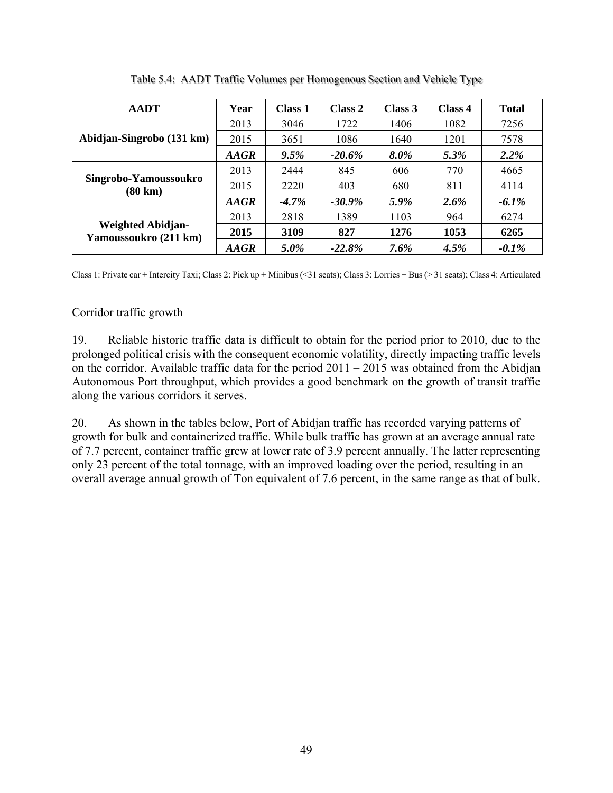| <b>AADT</b>                                       | Year        | <b>Class 1</b> | Class 2   | Class 3 | Class 4 | <b>Total</b> |
|---------------------------------------------------|-------------|----------------|-----------|---------|---------|--------------|
| Abidjan-Singrobo (131 km)                         | 2013        | 3046           | 1722      | 1406    | 1082    | 7256         |
|                                                   | 2015        | 3651           | 1086      | 1640    | 1201    | 7578         |
|                                                   | <b>AAGR</b> | $9.5\%$        | $-20.6\%$ | 8.0%    | 5.3%    | 2.2%         |
|                                                   | 2013        | 2444           | 845       | 606     | 770     | 4665         |
| Singrobo-Yamoussoukro<br>$(80 \text{ km})$        | 2015        | 2220           | 403       | 680     | 811     | 4114         |
|                                                   | <b>AAGR</b> | $-4.7\%$       | $-30.9\%$ | 5.9%    | $2.6\%$ | $-6.1\%$     |
| <b>Weighted Abidjan-</b><br>Yamoussoukro (211 km) | 2013        | 2818           | 1389      | 1103    | 964     | 6274         |
|                                                   | 2015        | 3109           | 827       | 1276    | 1053    | 6265         |
|                                                   | <b>AAGR</b> | 5.0%           | $-22.8%$  | $7.6\%$ | 4.5%    | $-0.1\%$     |

Table 5.4: AADT Traffic Volumes per Homogenous Section and Vehicle Type

Class 1: Private car + Intercity Taxi; Class 2: Pick up + Minibus (<31 seats); Class 3: Lorries + Bus (> 31 seats); Class 4: Articulated

# Corridor traffic growth

19. Reliable historic traffic data is difficult to obtain for the period prior to 2010, due to the prolonged political crisis with the consequent economic volatility, directly impacting traffic levels on the corridor. Available traffic data for the period 2011 – 2015 was obtained from the Abidjan Autonomous Port throughput, which provides a good benchmark on the growth of transit traffic along the various corridors it serves.

20. As shown in the tables below, Port of Abidjan traffic has recorded varying patterns of growth for bulk and containerized traffic. While bulk traffic has grown at an average annual rate of 7.7 percent, container traffic grew at lower rate of 3.9 percent annually. The latter representing only 23 percent of the total tonnage, with an improved loading over the period, resulting in an overall average annual growth of Ton equivalent of 7.6 percent, in the same range as that of bulk.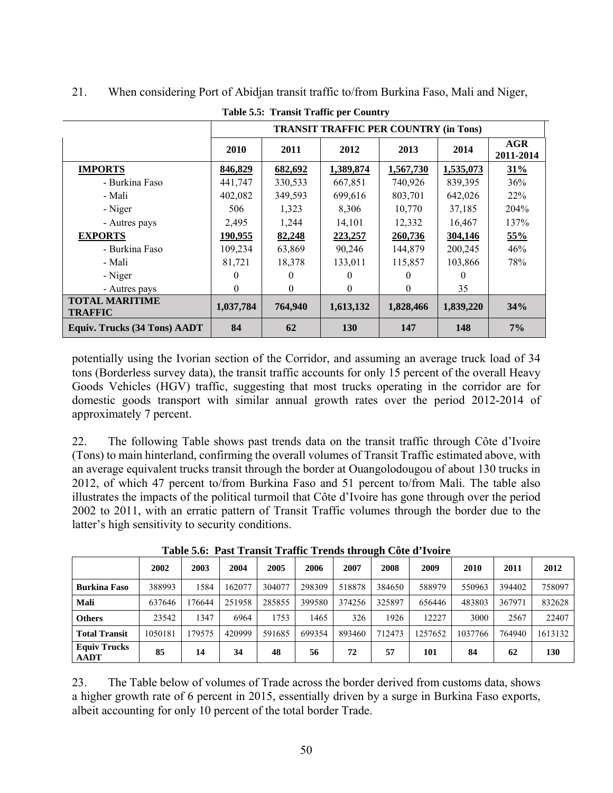|                                         |           |              | <b>TRANSIT TRAFFIC PER COUNTRY (in Tons)</b> |           |           |                         |
|-----------------------------------------|-----------|--------------|----------------------------------------------|-----------|-----------|-------------------------|
|                                         | 2010      | 2011         | 2012                                         | 2013      | 2014      | <b>AGR</b><br>2011-2014 |
| <b>IMPORTS</b>                          | 846,829   | 682,692      | 1,389,874                                    | 1,567,730 | 1,535,073 | 31%                     |
| - Burkina Faso                          | 441,747   | 330,533      | 667,851                                      | 740,926   | 839,395   | 36%                     |
| - Mali                                  | 402,082   | 349,593      | 699,616                                      | 803,701   | 642,026   | 22%                     |
| - Niger                                 | 506       | 1,323        | 8,306                                        | 10,770    | 37,185    | 204%                    |
| - Autres pays                           | 2,495     | 1,244        | 14,101                                       | 12,332    | 16,467    | 137%                    |
| <b>EXPORTS</b>                          | 190,955   | 82,248       | 223,257                                      | 260,736   | 304,146   | 55%                     |
| - Burkina Faso                          | 109,234   | 63,869       | 90,246                                       | 144,879   | 200,245   | 46%                     |
| - Mali                                  | 81,721    | 18,378       | 133,011                                      | 115,857   | 103,866   | 78%                     |
| - Niger                                 | $\theta$  | 0            | $\theta$                                     | $\theta$  | 0         |                         |
| - Autres pays                           | $\theta$  | $\mathbf{0}$ | $\theta$                                     | $\theta$  | 35        |                         |
| <b>TOTAL MARITIME</b><br><b>TRAFFIC</b> | 1,037,784 | 764,940      | 1,613,132                                    | 1,828,466 | 1,839,220 | 34%                     |
| <b>Equiv. Trucks (34 Tons) AADT</b>     | 84        | 62           | 130                                          | 147       | 148       | $7\%$                   |

## 21. When considering Port of Abidjan transit traffic to/from Burkina Faso, Mali and Niger,

**Table 5.5: Transit Traffic per Country** 

potentially using the Ivorian section of the Corridor, and assuming an average truck load of 34 tons (Borderless survey data), the transit traffic accounts for only 15 percent of the overall Heavy Goods Vehicles (HGV) traffic, suggesting that most trucks operating in the corridor are for domestic goods transport with similar annual growth rates over the period 2012-2014 of approximately 7 percent.

22. The following Table shows past trends data on the transit traffic through Côte d'Ivoire (Tons) to main hinterland, confirming the overall volumes of Transit Traffic estimated above, with an average equivalent trucks transit through the border at Ouangolodougou of about 130 trucks in 2012, of which 47 percent to/from Burkina Faso and 51 percent to/from Mali. The table also illustrates the impacts of the political turmoil that Côte d'Ivoire has gone through over the period 2002 to 2011, with an erratic pattern of Transit Traffic volumes through the border due to the latter's high sensitivity to security conditions.

|                                    | 2002    | 2003   | 2004   | 2005   | 2006   | 2007   | 2008   | 2009    | 2010    | 2011   | 2012    |
|------------------------------------|---------|--------|--------|--------|--------|--------|--------|---------|---------|--------|---------|
| <b>Burkina Faso</b>                | 388993  | 1584   | 162077 | 304077 | 298309 | 518878 | 384650 | 588979  | 550963  | 394402 | 758097  |
| Mali                               | 637646  | 76644  | 251958 | 285855 | 399580 | 374256 | 325897 | 656446  | 483803  | 367971 | 832628  |
| <b>Others</b>                      | 23542   | 1347   | 6964   | 1753   | 1465   | 326    | 1926   | 12227   | 3000    | 2567   | 22407   |
| <b>Total Transit</b>               | 1050181 | 179575 | 420999 | 591685 | 699354 | 893460 | 712473 | 1257652 | 1037766 | 764940 | 1613132 |
| <b>Equiv Trucks</b><br><b>AADT</b> | 85      | 14     | 34     | 48     | 56     | 72     | 57     | 101     | 84      | 62     | 130     |

**Table 5.6: Past Transit Traffic Trends through Côte d'Ivoire** 

23. The Table below of volumes of Trade across the border derived from customs data, shows a higher growth rate of 6 percent in 2015, essentially driven by a surge in Burkina Faso exports, albeit accounting for only 10 percent of the total border Trade.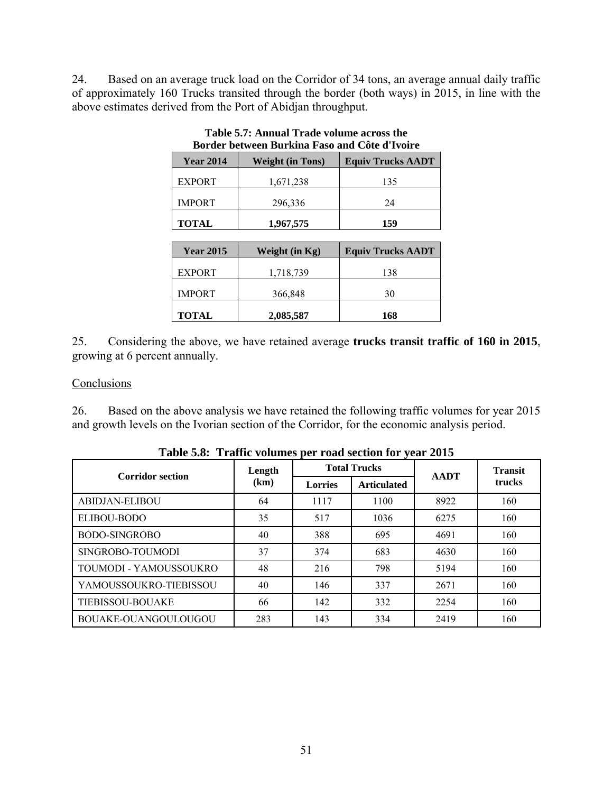24. Based on an average truck load on the Corridor of 34 tons, an average annual daily traffic of approximately 160 Trucks transited through the border (both ways) in 2015, in line with the above estimates derived from the Port of Abidjan throughput.

| Duraci between burkina raso anu Cole u rvon e |                         |                          |  |  |  |  |  |  |
|-----------------------------------------------|-------------------------|--------------------------|--|--|--|--|--|--|
| <b>Year 2014</b>                              | <b>Weight (in Tons)</b> | <b>Equiv Trucks AADT</b> |  |  |  |  |  |  |
| <b>EXPORT</b>                                 | 1,671,238               | 135                      |  |  |  |  |  |  |
| <b>IMPORT</b>                                 | 296,336                 | 24                       |  |  |  |  |  |  |
| <b>TOTAL</b>                                  | 1,967,575               | 159                      |  |  |  |  |  |  |

**Table 5.7: Annual Trade volume across the Border between Burkina Faso and Côte d'Ivoire** 

| <b>Year 2015</b> | Weight (in Kg) | <b>Equiv Trucks AADT</b> |
|------------------|----------------|--------------------------|
| <b>EXPORT</b>    | 1,718,739      | 138                      |
| <b>IMPORT</b>    | 366,848        | 30                       |
| <b>TOTAL</b>     | 2,085,587      | 168                      |

25. Considering the above, we have retained average **trucks transit traffic of 160 in 2015**, growing at 6 percent annually.

#### **Conclusions**

26. Based on the above analysis we have retained the following traffic volumes for year 2015 and growth levels on the Ivorian section of the Corridor, for the economic analysis period.

| <b>Corridor section</b> | Length |                | <b>Total Trucks</b> | <b>AADT</b> | <b>Transit</b><br>trucks |  |
|-------------------------|--------|----------------|---------------------|-------------|--------------------------|--|
|                         | (km)   | <b>Lorries</b> | <b>Articulated</b>  |             |                          |  |
| <b>ABIDJAN-ELIBOU</b>   | 64     | 1117           | 1100                | 8922        | 160                      |  |
| <b>ELIBOU-BODO</b>      | 35     | 517            | 1036                | 6275        | 160                      |  |
| <b>BODO-SINGROBO</b>    | 40     | 388            | 695                 | 4691        | 160                      |  |
| SINGROBO-TOUMODI        | 37     | 374            | 683                 | 4630        | 160                      |  |
| TOUMODI - YAMOUSSOUKRO  | 48     | 216            | 798                 | 5194        | 160                      |  |
| YAMOUSSOUKRO-TIEBISSOU  | 40     | 146            | 337                 | 2671        | 160                      |  |
| <b>TIEBISSOU-BOUAKE</b> | 66     | 142            | 332                 | 2254        | 160                      |  |
| BOUAKE-OUANGOULOUGOU    | 283    | 143            | 334                 | 2419        | 160                      |  |

**Table 5.8: Traffic volumes per road section for year 2015**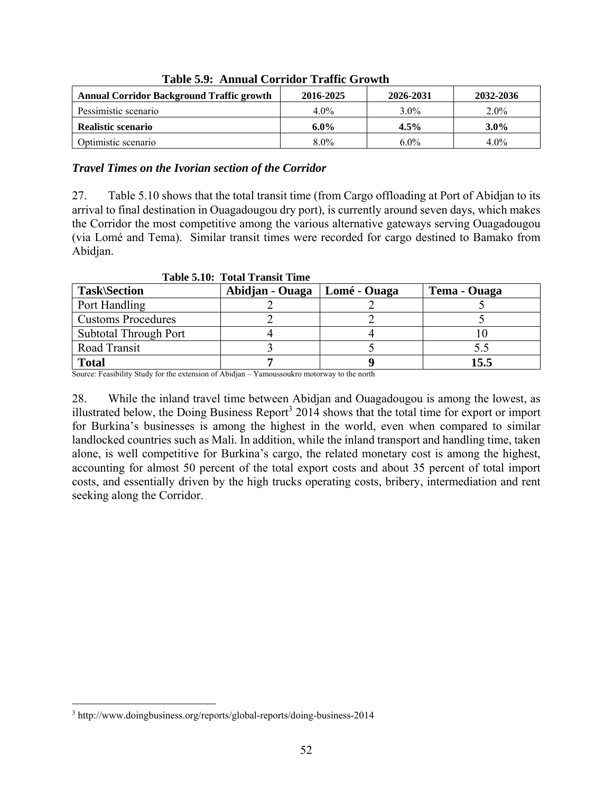| <b>Annual Corridor Background Traffic growth</b> | 2016-2025 | 2026-2031 | 2032-2036 |  |  |  |  |  |  |
|--------------------------------------------------|-----------|-----------|-----------|--|--|--|--|--|--|
| Pessimistic scenario                             | $4.0\%$   | $3.0\%$   | $2.0\%$   |  |  |  |  |  |  |
| Realistic scenario                               | $6.0\%$   | $4.5\%$   | $3.0\%$   |  |  |  |  |  |  |
| Optimistic scenario                              | $8.0\%$   | $6.0\%$   | $4.0\%$   |  |  |  |  |  |  |

**Table 5.9: Annual Corridor Traffic Growth** 

#### *Travel Times on the Ivorian section of the Corridor*

27. Table 5.10 shows that the total transit time (from Cargo offloading at Port of Abidjan to its arrival to final destination in Ouagadougou dry port), is currently around seven days, which makes the Corridor the most competitive among the various alternative gateways serving Ouagadougou (via Lomé and Tema). Similar transit times were recorded for cargo destined to Bamako from Abidjan.

| Table S.Tv. Tolar Transic Thile |                 |              |              |  |  |  |  |  |  |
|---------------------------------|-----------------|--------------|--------------|--|--|--|--|--|--|
| <b>Task\Section</b>             | Abidjan - Ouaga | Lomé - Ouaga | Tema - Ouaga |  |  |  |  |  |  |
| Port Handling                   |                 |              |              |  |  |  |  |  |  |
| <b>Customs Procedures</b>       |                 |              |              |  |  |  |  |  |  |
| Subtotal Through Port           |                 |              |              |  |  |  |  |  |  |
| Road Transit                    |                 |              |              |  |  |  |  |  |  |
| <b>Total</b>                    |                 |              | 15.5         |  |  |  |  |  |  |

**Table 5.10: Total Transit Time** 

Source: Feasibility Study for the extension of Abidjan – Yamoussoukro motorway to the north

28. While the inland travel time between Abidjan and Ouagadougou is among the lowest, as illustrated below, the Doing Business Report<sup>3</sup> 2014 shows that the total time for export or import for Burkina's businesses is among the highest in the world, even when compared to similar landlocked countries such as Mali. In addition, while the inland transport and handling time, taken alone, is well competitive for Burkina's cargo, the related monetary cost is among the highest, accounting for almost 50 percent of the total export costs and about 35 percent of total import costs, and essentially driven by the high trucks operating costs, bribery, intermediation and rent seeking along the Corridor.

 $\overline{a}$ 

<sup>&</sup>lt;sup>3</sup> http://www.doingbusiness.org/reports/global-reports/doing-business-2014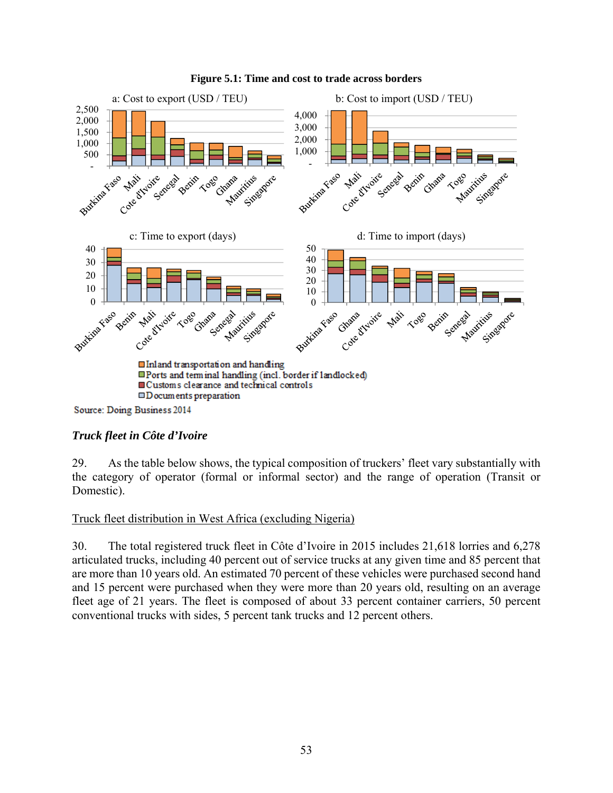

#### **Figure 5.1: Time and cost to trade across borders**

## *Truck fleet in Côte d'Ivoire*

29. As the table below shows, the typical composition of truckers' fleet vary substantially with the category of operator (formal or informal sector) and the range of operation (Transit or Domestic).

#### Truck fleet distribution in West Africa (excluding Nigeria)

30. The total registered truck fleet in Côte d'Ivoire in 2015 includes 21,618 lorries and 6,278 articulated trucks, including 40 percent out of service trucks at any given time and 85 percent that are more than 10 years old. An estimated 70 percent of these vehicles were purchased second hand and 15 percent were purchased when they were more than 20 years old, resulting on an average fleet age of 21 years. The fleet is composed of about 33 percent container carriers, 50 percent conventional trucks with sides, 5 percent tank trucks and 12 percent others.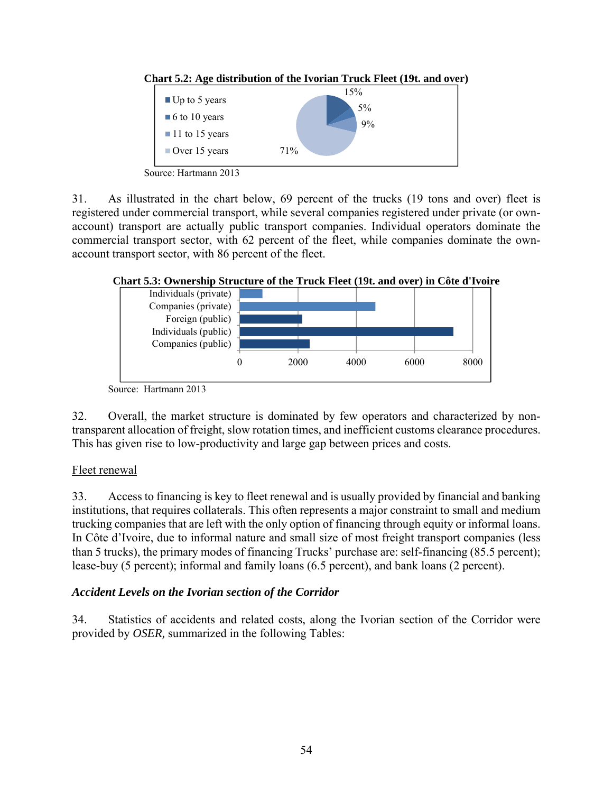



Source: Hartmann 2013

31. As illustrated in the chart below, 69 percent of the trucks (19 tons and over) fleet is registered under commercial transport, while several companies registered under private (or ownaccount) transport are actually public transport companies. Individual operators dominate the commercial transport sector, with 62 percent of the fleet, while companies dominate the ownaccount transport sector, with 86 percent of the fleet.



#### **Chart 5.3: Ownership Structure of the Truck Fleet (19t. and over) in Côte d'Ivoire**

32. Overall, the market structure is dominated by few operators and characterized by nontransparent allocation of freight, slow rotation times, and inefficient customs clearance procedures. This has given rise to low-productivity and large gap between prices and costs.

## Fleet renewal

33. Access to financing is key to fleet renewal and is usually provided by financial and banking institutions, that requires collaterals. This often represents a major constraint to small and medium trucking companies that are left with the only option of financing through equity or informal loans. In Côte d'Ivoire, due to informal nature and small size of most freight transport companies (less than 5 trucks), the primary modes of financing Trucks' purchase are: self-financing (85.5 percent); lease-buy (5 percent); informal and family loans (6.5 percent), and bank loans (2 percent).

## *Accident Levels on the Ivorian section of the Corridor*

34. Statistics of accidents and related costs, along the Ivorian section of the Corridor were provided by *OSER,* summarized in the following Tables:

Source: Hartmann 2013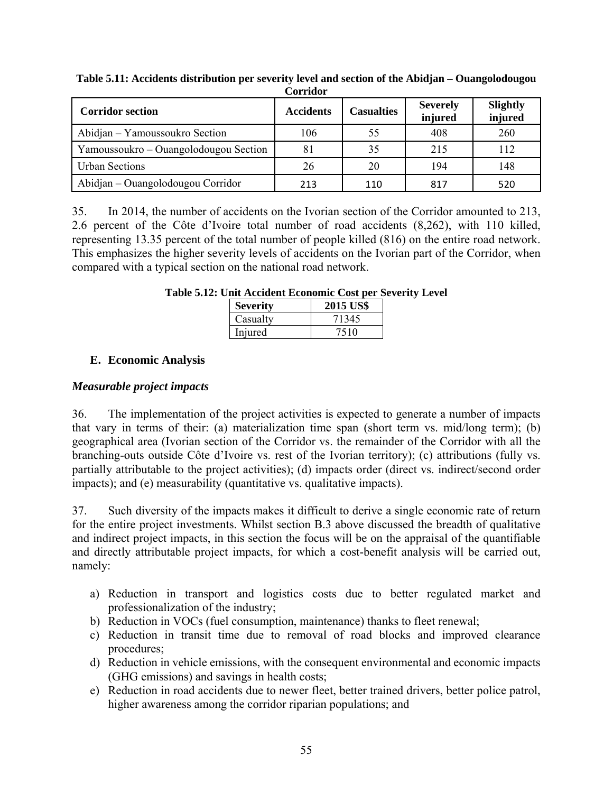| <b>Corridor section</b>               | <b>Accidents</b> | <b>Casualties</b> | <b>Severely</b><br>injured | Slightly<br>injured |
|---------------------------------------|------------------|-------------------|----------------------------|---------------------|
| Abidjan – Yamoussoukro Section        | 106              | 55                | 408                        | 260                 |
| Yamoussoukro – Ouangolodougou Section | 81               | 35                | 215                        | 112                 |
| <b>Urban Sections</b>                 | 26               | 20                | 194                        | 148                 |
| Abidjan – Ouangolodougou Corridor     | 213              | 110               | 817                        | 520                 |

**Table 5.11: Accidents distribution per severity level and section of the Abidjan – Ouangolodougou Corridor** 

35. In 2014, the number of accidents on the Ivorian section of the Corridor amounted to 213, 2.6 percent of the Côte d'Ivoire total number of road accidents (8,262), with 110 killed, representing 13.35 percent of the total number of people killed (816) on the entire road network. This emphasizes the higher severity levels of accidents on the Ivorian part of the Corridor, when compared with a typical section on the national road network.

| <b>Severity</b> | <b>2015 US\$</b> |
|-----------------|------------------|
| Casualty        | 71345            |
| Injured         | 7510             |

**Table 5.12: Unit Accident Economic Cost per Severity Level** 

## **E. Economic Analysis**

## *Measurable project impacts*

36. The implementation of the project activities is expected to generate a number of impacts that vary in terms of their: (a) materialization time span (short term vs. mid/long term); (b) geographical area (Ivorian section of the Corridor vs. the remainder of the Corridor with all the branching-outs outside Côte d'Ivoire vs. rest of the Ivorian territory); (c) attributions (fully vs. partially attributable to the project activities); (d) impacts order (direct vs. indirect/second order impacts); and (e) measurability (quantitative vs. qualitative impacts).

37. Such diversity of the impacts makes it difficult to derive a single economic rate of return for the entire project investments. Whilst section B.3 above discussed the breadth of qualitative and indirect project impacts, in this section the focus will be on the appraisal of the quantifiable and directly attributable project impacts, for which a cost-benefit analysis will be carried out, namely:

- a) Reduction in transport and logistics costs due to better regulated market and professionalization of the industry;
- b) Reduction in VOCs (fuel consumption, maintenance) thanks to fleet renewal;
- c) Reduction in transit time due to removal of road blocks and improved clearance procedures;
- d) Reduction in vehicle emissions, with the consequent environmental and economic impacts (GHG emissions) and savings in health costs;
- e) Reduction in road accidents due to newer fleet, better trained drivers, better police patrol, higher awareness among the corridor riparian populations; and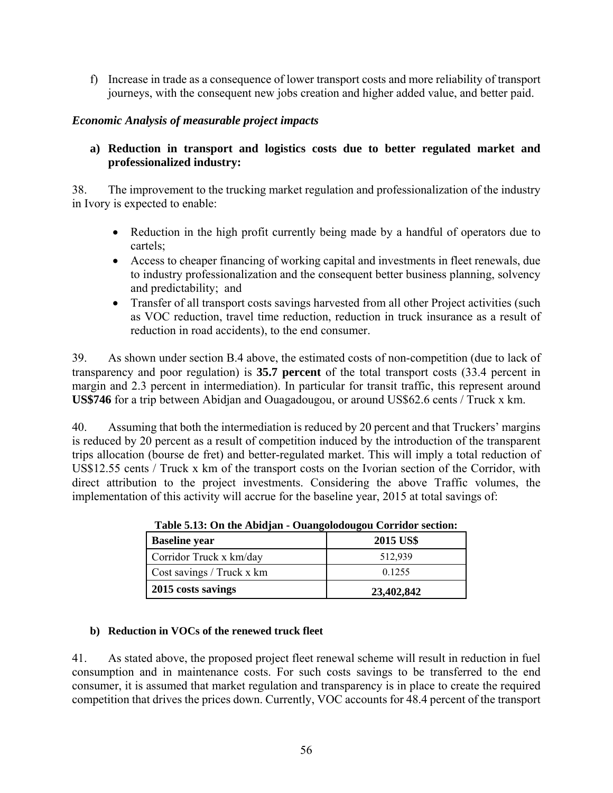f) Increase in trade as a consequence of lower transport costs and more reliability of transport journeys, with the consequent new jobs creation and higher added value, and better paid.

### *Economic Analysis of measurable project impacts*

### **a) Reduction in transport and logistics costs due to better regulated market and professionalized industry:**

38. The improvement to the trucking market regulation and professionalization of the industry in Ivory is expected to enable:

- Reduction in the high profit currently being made by a handful of operators due to cartels;
- Access to cheaper financing of working capital and investments in fleet renewals, due to industry professionalization and the consequent better business planning, solvency and predictability; and
- Transfer of all transport costs savings harvested from all other Project activities (such as VOC reduction, travel time reduction, reduction in truck insurance as a result of reduction in road accidents), to the end consumer.

39. As shown under section B.4 above, the estimated costs of non-competition (due to lack of transparency and poor regulation) is **35.7 percent** of the total transport costs (33.4 percent in margin and 2.3 percent in intermediation). In particular for transit traffic, this represent around **US\$746** for a trip between Abidjan and Ouagadougou, or around US\$62.6 cents / Truck x km.

40. Assuming that both the intermediation is reduced by 20 percent and that Truckers' margins is reduced by 20 percent as a result of competition induced by the introduction of the transparent trips allocation (bourse de fret) and better-regulated market. This will imply a total reduction of US\$12.55 cents / Truck x km of the transport costs on the Ivorian section of the Corridor, with direct attribution to the project investments. Considering the above Traffic volumes, the implementation of this activity will accrue for the baseline year, 2015 at total savings of:

| <b>Baseline year</b>      | 2015 US\$  |
|---------------------------|------------|
| Corridor Truck x km/day   | 512,939    |
| Cost savings / Truck x km | 0.1255     |
| 2015 costs savings        | 23,402,842 |

**Table 5.13: On the Abidjan - Ouangolodougou Corridor section:** 

#### **b) Reduction in VOCs of the renewed truck fleet**

41. As stated above, the proposed project fleet renewal scheme will result in reduction in fuel consumption and in maintenance costs. For such costs savings to be transferred to the end consumer, it is assumed that market regulation and transparency is in place to create the required competition that drives the prices down. Currently, VOC accounts for 48.4 percent of the transport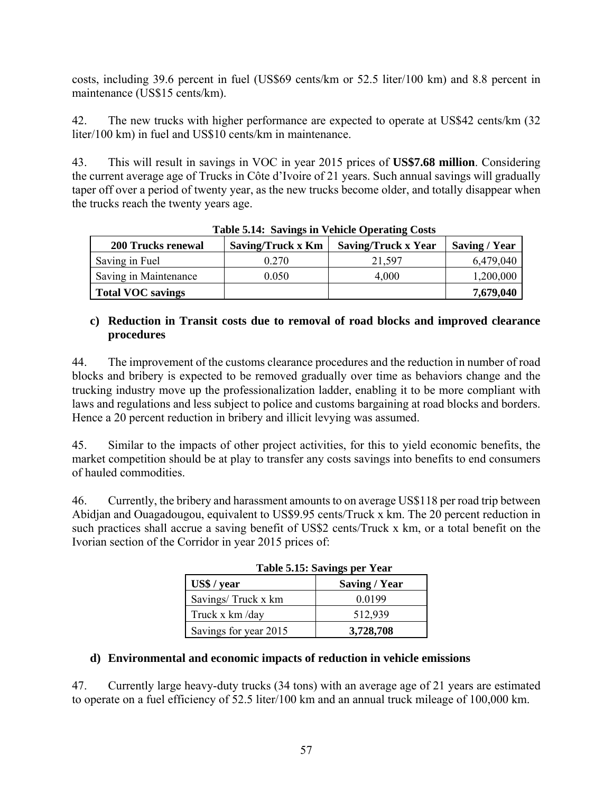costs, including 39.6 percent in fuel (US\$69 cents/km or 52.5 liter/100 km) and 8.8 percent in maintenance (US\$15 cents/km).

42. The new trucks with higher performance are expected to operate at US\$42 cents/km (32 liter/100 km) in fuel and US\$10 cents/km in maintenance.

43. This will result in savings in VOC in year 2015 prices of **US\$7.68 million**. Considering the current average age of Trucks in Côte d'Ivoire of 21 years. Such annual savings will gradually taper off over a period of twenty year, as the new trucks become older, and totally disappear when the trucks reach the twenty years age.

| $1000$ cm $1000$ $1000$ $1000$ $1000$ $1000$ |                   |                            |               |  |
|----------------------------------------------|-------------------|----------------------------|---------------|--|
| <b>200 Trucks renewal</b>                    | Saving/Truck x Km | <b>Saving/Truck x Year</b> | Saving / Year |  |
| Saving in Fuel                               | 0.270             | 21.597                     | 6,479,040     |  |
| Saving in Maintenance                        | 0.050             | 4.000                      | 1,200,000     |  |
| Total VOC savings                            |                   |                            | 7,679,040     |  |

**Table 5.14: Savings in Vehicle Operating Costs**

#### **c) Reduction in Transit costs due to removal of road blocks and improved clearance procedures**

44. The improvement of the customs clearance procedures and the reduction in number of road blocks and bribery is expected to be removed gradually over time as behaviors change and the trucking industry move up the professionalization ladder, enabling it to be more compliant with laws and regulations and less subject to police and customs bargaining at road blocks and borders. Hence a 20 percent reduction in bribery and illicit levying was assumed.

45. Similar to the impacts of other project activities, for this to yield economic benefits, the market competition should be at play to transfer any costs savings into benefits to end consumers of hauled commodities.

46. Currently, the bribery and harassment amounts to on average US\$118 per road trip between Abidjan and Ouagadougou, equivalent to US\$9.95 cents/Truck x km. The 20 percent reduction in such practices shall accrue a saving benefit of US\$2 cents/Truck x km, or a total benefit on the Ivorian section of the Corridor in year 2015 prices of:

| Table 5.15. Savillys per Teal |                      |  |
|-------------------------------|----------------------|--|
| US\$ / year                   | <b>Saving / Year</b> |  |
| Savings/Truck x km            | 0.0199               |  |
| Truck x km /day               | 512,939              |  |
| Savings for year 2015         | 3,728,708            |  |

**Table 5.15: Savings per Year** 

## **d) Environmental and economic impacts of reduction in vehicle emissions**

47. Currently large heavy-duty trucks (34 tons) with an average age of 21 years are estimated to operate on a fuel efficiency of 52.5 liter/100 km and an annual truck mileage of 100,000 km.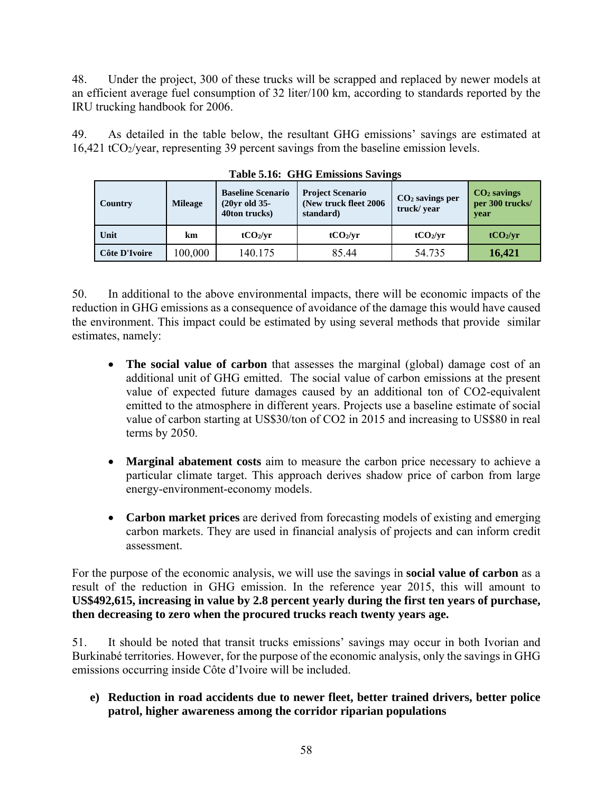48. Under the project, 300 of these trucks will be scrapped and replaced by newer models at an efficient average fuel consumption of 32 liter/100 km, according to standards reported by the IRU trucking handbook for 2006.

49. As detailed in the table below, the resultant GHG emissions' savings are estimated at 16,421 tCO2/year, representing 39 percent savings from the baseline emission levels.

| <b>Country</b> | <b>Mileage</b> | <b>Baseline Scenario</b><br>$(20yr$ old 35-<br>40ton trucks) | <b>Project Scenario</b><br>(New truck fleet 2006)<br>standard) | $CO2$ savings per<br>truck/year | $CO2$ savings<br>per 300 trucks/<br>year |
|----------------|----------------|--------------------------------------------------------------|----------------------------------------------------------------|---------------------------------|------------------------------------------|
| Unit           | km             | tCO <sub>2</sub> /vr                                         | tCO <sub>2</sub> /vr                                           | tCO <sub>2</sub> /vr            | tCO <sub>2</sub> /yr                     |
| Côte D'Ivoire  | 100,000        | 140.175                                                      | 85.44                                                          | 54.735                          | 16,421                                   |

**Table 5.16: GHG Emissions Savings** 

50. In additional to the above environmental impacts, there will be economic impacts of the reduction in GHG emissions as a consequence of avoidance of the damage this would have caused the environment. This impact could be estimated by using several methods that provide similar estimates, namely:

- **The social value of carbon** that assesses the marginal (global) damage cost of an additional unit of GHG emitted. The social value of carbon emissions at the present value of expected future damages caused by an additional ton of CO2-equivalent emitted to the atmosphere in different years. Projects use a baseline estimate of social value of carbon starting at US\$30/ton of CO2 in 2015 and increasing to US\$80 in real terms by 2050.
- **Marginal abatement costs** aim to measure the carbon price necessary to achieve a particular climate target. This approach derives shadow price of carbon from large energy-environment-economy models.
- **Carbon market prices** are derived from forecasting models of existing and emerging carbon markets. They are used in financial analysis of projects and can inform credit assessment.

For the purpose of the economic analysis, we will use the savings in **social value of carbon** as a result of the reduction in GHG emission. In the reference year 2015, this will amount to **US\$492,615, increasing in value by 2.8 percent yearly during the first ten years of purchase, then decreasing to zero when the procured trucks reach twenty years age.**

51. It should be noted that transit trucks emissions' savings may occur in both Ivorian and Burkinabé territories. However, for the purpose of the economic analysis, only the savings in GHG emissions occurring inside Côte d'Ivoire will be included.

**e) Reduction in road accidents due to newer fleet, better trained drivers, better police patrol, higher awareness among the corridor riparian populations**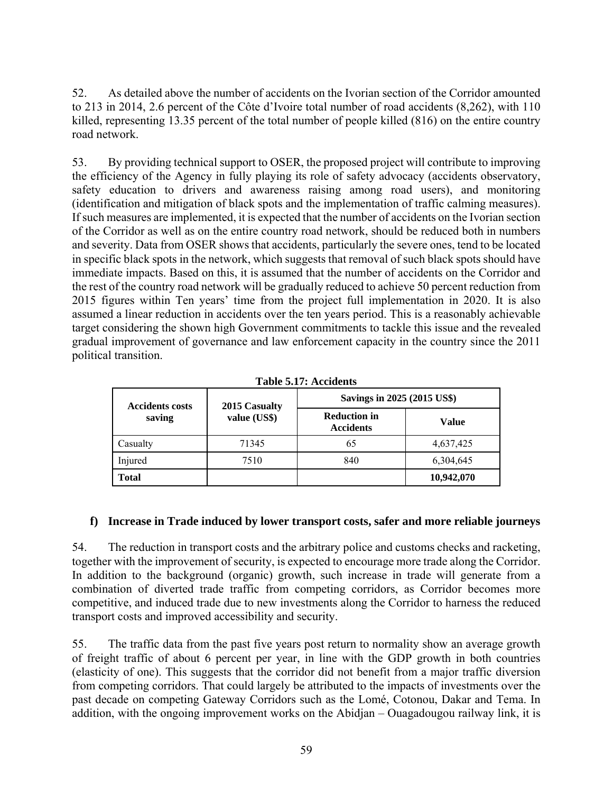52. As detailed above the number of accidents on the Ivorian section of the Corridor amounted to 213 in 2014, 2.6 percent of the Côte d'Ivoire total number of road accidents (8,262), with 110 killed, representing 13.35 percent of the total number of people killed (816) on the entire country road network.

53. By providing technical support to OSER, the proposed project will contribute to improving the efficiency of the Agency in fully playing its role of safety advocacy (accidents observatory, safety education to drivers and awareness raising among road users), and monitoring (identification and mitigation of black spots and the implementation of traffic calming measures). If such measures are implemented, it is expected that the number of accidents on the Ivorian section of the Corridor as well as on the entire country road network, should be reduced both in numbers and severity. Data from OSER shows that accidents, particularly the severe ones, tend to be located in specific black spots in the network, which suggests that removal of such black spots should have immediate impacts. Based on this, it is assumed that the number of accidents on the Corridor and the rest of the country road network will be gradually reduced to achieve 50 percent reduction from 2015 figures within Ten years' time from the project full implementation in 2020. It is also assumed a linear reduction in accidents over the ten years period. This is a reasonably achievable target considering the shown high Government commitments to tackle this issue and the revealed gradual improvement of governance and law enforcement capacity in the country since the 2011 political transition.

| Table 9.17. Accidents  |               |                                         |            |  |
|------------------------|---------------|-----------------------------------------|------------|--|
| <b>Accidents costs</b> | 2015 Casualty | Savings in 2025 (2015 US\$)             |            |  |
| saving                 | value (US\$)  | <b>Reduction in</b><br><b>Accidents</b> | Value      |  |
| Casualty               | 71345         | 65                                      | 4,637,425  |  |
| Injured                | 7510          | 840                                     | 6,304,645  |  |
| <b>Total</b>           |               |                                         | 10,942,070 |  |

|  | Table 5.17: Accidents |
|--|-----------------------|
|--|-----------------------|

### **f) Increase in Trade induced by lower transport costs, safer and more reliable journeys**

54. The reduction in transport costs and the arbitrary police and customs checks and racketing, together with the improvement of security, is expected to encourage more trade along the Corridor. In addition to the background (organic) growth, such increase in trade will generate from a combination of diverted trade traffic from competing corridors, as Corridor becomes more competitive, and induced trade due to new investments along the Corridor to harness the reduced transport costs and improved accessibility and security.

55. The traffic data from the past five years post return to normality show an average growth of freight traffic of about 6 percent per year, in line with the GDP growth in both countries (elasticity of one). This suggests that the corridor did not benefit from a major traffic diversion from competing corridors. That could largely be attributed to the impacts of investments over the past decade on competing Gateway Corridors such as the Lomé, Cotonou, Dakar and Tema. In addition, with the ongoing improvement works on the Abidjan – Ouagadougou railway link, it is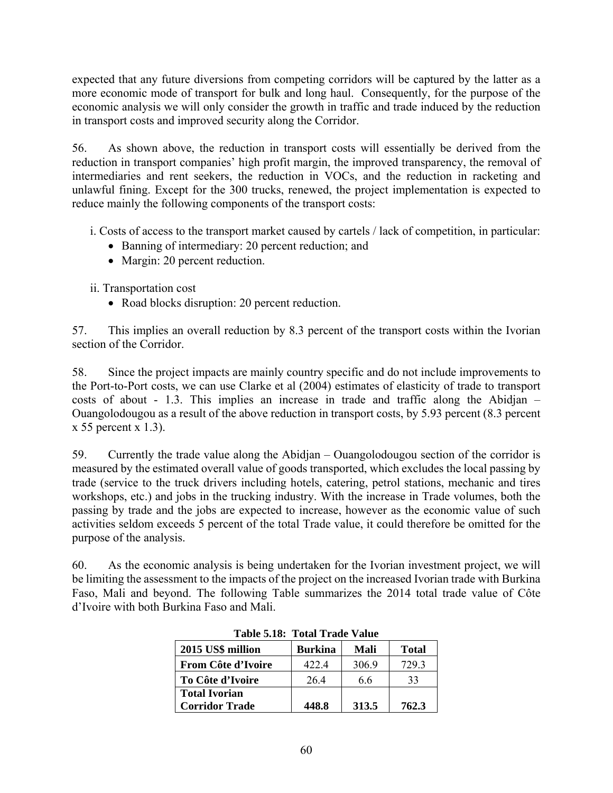expected that any future diversions from competing corridors will be captured by the latter as a more economic mode of transport for bulk and long haul. Consequently, for the purpose of the economic analysis we will only consider the growth in traffic and trade induced by the reduction in transport costs and improved security along the Corridor.

56. As shown above, the reduction in transport costs will essentially be derived from the reduction in transport companies' high profit margin, the improved transparency, the removal of intermediaries and rent seekers, the reduction in VOCs, and the reduction in racketing and unlawful fining. Except for the 300 trucks, renewed, the project implementation is expected to reduce mainly the following components of the transport costs:

i. Costs of access to the transport market caused by cartels / lack of competition, in particular:

- Banning of intermediary: 20 percent reduction; and
- Margin: 20 percent reduction.

ii. Transportation cost

• Road blocks disruption: 20 percent reduction.

57. This implies an overall reduction by 8.3 percent of the transport costs within the Ivorian section of the Corridor.

58. Since the project impacts are mainly country specific and do not include improvements to the Port-to-Port costs, we can use Clarke et al (2004) estimates of elasticity of trade to transport costs of about - 1.3. This implies an increase in trade and traffic along the Abidjan – Ouangolodougou as a result of the above reduction in transport costs, by 5.93 percent (8.3 percent  $x 55$  percent  $x 1.3$ ).

59. Currently the trade value along the Abidjan – Ouangolodougou section of the corridor is measured by the estimated overall value of goods transported, which excludes the local passing by trade (service to the truck drivers including hotels, catering, petrol stations, mechanic and tires workshops, etc.) and jobs in the trucking industry. With the increase in Trade volumes, both the passing by trade and the jobs are expected to increase, however as the economic value of such activities seldom exceeds 5 percent of the total Trade value, it could therefore be omitted for the purpose of the analysis.

60. As the economic analysis is being undertaken for the Ivorian investment project, we will be limiting the assessment to the impacts of the project on the increased Ivorian trade with Burkina Faso, Mali and beyond. The following Table summarizes the 2014 total trade value of Côte d'Ivoire with both Burkina Faso and Mali.

|                       | TAMIC DINA TULAI TTAMU TANU |       |              |  |
|-----------------------|-----------------------------|-------|--------------|--|
| 2015 US\$ million     | <b>Burkina</b>              | Mali  | <b>Total</b> |  |
| From Côte d'Ivoire    | 4224                        | 306.9 | 7293         |  |
| To Côte d'Ivoire      | 26.4                        | 6.6   | 33           |  |
| <b>Total Ivorian</b>  |                             |       |              |  |
| <b>Corridor Trade</b> | 448.8                       | 313.5 | 762.3        |  |

**Table 5.18: Total Trade Value**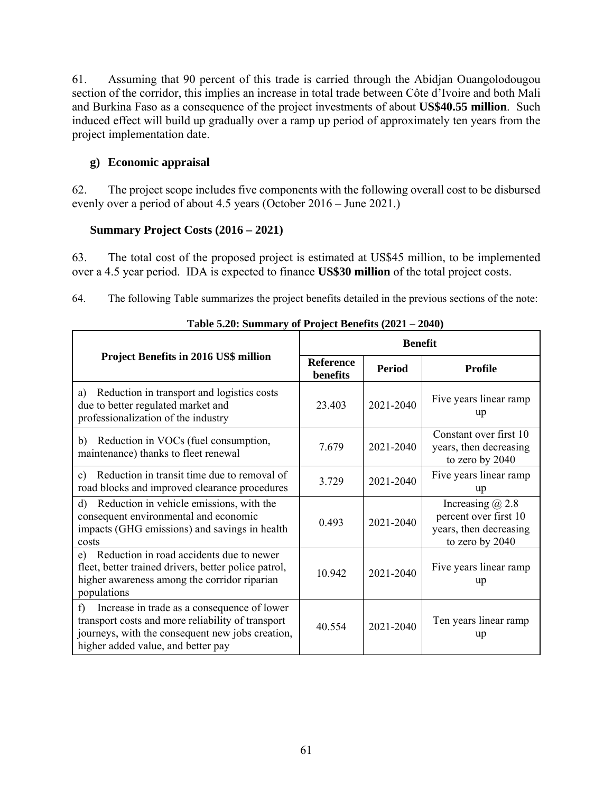61. Assuming that 90 percent of this trade is carried through the Abidjan Ouangolodougou section of the corridor, this implies an increase in total trade between Côte d'Ivoire and both Mali and Burkina Faso as a consequence of the project investments of about **US\$40.55 million**. Such induced effect will build up gradually over a ramp up period of approximately ten years from the project implementation date.

### **g) Economic appraisal**

62. The project scope includes five components with the following overall cost to be disbursed evenly over a period of about 4.5 years (October 2016 – June 2021.)

### **Summary Project Costs (2016 – 2021)**

63. The total cost of the proposed project is estimated at US\$45 million, to be implemented over a 4.5 year period. IDA is expected to finance **US\$30 million** of the total project costs.

64. The following Table summarizes the project benefits detailed in the previous sections of the note:

|                                                                                                                                                                                                  | <b>Benefit</b>               |               |                                                                                            |
|--------------------------------------------------------------------------------------------------------------------------------------------------------------------------------------------------|------------------------------|---------------|--------------------------------------------------------------------------------------------|
| <b>Project Benefits in 2016 US\$ million</b>                                                                                                                                                     | <b>Reference</b><br>benefits | <b>Period</b> | <b>Profile</b>                                                                             |
| Reduction in transport and logistics costs<br>a)<br>due to better regulated market and<br>professionalization of the industry                                                                    | 23 403                       | 2021-2040     | Five years linear ramp<br>up                                                               |
| Reduction in VOCs (fuel consumption,<br>b)<br>maintenance) thanks to fleet renewal                                                                                                               | 7.679                        | 2021-2040     | Constant over first 10<br>years, then decreasing<br>to zero by 2040                        |
| Reduction in transit time due to removal of<br>$\mathbf{c}$<br>road blocks and improved clearance procedures                                                                                     | 3.729                        | 2021-2040     | Five years linear ramp<br>up                                                               |
| Reduction in vehicle emissions, with the<br>d)<br>consequent environmental and economic<br>impacts (GHG emissions) and savings in health<br>costs                                                | 0.493                        | 2021-2040     | Increasing $(a)$ 2.8<br>percent over first 10<br>years, then decreasing<br>to zero by 2040 |
| Reduction in road accidents due to newer<br>e)<br>fleet, better trained drivers, better police patrol,<br>higher awareness among the corridor riparian<br>populations                            | 10.942                       | 2021-2040     | Five years linear ramp<br>up                                                               |
| Increase in trade as a consequence of lower<br>f)<br>transport costs and more reliability of transport<br>journeys, with the consequent new jobs creation,<br>higher added value, and better pay | 40 5 54                      | 2021-2040     | Ten years linear ramp<br>up                                                                |

| Table 5.20: Summary of Project Benefits (2021 – 2040) |  |  |  |  |  |
|-------------------------------------------------------|--|--|--|--|--|
|-------------------------------------------------------|--|--|--|--|--|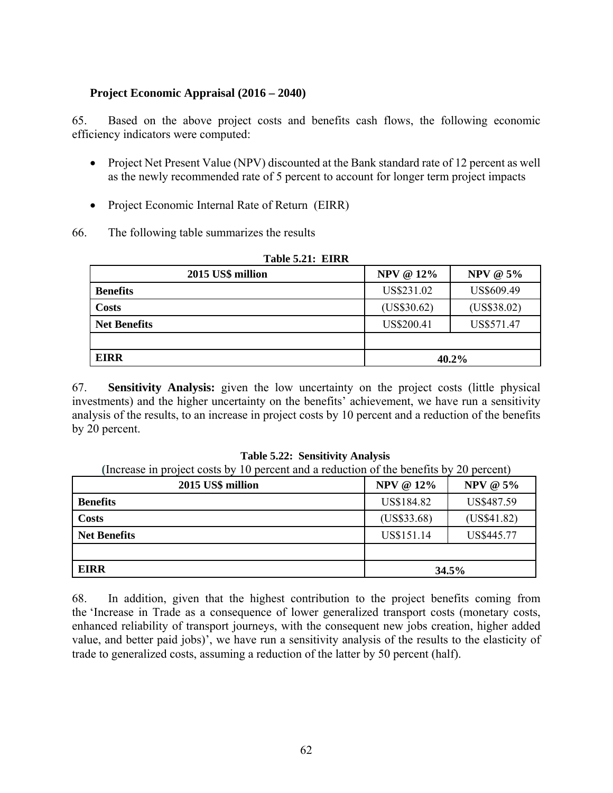#### **Project Economic Appraisal (2016 – 2040)**

65. Based on the above project costs and benefits cash flows, the following economic efficiency indicators were computed:

- Project Net Present Value (NPV) discounted at the Bank standard rate of 12 percent as well as the newly recommended rate of 5 percent to account for longer term project impacts
- Project Economic Internal Rate of Return (EIRR)
- 66. The following table summarizes the results

| 2015 US\$ million   | <b>NPV @ 12%</b> | <b>NPV @ 5%</b> |  |
|---------------------|------------------|-----------------|--|
| <b>Benefits</b>     | US\$231.02       | US\$609.49      |  |
| <b>Costs</b>        | (US\$30.62)      | (US\$38.02)     |  |
| <b>Net Benefits</b> | US\$200.41       | US\$571.47      |  |
|                     |                  |                 |  |
| <b>EIRR</b>         |                  | 40.2%           |  |

### **Table 5.21: EIRR**

67. **Sensitivity Analysis:** given the low uncertainty on the project costs (little physical investments) and the higher uncertainty on the benefits' achievement, we have run a sensitivity analysis of the results, to an increase in project costs by 10 percent and a reduction of the benefits by 20 percent.

**Table 5.22: Sensitivity Analysis** 

**(**Increase in project costs by 10 percent and a reduction of the benefits by 20 percent)

| 2015 US\$ million   | <b>NPV @ 12%</b> | <b>NPV @ 5%</b> |
|---------------------|------------------|-----------------|
| <b>Benefits</b>     | US\$184.82       | US\$487.59      |
| <b>Costs</b>        | (US\$33.68)      | (US\$41.82)     |
| <b>Net Benefits</b> | US\$151.14       | US\$445.77      |
|                     |                  |                 |
| <b>EIRR</b>         |                  | 34.5%           |

68. In addition, given that the highest contribution to the project benefits coming from the 'Increase in Trade as a consequence of lower generalized transport costs (monetary costs, enhanced reliability of transport journeys, with the consequent new jobs creation, higher added value, and better paid jobs)', we have run a sensitivity analysis of the results to the elasticity of trade to generalized costs, assuming a reduction of the latter by 50 percent (half).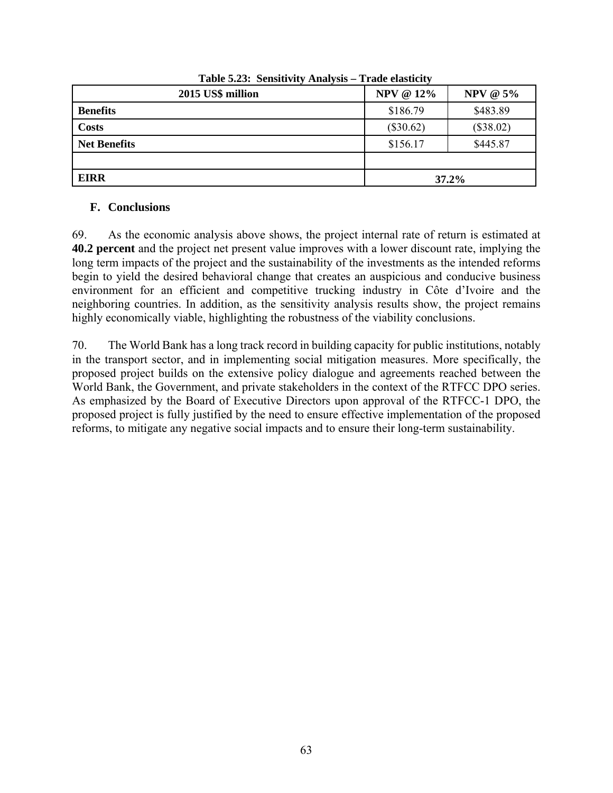| 2015 US\$ million   | <b>NPV @ 12%</b> | <b>NPV @ 5%</b> |
|---------------------|------------------|-----------------|
| <b>Benefits</b>     | \$186.79         | \$483.89        |
| <b>Costs</b>        | $(\$30.62)$      | (\$38.02)       |
| <b>Net Benefits</b> | \$156.17         | \$445.87        |
|                     |                  |                 |
| <b>EIRR</b>         |                  | 37.2%           |

**Table 5.23: Sensitivity Analysis – Trade elasticity** 

### **F. Conclusions**

69. As the economic analysis above shows, the project internal rate of return is estimated at **40.2 percent** and the project net present value improves with a lower discount rate, implying the long term impacts of the project and the sustainability of the investments as the intended reforms begin to yield the desired behavioral change that creates an auspicious and conducive business environment for an efficient and competitive trucking industry in Côte d'Ivoire and the neighboring countries. In addition, as the sensitivity analysis results show, the project remains highly economically viable, highlighting the robustness of the viability conclusions.

70. The World Bank has a long track record in building capacity for public institutions, notably in the transport sector, and in implementing social mitigation measures. More specifically, the proposed project builds on the extensive policy dialogue and agreements reached between the World Bank, the Government, and private stakeholders in the context of the RTFCC DPO series. As emphasized by the Board of Executive Directors upon approval of the RTFCC-1 DPO, the proposed project is fully justified by the need to ensure effective implementation of the proposed reforms, to mitigate any negative social impacts and to ensure their long-term sustainability.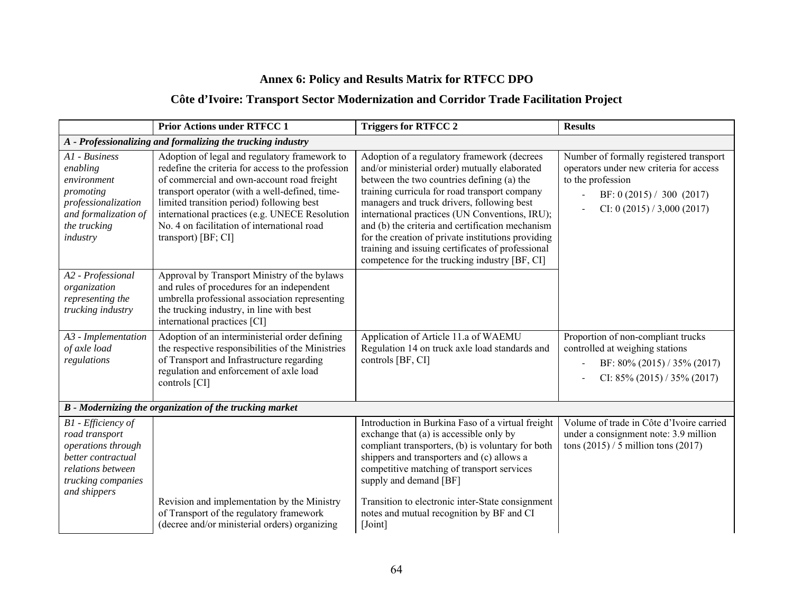# **Annex 6: Policy and Results Matrix for RTFCC DPO**

## **Côte d'Ivoire: Transport Sector Modernization and Corridor Trade Facilitation Project**

|                                                                                                                                             | <b>Prior Actions under RTFCC 1</b>                                                                                                                                                                                                                                                                                                                                       | <b>Triggers for RTFCC 2</b>                                                                                                                                                                                                                                                                                                                                                                                                                                                                                 | <b>Results</b>                                                                                                                                                                                    |
|---------------------------------------------------------------------------------------------------------------------------------------------|--------------------------------------------------------------------------------------------------------------------------------------------------------------------------------------------------------------------------------------------------------------------------------------------------------------------------------------------------------------------------|-------------------------------------------------------------------------------------------------------------------------------------------------------------------------------------------------------------------------------------------------------------------------------------------------------------------------------------------------------------------------------------------------------------------------------------------------------------------------------------------------------------|---------------------------------------------------------------------------------------------------------------------------------------------------------------------------------------------------|
|                                                                                                                                             | A - Professionalizing and formalizing the trucking industry                                                                                                                                                                                                                                                                                                              |                                                                                                                                                                                                                                                                                                                                                                                                                                                                                                             |                                                                                                                                                                                                   |
| A1 - Business<br>enabling<br>environment<br>promoting<br>professionalization<br>and formalization of<br>the trucking<br>industry            | Adoption of legal and regulatory framework to<br>redefine the criteria for access to the profession<br>of commercial and own-account road freight<br>transport operator (with a well-defined, time-<br>limited transition period) following best<br>international practices (e.g. UNECE Resolution<br>No. 4 on facilitation of international road<br>transport) [BF; CI] | Adoption of a regulatory framework (decrees<br>and/or ministerial order) mutually elaborated<br>between the two countries defining (a) the<br>training curricula for road transport company<br>managers and truck drivers, following best<br>international practices (UN Conventions, IRU);<br>and (b) the criteria and certification mechanism<br>for the creation of private institutions providing<br>training and issuing certificates of professional<br>competence for the trucking industry [BF, CI] | Number of formally registered transport<br>operators under new criteria for access<br>to the profession<br>BF: $0(2015) / 300(2017)$<br>$\overline{\phantom{a}}$<br>CI: 0 $(2015) / 3,000 (2017)$ |
| A2 - Professional<br>organization<br>representing the<br>trucking industry                                                                  | Approval by Transport Ministry of the bylaws<br>and rules of procedures for an independent<br>umbrella professional association representing<br>the trucking industry, in line with best<br>international practices [CI]                                                                                                                                                 |                                                                                                                                                                                                                                                                                                                                                                                                                                                                                                             |                                                                                                                                                                                                   |
| A3 - Implementation<br>of axle load<br>regulations                                                                                          | Adoption of an interministerial order defining<br>the respective responsibilities of the Ministries<br>of Transport and Infrastructure regarding<br>regulation and enforcement of axle load<br>controls [CI]                                                                                                                                                             | Application of Article 11.a of WAEMU<br>Regulation 14 on truck axle load standards and<br>controls [BF, CI]                                                                                                                                                                                                                                                                                                                                                                                                 | Proportion of non-compliant trucks<br>controlled at weighing stations<br>BF: 80% (2015) / 35% (2017)<br>CI: $85\%$ (2015) / 35% (2017)                                                            |
|                                                                                                                                             | B - Modernizing the organization of the trucking market                                                                                                                                                                                                                                                                                                                  |                                                                                                                                                                                                                                                                                                                                                                                                                                                                                                             |                                                                                                                                                                                                   |
| B1 - Efficiency of<br>road transport<br>operations through<br>better contractual<br>relations between<br>trucking companies<br>and shippers | Revision and implementation by the Ministry<br>of Transport of the regulatory framework<br>(decree and/or ministerial orders) organizing                                                                                                                                                                                                                                 | Introduction in Burkina Faso of a virtual freight<br>exchange that (a) is accessible only by<br>compliant transporters, (b) is voluntary for both<br>shippers and transporters and (c) allows a<br>competitive matching of transport services<br>supply and demand [BF]<br>Transition to electronic inter-State consignment<br>notes and mutual recognition by BF and CI<br>[Joint]                                                                                                                         | Volume of trade in Côte d'Ivoire carried<br>under a consignment note: 3.9 million<br>tons $(2015)$ / 5 million tons $(2017)$                                                                      |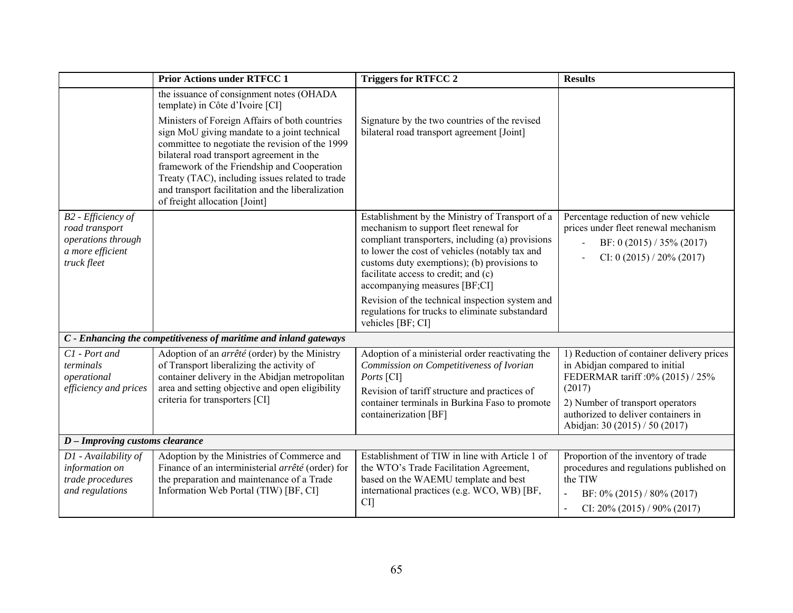|                                                                                               | <b>Prior Actions under RTFCC 1</b>                                                                                                                                                                                                                                                                                                                                                                                                                                    | <b>Triggers for RTFCC 2</b>                                                                                                                                                                                                                                                                                                                                                                                                                        | <b>Results</b>                                                                                                                                                                                                                          |
|-----------------------------------------------------------------------------------------------|-----------------------------------------------------------------------------------------------------------------------------------------------------------------------------------------------------------------------------------------------------------------------------------------------------------------------------------------------------------------------------------------------------------------------------------------------------------------------|----------------------------------------------------------------------------------------------------------------------------------------------------------------------------------------------------------------------------------------------------------------------------------------------------------------------------------------------------------------------------------------------------------------------------------------------------|-----------------------------------------------------------------------------------------------------------------------------------------------------------------------------------------------------------------------------------------|
|                                                                                               | the issuance of consignment notes (OHADA<br>template) in Côte d'Ivoire [CI]<br>Ministers of Foreign Affairs of both countries<br>sign MoU giving mandate to a joint technical<br>committee to negotiate the revision of the 1999<br>bilateral road transport agreement in the<br>framework of the Friendship and Cooperation<br>Treaty (TAC), including issues related to trade<br>and transport facilitation and the liberalization<br>of freight allocation [Joint] | Signature by the two countries of the revised<br>bilateral road transport agreement [Joint]                                                                                                                                                                                                                                                                                                                                                        |                                                                                                                                                                                                                                         |
| B2 - Efficiency of<br>road transport<br>operations through<br>a more efficient<br>truck fleet |                                                                                                                                                                                                                                                                                                                                                                                                                                                                       | Establishment by the Ministry of Transport of a<br>mechanism to support fleet renewal for<br>compliant transporters, including (a) provisions<br>to lower the cost of vehicles (notably tax and<br>customs duty exemptions); (b) provisions to<br>facilitate access to credit; and (c)<br>accompanying measures [BF;CI]<br>Revision of the technical inspection system and<br>regulations for trucks to eliminate substandard<br>vehicles [BF; CI] | Percentage reduction of new vehicle<br>prices under fleet renewal mechanism<br>BF: 0 (2015) / 35% (2017)<br>CI: 0 (2015) / 20% (2017)                                                                                                   |
|                                                                                               | C - Enhancing the competitiveness of maritime and inland gateways                                                                                                                                                                                                                                                                                                                                                                                                     |                                                                                                                                                                                                                                                                                                                                                                                                                                                    |                                                                                                                                                                                                                                         |
| C1 - Port and<br>terminals<br>operational<br>efficiency and prices                            | Adoption of an arrêté (order) by the Ministry<br>of Transport liberalizing the activity of<br>container delivery in the Abidjan metropolitan<br>area and setting objective and open eligibility<br>criteria for transporters [CI]                                                                                                                                                                                                                                     | Adoption of a ministerial order reactivating the<br>Commission on Competitiveness of Ivorian<br>Ports [CI]<br>Revision of tariff structure and practices of<br>container terminals in Burkina Faso to promote<br>containerization [BF]                                                                                                                                                                                                             | 1) Reduction of container delivery prices<br>in Abidian compared to initial<br>FEDERMAR tariff : 0% (2015) / 25%<br>(2017)<br>2) Number of transport operators<br>authorized to deliver containers in<br>Abidjan: 30 (2015) / 50 (2017) |
| D - Improving customs clearance                                                               |                                                                                                                                                                                                                                                                                                                                                                                                                                                                       |                                                                                                                                                                                                                                                                                                                                                                                                                                                    |                                                                                                                                                                                                                                         |
| D1 - Availability of<br>information on<br>trade procedures<br>and regulations                 | Adoption by the Ministries of Commerce and<br>Finance of an interministerial arrêté (order) for<br>the preparation and maintenance of a Trade<br>Information Web Portal (TIW) [BF, CI]                                                                                                                                                                                                                                                                                | Establishment of TIW in line with Article 1 of<br>the WTO's Trade Facilitation Agreement,<br>based on the WAEMU template and best<br>international practices (e.g. WCO, WB) [BF,<br>CI]                                                                                                                                                                                                                                                            | Proportion of the inventory of trade<br>procedures and regulations published on<br>the TIW<br>BF: $0\%$ (2015) / 80% (2017)<br>$\overline{\phantom{a}}$<br>CI: $20\%$ (2015) / 90% (2017)                                               |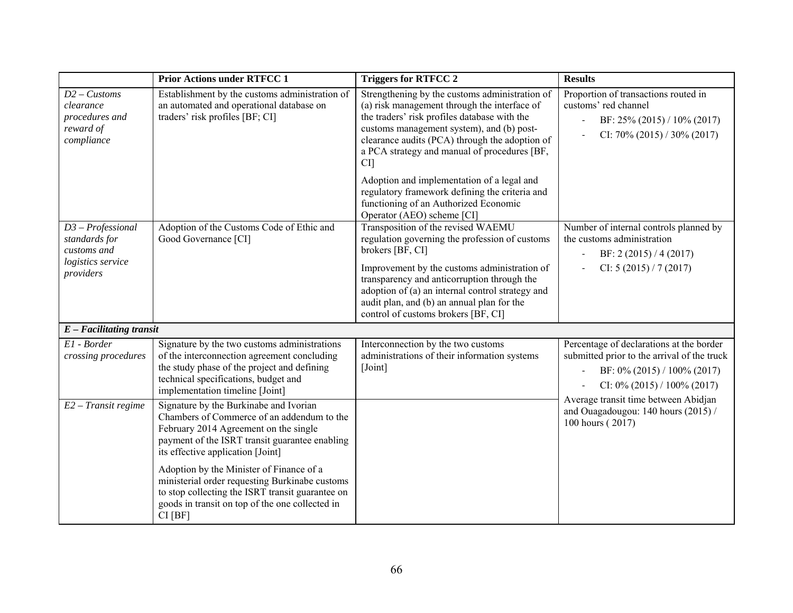|                                                                                       | <b>Prior Actions under RTFCC 1</b>                                                                                                                                                                                    | <b>Triggers for RTFCC 2</b>                                                                                                                                                                                                                                                                                                                      | <b>Results</b>                                                                                                                                                     |
|---------------------------------------------------------------------------------------|-----------------------------------------------------------------------------------------------------------------------------------------------------------------------------------------------------------------------|--------------------------------------------------------------------------------------------------------------------------------------------------------------------------------------------------------------------------------------------------------------------------------------------------------------------------------------------------|--------------------------------------------------------------------------------------------------------------------------------------------------------------------|
| $D2$ – Customs<br>clearance<br>procedures and<br>reward of<br>compliance              | Establishment by the customs administration of<br>an automated and operational database on<br>traders' risk profiles [BF; CI]                                                                                         | Strengthening by the customs administration of<br>(a) risk management through the interface of<br>the traders' risk profiles database with the<br>customs management system), and (b) post-<br>clearance audits (PCA) through the adoption of<br>a PCA strategy and manual of procedures [BF,<br>CI                                              | Proportion of transactions routed in<br>customs' red channel<br>BF: 25% (2015) / 10% (2017)<br>CI: $70\%$ (2015) / 30% (2017)                                      |
|                                                                                       |                                                                                                                                                                                                                       | Adoption and implementation of a legal and<br>regulatory framework defining the criteria and<br>functioning of an Authorized Economic<br>Operator (AEO) scheme [CI]                                                                                                                                                                              |                                                                                                                                                                    |
| $D3 - Professional$<br>standards for<br>customs and<br>logistics service<br>providers | Adoption of the Customs Code of Ethic and<br>Good Governance [CI]                                                                                                                                                     | Transposition of the revised WAEMU<br>regulation governing the profession of customs<br>brokers [BF, CI]<br>Improvement by the customs administration of<br>transparency and anticorruption through the<br>adoption of (a) an internal control strategy and<br>audit plan, and (b) an annual plan for the<br>control of customs brokers [BF, CI] | Number of internal controls planned by<br>the customs administration<br>BF: 2 $(2015) / 4 (2017)$<br>CI: $5(2015)/7(2017)$                                         |
| $E$ – Facilitating transit                                                            |                                                                                                                                                                                                                       |                                                                                                                                                                                                                                                                                                                                                  |                                                                                                                                                                    |
| El - Border<br>crossing procedures                                                    | Signature by the two customs administrations<br>of the interconnection agreement concluding<br>the study phase of the project and defining<br>technical specifications, budget and<br>implementation timeline [Joint] | Interconnection by the two customs<br>administrations of their information systems<br>[Joint]                                                                                                                                                                                                                                                    | Percentage of declarations at the border<br>submitted prior to the arrival of the truck<br>BF: 0% (2015) / 100% (2017)<br>$\sim$<br>CI: $0\%$ (2015) / 100% (2017) |
| $E2 - Transit$ regime                                                                 | Signature by the Burkinabe and Ivorian<br>Chambers of Commerce of an addendum to the<br>February 2014 Agreement on the single<br>payment of the ISRT transit guarantee enabling<br>its effective application [Joint]  |                                                                                                                                                                                                                                                                                                                                                  | Average transit time between Abidjan<br>and Ouagadougou: 140 hours (2015) /<br>100 hours (2017)                                                                    |
|                                                                                       | Adoption by the Minister of Finance of a<br>ministerial order requesting Burkinabe customs<br>to stop collecting the ISRT transit guarantee on<br>goods in transit on top of the one collected in<br>CI[BF]           |                                                                                                                                                                                                                                                                                                                                                  |                                                                                                                                                                    |